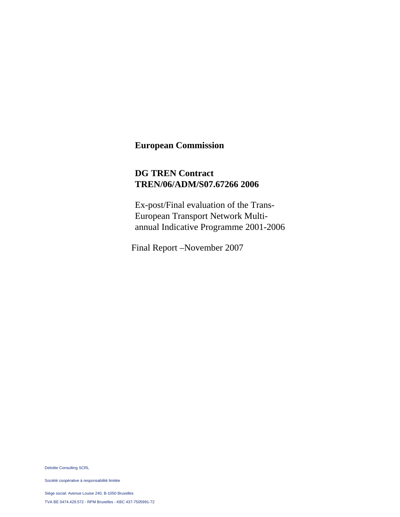# **European Commission**

# **DG TREN Contract TREN/06/ADM/S07.67266 2006**

Ex-post/Final evaluation of the Trans-European Transport Network Multiannual Indicative Programme 2001-2006

Final Report –November 2007

Deloitte Consulting SCRL

Société coopérative à responsabilité limitée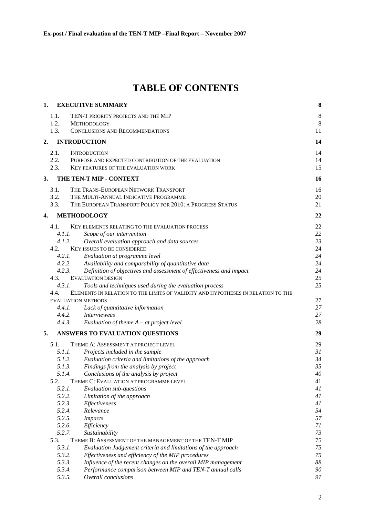# **TABLE OF CONTENTS**

| 1. |        | <b>EXECUTIVE SUMMARY</b>                                                         | 8  |
|----|--------|----------------------------------------------------------------------------------|----|
|    | 1.1.   | TEN-T PRIORITY PROJECTS AND THE MIP                                              | 8  |
|    | 1.2.   | <b>METHODOLOGY</b>                                                               | 8  |
|    | 1.3.   | CONCLUSIONS AND RECOMMENDATIONS                                                  | 11 |
| 2. |        | <b>INTRODUCTION</b>                                                              | 14 |
|    | 2.1.   | <b>INTRODUCTION</b>                                                              | 14 |
|    | 2.2.   | PURPOSE AND EXPECTED CONTRIBUTION OF THE EVALUATION                              | 14 |
|    | 2.3.   | KEY FEATURES OF THE EVALUATION WORK                                              | 15 |
| 3. |        | THE TEN-T MIP - CONTEXT                                                          | 16 |
|    | 3.1.   | THE TRANS-EUROPEAN NETWORK TRANSPORT                                             | 16 |
|    | 3.2.   | THE MULTI-ANNUAL INDICATIVE PROGRAMME                                            | 20 |
|    | 3.3.   | THE EUROPEAN TRANSPORT POLICY FOR 2010: A PROGRESS STATUS                        | 21 |
| 4. |        | <b>METHODOLOGY</b>                                                               | 22 |
|    | 4.1.   | KEY ELEMENTS RELATING TO THE EVALUATION PROCESS                                  | 22 |
|    | 4.1.1. | Scope of our intervention                                                        | 22 |
|    | 4.1.2. | Overall evaluation approach and data sources                                     | 23 |
|    | 4.2.   | <b>KEY ISSUES TO BE CONSIDERED</b>                                               | 24 |
|    | 4.2.1. | Evaluation at programme level                                                    | 24 |
|    | 4.2.2. | Availability and comparability of quantitative data                              | 24 |
|    | 4.2.3. | Definition of objectives and assessment of effectiveness and impact              | 24 |
|    | 4.3.   | <b>EVALUATION DESIGN</b>                                                         | 25 |
|    | 4.3.1. | Tools and techniques used during the evaluation process                          | 25 |
|    | 4.4.   | ELEMENTS IN RELATION TO THE LIMITS OF VALIDITY AND HYPOTHESES IN RELATION TO THE |    |
|    |        | <b>EVALUATION METHODS</b>                                                        | 27 |
|    | 4.4.1. | Lack of quantitative information                                                 | 27 |
|    | 4.4.2. | <i>Interviewees</i>                                                              | 27 |
|    | 4.4.3. | Evaluation of theme $A - at$ project level                                       | 28 |
| 5. |        | <b>ANSWERS TO EVALUATION QUESTIONS</b>                                           | 29 |
|    | 5.1.   | THEME A: ASSESSMENT AT PROJECT LEVEL                                             | 29 |
|    | 5.1.1. | Projects included in the sample                                                  | 31 |
|    |        | 5.1.2.<br>Evaluation criteria and limitations of the approach                    | 34 |
|    | 5.1.3. | Findings from the analysis by project                                            | 35 |
|    | 5.1.4. | Conclusions of the analysis by project                                           | 40 |
|    | 5.2.   | THEME C: EVALUATION AT PROGRAMME LEVEL                                           | 41 |
|    | 5.2.1. | Evaluation sub-questions                                                         | 41 |
|    | 5.2.2. | Limitation of the approach                                                       | 41 |
|    | 5.2.3. | Effectiveness                                                                    | 41 |
|    | 5.2.4. | Relevance                                                                        | 54 |
|    | 5.2.5. | <b>Impacts</b>                                                                   | 57 |
|    | 5.2.6. | Efficiency                                                                       | 71 |
|    | 5.2.7. | Sustainability                                                                   | 73 |
|    | 5.3.   | THEME B: ASSESSMENT OF THE MANAGEMENT OF THE TEN-T MIP                           | 75 |
|    | 5.3.1. | Evaluation Judgement criteria and limitations of the approach                    | 75 |
|    | 5.3.2. | Effectiveness and efficiency of the MIP procedures                               | 75 |
|    | 5.3.3. | Influence of the recent changes on the overall MIP management                    | 88 |
|    | 5.3.4. | Performance comparison between MIP and TEN-T annual calls                        | 90 |
|    | 5.3.5. | Overall conclusions                                                              | 91 |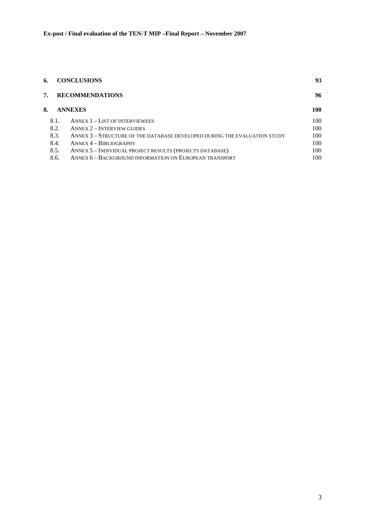| 6. | <b>CONCLUSIONS</b> |                                                                           | 93  |  |
|----|--------------------|---------------------------------------------------------------------------|-----|--|
| 7. |                    | <b>RECOMMENDATIONS</b>                                                    | 96  |  |
| 8. |                    | <b>ANNEXES</b>                                                            | 100 |  |
|    | 8.1.               | <b>ANNEX 1 - LIST OF INTERVIEWEES</b>                                     | 100 |  |
|    | 8.2.               | <b>ANNEX 2 – INTERVIEW GUIDES</b>                                         | 100 |  |
|    | 8.3.               | ANNEX 3 - STRUCTURE OF THE DATABASE DEVELOPED DURING THE EVALUATION STUDY | 100 |  |
|    | 8.4.               | $ANNEX 4 - BIBLIOGRAPHY$                                                  | 100 |  |
|    | 8.5.               | ANNEX 5 - INDIVIDUAL PROJECT RESULTS (PROJECTS DATABASE)                  | 100 |  |
|    | 8.6.               | ANNEX 6 - BACKGROUND INFORMATION ON EUROPEAN TRANSPORT                    | 100 |  |
|    |                    |                                                                           |     |  |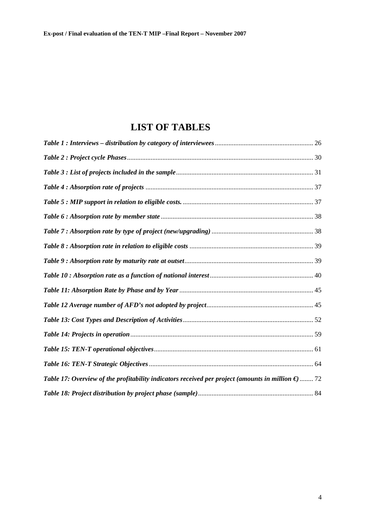# **LIST OF TABLES**

| Table 17: Overview of the profitability indicators received per project (amounts in million $\epsilon$ ) 72 |  |
|-------------------------------------------------------------------------------------------------------------|--|
|                                                                                                             |  |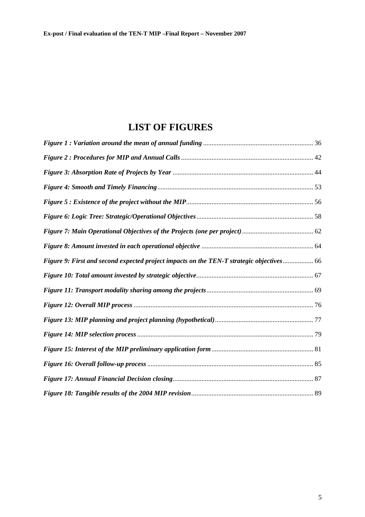# **LIST OF FIGURES**

| Figure 9: First and second expected project impacts on the TEN-T strategic objectives 66 |  |
|------------------------------------------------------------------------------------------|--|
|                                                                                          |  |
|                                                                                          |  |
|                                                                                          |  |
|                                                                                          |  |
|                                                                                          |  |
|                                                                                          |  |
|                                                                                          |  |
|                                                                                          |  |
|                                                                                          |  |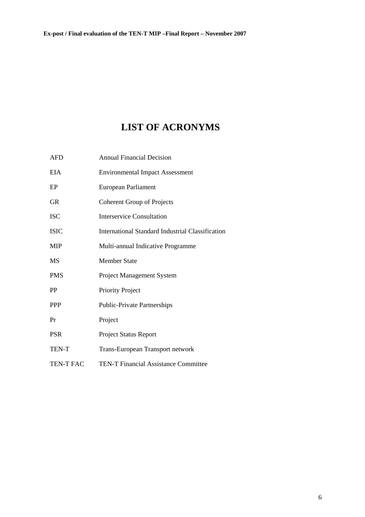# **LIST OF ACRONYMS**

| <b>AFD</b>       | <b>Annual Financial Decision</b>                 |
|------------------|--------------------------------------------------|
| <b>EIA</b>       | <b>Environmental Impact Assessment</b>           |
| EP               | European Parliament                              |
| <b>GR</b>        | <b>Coherent Group of Projects</b>                |
| <b>ISC</b>       | <b>Interservice Consultation</b>                 |
| <b>ISIC</b>      | International Standard Industrial Classification |
| <b>MIP</b>       | Multi-annual Indicative Programme                |
| <b>MS</b>        | <b>Member State</b>                              |
| <b>PMS</b>       | <b>Project Management System</b>                 |
| PP               | Priority Project                                 |
| <b>PPP</b>       | <b>Public-Private Partnerships</b>               |
| Pr               | Project                                          |
| <b>PSR</b>       | <b>Project Status Report</b>                     |
| TEN-T            | <b>Trans-European Transport network</b>          |
| <b>TEN-T FAC</b> | <b>TEN-T Financial Assistance Committee</b>      |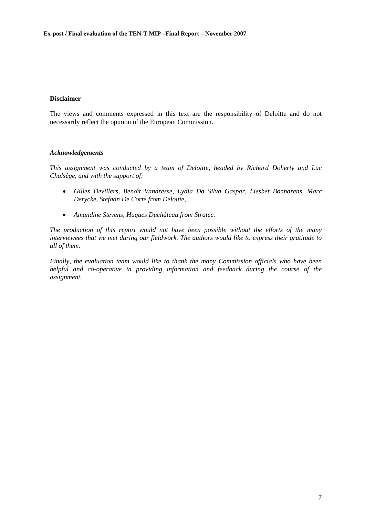#### **Disclaimer**

The views and comments expressed in this text are the responsibility of Deloitte and do not necessarily reflect the opinion of the European Commission.

#### *Acknowledgements*

*This assignment was conducted by a team of Deloitte, headed by Richard Doherty and Luc Chalsège, and with the support of:* 

- *Gilles Devillers, Benoît Vandresse, Lydia Da Silva Gaspar, Liesbet Bonnarens, Marc Derycke, Stefaan De Corte from Deloitte,*
- *Amandine Stevens, Hugues Duchâteau from Stratec.*

*The production of this report would not have been possible without the efforts of the many interviewees that we met during our fieldwork. The authors would like to express their gratitude to all of them.* 

*Finally, the evaluation team would like to thank the many Commission officials who have been helpful and co-operative in providing information and feedback during the course of the assignment.*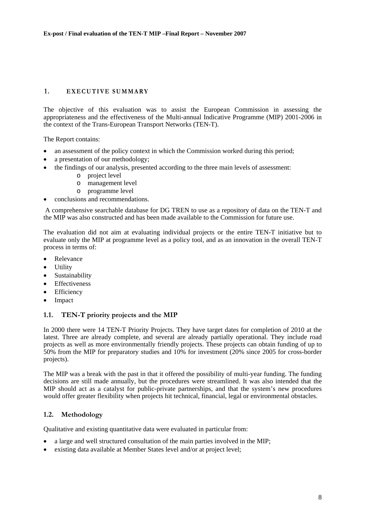## <span id="page-7-0"></span>1. **EXECUTIVE SUMMARY**

The objective of this evaluation was to assist the European Commission in assessing the appropriateness and the effectiveness of the Multi-annual Indicative Programme (MIP) 2001-2006 in the context of the Trans-European Transport Networks (TEN-T).

The Report contains:

- an assessment of the policy context in which the Commission worked during this period;
- a presentation of our methodology;
- the findings of our analysis, presented according to the three main levels of assessment:
	- o project level
	- o management level
	- o programme level
- conclusions and recommendations.

 A comprehensive searchable database for DG TREN to use as a repository of data on the TEN-T and the MIP was also constructed and has been made available to the Commission for future use.

The evaluation did not aim at evaluating individual projects or the entire TEN-T initiative but to evaluate only the MIP at programme level as a policy tool, and as an innovation in the overall TEN-T process in terms of:

- Relevance
- Utility
- Sustainability
- Effectiveness
- Efficiency
- Impact

#### <span id="page-7-1"></span>**1.1. TEN-T priority projects and the MIP**

In 2000 there were 14 TEN-T Priority Projects. They have target dates for completion of 2010 at the latest. Three are already complete, and several are already partially operational. They include road projects as well as more environmentally friendly projects. These projects can obtain funding of up to 50% from the MIP for preparatory studies and 10% for investment (20% since 2005 for cross-border projects).

The MIP was a break with the past in that it offered the possibility of multi-year funding. The funding decisions are still made annually, but the procedures were streamlined. It was also intended that the MIP should act as a catalyst for public-private partnerships, and that the system's new procedures would offer greater flexibility when projects hit technical, financial, legal or environmental obstacles.

#### <span id="page-7-2"></span>**1.2. Methodology**

Qualitative and existing quantitative data were evaluated in particular from:

- a large and well structured consultation of the main parties involved in the MIP;
- existing data available at Member States level and/or at project level;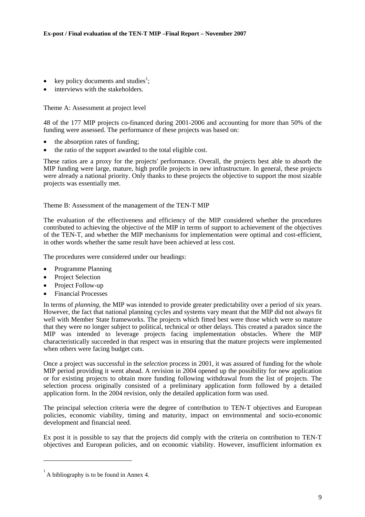- key policy documents and studies<sup>1</sup>;
- interviews with the stakeholders.

Theme A: Assessment at project level

48 of the 177 MIP projects co-financed during 2001-2006 and accounting for more than 50% of the funding were assessed. The performance of these projects was based on:

- the absorption rates of funding;
- the ratio of the support awarded to the total eligible cost.

These ratios are a proxy for the projects' performance. Overall, the projects best able to absorb the MIP funding were large, mature, high profile projects in new infrastructure. In general, these projects were already a national priority. Only thanks to these projects the objective to support the most sizable projects was essentially met.

Theme B: Assessment of the management of the TEN-T MIP

The evaluation of the effectiveness and efficiency of the MIP considered whether the procedures contributed to achieving the objective of the MIP in terms of support to achievement of the objectives of the TEN-T, and whether the MIP mechanisms for implementation were optimal and cost-efficient, in other words whether the same result have been achieved at less cost.

The procedures were considered under our headings:

- Programme Planning
- Project Selection
- Project Follow-up
- Financial Processes

In terms of *planning*, the MIP was intended to provide greater predictability over a period of six years. However, the fact that national planning cycles and systems vary meant that the MIP did not always fit well with Member State frameworks. The projects which fitted best were those which were so mature that they were no longer subject to political, technical or other delays. This created a paradox since the MIP was intended to leverage projects facing implementation obstacles. Where the MIP characteristically succeeded in that respect was in ensuring that the mature projects were implemented when others were facing budget cuts.

Once a project was successful in the *selection* process in 2001, it was assured of funding for the whole MIP period providing it went ahead. A revision in 2004 opened up the possibility for new application or for existing projects to obtain more funding following withdrawal from the list of projects. The selection process originally consisted of a preliminary application form followed by a detailed application form. In the 2004 revision, only the detailed application form was used.

The principal selection criteria were the degree of contribution to TEN-T objectives and European policies, economic viability, timing and maturity, impact on environmental and socio-economic development and financial need.

Ex post it is possible to say that the projects did comply with the criteria on contribution to TEN-T objectives and European policies, and on economic viability. However, insufficient information ex

 $<sup>1</sup>$  A bibliography is to be found in Annex 4.</sup>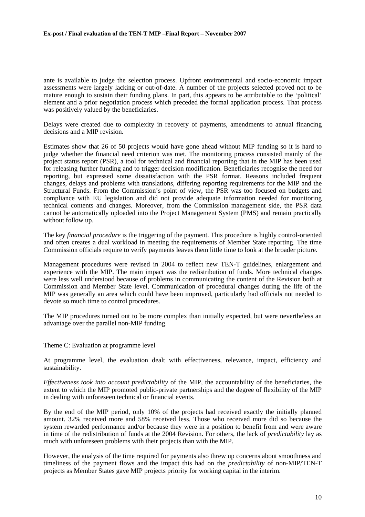ante is available to judge the selection process. Upfront environmental and socio-economic impact assessments were largely lacking or out-of-date. A number of the projects selected proved not to be mature enough to sustain their funding plans. In part, this appears to be attributable to the 'political' element and a prior negotiation process which preceded the formal application process. That process was positively valued by the beneficiaries.

Delays were created due to complexity in recovery of payments, amendments to annual financing decisions and a MIP revision.

Estimates show that 26 of 50 projects would have gone ahead without MIP funding so it is hard to judge whether the financial need criterion was met. The monitoring process consisted mainly of the project status report (PSR), a tool for technical and financial reporting that in the MIP has been used for releasing further funding and to trigger decision modification. Beneficiaries recognise the need for reporting, but expressed some dissatisfaction with the PSR format. Reasons included frequent changes, delays and problems with translations, differing reporting requirements for the MIP and the Structural Funds. From the Commission's point of view, the PSR was too focused on budgets and compliance with EU legislation and did not provide adequate information needed for monitoring technical contents and changes. Moreover, from the Commission management side, the PSR data cannot be automatically uploaded into the Project Management System (PMS) and remain practically without follow up.

The key *financial procedure* is the triggering of the payment. This procedure is highly control-oriented and often creates a dual workload in meeting the requirements of Member State reporting. The time Commission officials require to verify payments leaves them little time to look at the broader picture.

Management procedures were revised in 2004 to reflect new TEN-T guidelines, enlargement and experience with the MIP. The main impact was the redistribution of funds. More technical changes were less well understood because of problems in communicating the content of the Revision both at Commission and Member State level. Communication of procedural changes during the life of the MIP was generally an area which could have been improved, particularly had officials not needed to devote so much time to control procedures.

The MIP procedures turned out to be more complex than initially expected, but were nevertheless an advantage over the parallel non-MIP funding.

Theme C: Evaluation at programme level

At programme level, the evaluation dealt with effectiveness, relevance, impact, efficiency and sustainability.

*Effectiveness took into account predictability* of the MIP, the accountability of the beneficiaries, the extent to which the MIP promoted public-private partnerships and the degree of flexibility of the MIP in dealing with unforeseen technical or financial events.

By the end of the MIP period, only 10% of the projects had received exactly the initially planned amount. 32% received more and 58% received less. Those who received more did so because the system rewarded performance and/or because they were in a position to benefit from and were aware in time of the redistribution of funds at the 2004 Revision. For others, the lack of *predictability* lay as much with unforeseen problems with their projects than with the MIP.

However, the analysis of the time required for payments also threw up concerns about smoothness and timeliness of the payment flows and the impact this had on the *predictability* of non-MIP/TEN-T projects as Member States gave MIP projects priority for working capital in the interim.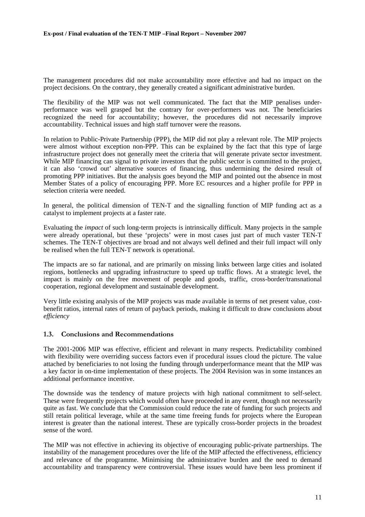The management procedures did not make accountability more effective and had no impact on the project decisions. On the contrary, they generally created a significant administrative burden.

The flexibility of the MIP was not well communicated. The fact that the MIP penalises underperformance was well grasped but the contrary for over-performers was not. The beneficiaries recognized the need for accountability; however, the procedures did not necessarily improve accountability. Technical issues and high staff turnover were the reasons.

In relation to Public-Private Partnership (PPP), the MIP did not play a relevant role. The MIP projects were almost without exception non-PPP. This can be explained by the fact that this type of large infrastructure project does not generally meet the criteria that will generate private sector investment. While MIP financing can signal to private investors that the public sector is committed to the project, it can also 'crowd out' alternative sources of financing, thus undermining the desired result of promoting PPP initiatives. But the analysis goes beyond the MIP and pointed out the absence in most Member States of a policy of encouraging PPP. More EC resources and a higher profile for PPP in selection criteria were needed.

In general, the political dimension of TEN-T and the signalling function of MIP funding act as a catalyst to implement projects at a faster rate.

Evaluating the *impact* of such long-term projects is intrinsically difficult. Many projects in the sample were already operational, but these 'projects' were in most cases just part of much vaster TEN-T schemes. The TEN-T objectives are broad and not always well defined and their full impact will only be realised when the full TEN-T network is operational.

The impacts are so far national, and are primarily on missing links between large cities and isolated regions, bottlenecks and upgrading infrastructure to speed up traffic flows. At a strategic level, the impact is mainly on the free movement of people and goods, traffic, cross-border/transnational cooperation, regional development and sustainable development.

Very little existing analysis of the MIP projects was made available in terms of net present value, costbenefit ratios, internal rates of return of payback periods, making it difficult to draw conclusions about *efficiency* 

#### <span id="page-10-0"></span>**1.3. Conclusions and Recommendations**

The 2001-2006 MIP was effective, efficient and relevant in many respects. Predictability combined with flexibility were overriding success factors even if procedural issues cloud the picture. The value attached by beneficiaries to not losing the funding through underperformance meant that the MIP was a key factor in on-time implementation of these projects. The 2004 Revision was in some instances an additional performance incentive.

The downside was the tendency of mature projects with high national commitment to self-select. These were frequently projects which would often have proceeded in any event, though not necessarily quite as fast. We conclude that the Commission could reduce the rate of funding for such projects and still retain political leverage, while at the same time freeing funds for projects where the European interest is greater than the national interest. These are typically cross-border projects in the broadest sense of the word.

The MIP was not effective in achieving its objective of encouraging public-private partnerships. The instability of the management procedures over the life of the MIP affected the effectiveness, efficiency and relevance of the programme. Minimising the administrative burden and the need to demand accountability and transparency were controversial. These issues would have been less prominent if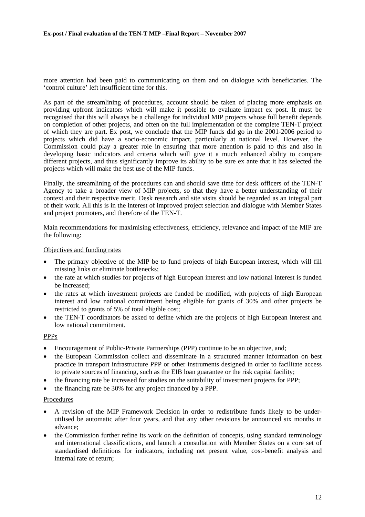more attention had been paid to communicating on them and on dialogue with beneficiaries. The 'control culture' left insufficient time for this.

As part of the streamlining of procedures, account should be taken of placing more emphasis on providing upfront indicators which will make it possible to evaluate impact ex post. It must be recognised that this will always be a challenge for individual MIP projects whose full benefit depends on completion of other projects, and often on the full implementation of the complete TEN-T project of which they are part. Ex post, we conclude that the MIP funds did go in the 2001-2006 period to projects which did have a socio-economic impact, particularly at national level. However, the Commission could play a greater role in ensuring that more attention is paid to this and also in developing basic indicators and criteria which will give it a much enhanced ability to compare different projects, and thus significantly improve its ability to be sure ex ante that it has selected the projects which will make the best use of the MIP funds.

Finally, the streamlining of the procedures can and should save time for desk officers of the TEN-T Agency to take a broader view of MIP projects, so that they have a better understanding of their context and their respective merit. Desk research and site visits should be regarded as an integral part of their work. All this is in the interest of improved project selection and dialogue with Member States and project promoters, and therefore of the TEN-T.

Main recommendations for maximising effectiveness, efficiency, relevance and impact of the MIP are the following:

#### Objectives and funding rates

- The primary objective of the MIP be to fund projects of high European interest, which will fill missing links or eliminate bottlenecks;
- the rate at which studies for projects of high European interest and low national interest is funded be increased;
- the rates at which investment projects are funded be modified, with projects of high European interest and low national commitment being eligible for grants of 30% and other projects be restricted to grants of 5% of total eligible cost;
- the TEN-T coordinators be asked to define which are the projects of high European interest and low national commitment.

# PPPs

- Encouragement of Public-Private Partnerships (PPP) continue to be an objective, and;
- the European Commission collect and disseminate in a structured manner information on best practice in transport infrastructure PPP or other instruments designed in order to facilitate access to private sources of financing, such as the EIB loan guarantee or the risk capital facility;
- the financing rate be increased for studies on the suitability of investment projects for PPP;
- the financing rate be 30% for any project financed by a PPP.

#### Procedures

- A revision of the MIP Framework Decision in order to redistribute funds likely to be underutilised be automatic after four years, and that any other revisions be announced six months in advance;
- the Commission further refine its work on the definition of concepts, using standard terminology and international classifications, and launch a consultation with Member States on a core set of standardised definitions for indicators, including net present value, cost-benefit analysis and internal rate of return;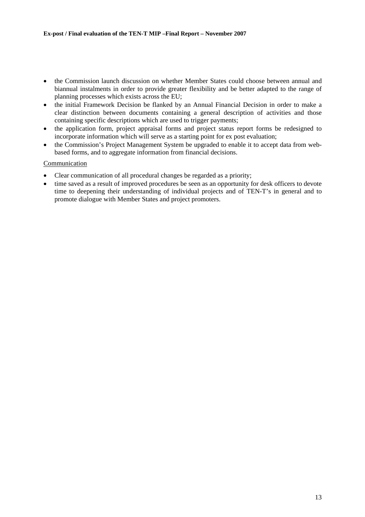- the Commission launch discussion on whether Member States could choose between annual and biannual instalments in order to provide greater flexibility and be better adapted to the range of planning processes which exists across the EU;
- the initial Framework Decision be flanked by an Annual Financial Decision in order to make a clear distinction between documents containing a general description of activities and those containing specific descriptions which are used to trigger payments;
- the application form, project appraisal forms and project status report forms be redesigned to incorporate information which will serve as a starting point for ex post evaluation;
- the Commission's Project Management System be upgraded to enable it to accept data from webbased forms, and to aggregate information from financial decisions.

#### Communication

- Clear communication of all procedural changes be regarded as a priority;
- time saved as a result of improved procedures be seen as an opportunity for desk officers to devote time to deepening their understanding of individual projects and of TEN-T's in general and to promote dialogue with Member States and project promoters.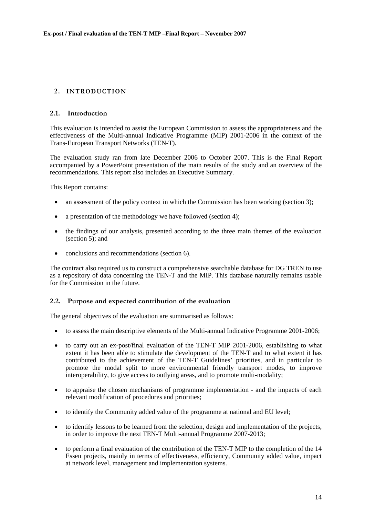# <span id="page-13-0"></span>2. **INTRODUCTION**

#### <span id="page-13-1"></span>**2.1. Introduction**

This evaluation is intended to assist the European Commission to assess the appropriateness and the effectiveness of the Multi-annual Indicative Programme (MIP) 2001-2006 in the context of the Trans-European Transport Networks (TEN-T).

The evaluation study ran from late December 2006 to October 2007. This is the Final Report accompanied by a PowerPoint presentation of the main results of the study and an overview of the recommendations. This report also includes an Executive Summary.

This Report contains:

- an assessment of the policy context in which the Commission has been working (section 3);
- a presentation of the methodology we have followed (section 4);
- the findings of our analysis, presented according to the three main themes of the evaluation (section  $5$ ); and
- conclusions and recommendations (section 6).

The contract also required us to construct a comprehensive searchable database for DG TREN to use as a repository of data concerning the TEN-T and the MIP. This database naturally remains usable for the Commission in the future.

#### <span id="page-13-2"></span>**2.2. Purpose and expected contribution of the evaluation**

The general objectives of the evaluation are summarised as follows:

- to assess the main descriptive elements of the Multi-annual Indicative Programme 2001-2006;
- to carry out an ex-post/final evaluation of the TEN-T MIP 2001-2006, establishing to what extent it has been able to stimulate the development of the TEN-T and to what extent it has contributed to the achievement of the TEN-T Guidelines' priorities, and in particular to promote the modal split to more environmental friendly transport modes, to improve interoperability, to give access to outlying areas, and to promote multi-modality;
- to appraise the chosen mechanisms of programme implementation and the impacts of each relevant modification of procedures and priorities;
- to identify the Community added value of the programme at national and EU level;
- to identify lessons to be learned from the selection, design and implementation of the projects, in order to improve the next TEN-T Multi-annual Programme 2007-2013;
- to perform a final evaluation of the contribution of the TEN-T MIP to the completion of the 14 Essen projects, mainly in terms of effectiveness, efficiency, Community added value, impact at network level, management and implementation systems.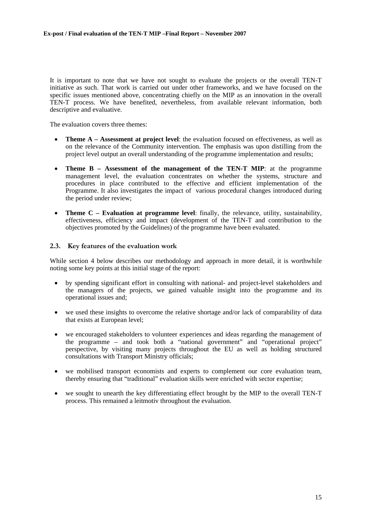It is important to note that we have not sought to evaluate the projects or the overall TEN-T initiative as such. That work is carried out under other frameworks, and we have focused on the specific issues mentioned above, concentrating chiefly on the MIP as an innovation in the overall TEN-T process. We have benefited, nevertheless, from available relevant information, both descriptive and evaluative.

The evaluation covers three themes:

- **Theme A Assessment at project level**: the evaluation focused on effectiveness, as well as on the relevance of the Community intervention. The emphasis was upon distilling from the project level output an overall understanding of the programme implementation and results;
- **Theme B Assessment of the management of the TEN-T MIP**: at the programme management level, the evaluation concentrates on whether the systems, structure and procedures in place contributed to the effective and efficient implementation of the Programme. It also investigates the impact of various procedural changes introduced during the period under review;
- **Theme C Evaluation at programme level**: finally, the relevance, utility, sustainability, effectiveness, efficiency and impact (development of the TEN-T and contribution to the objectives promoted by the Guidelines) of the programme have been evaluated.

#### <span id="page-14-0"></span>**2.3. Key features of the evaluation work**

While section 4 below describes our methodology and approach in more detail, it is worthwhile noting some key points at this initial stage of the report:

- by spending significant effort in consulting with national- and project-level stakeholders and the managers of the projects, we gained valuable insight into the programme and its operational issues and;
- we used these insights to overcome the relative shortage and/or lack of comparability of data that exists at European level;
- we encouraged stakeholders to volunteer experiences and ideas regarding the management of the programme – and took both a "national government" and "operational project" perspective, by visiting many projects throughout the EU as well as holding structured consultations with Transport Ministry officials;
- we mobilised transport economists and experts to complement our core evaluation team, thereby ensuring that "traditional" evaluation skills were enriched with sector expertise;
- we sought to unearth the key differentiating effect brought by the MIP to the overall TEN-T process. This remained a leitmotiv throughout the evaluation.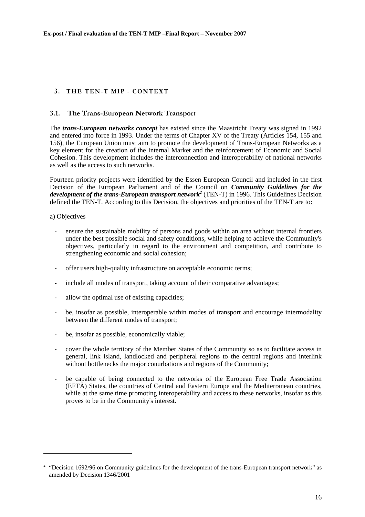# <span id="page-15-0"></span>**3 . THE TEN-T MIP - CONTEXT**

# <span id="page-15-1"></span>**3.1. The Trans-European Network Transport**

The *trans-European networks concept* has existed since the Maastricht Treaty was signed in 1992 and entered into force in 1993. Under the terms of Chapter XV of the Treaty (Articles 154, 155 and 156), the European Union must aim to promote the development of Trans-European Networks as a key element for the creation of the Internal Market and the reinforcement of Economic and Social Cohesion. This development includes the interconnection and interoperability of national networks as well as the access to such networks.

Fourteen priority projects were identified by the Essen European Council and included in the first Decision of the European Parliament and of the Council on *Community Guidelines for the*  development of the trans-European transport network<sup>2</sup> (TEN-T) in 1996. This Guidelines Decision defined the TEN-T. According to this Decision, the objectives and priorities of the TEN-T are to:

a) Objectives

- ensure the sustainable mobility of persons and goods within an area without internal frontiers under the best possible social and safety conditions, while helping to achieve the Community's objectives, particularly in regard to the environment and competition, and contribute to strengthening economic and social cohesion;
- offer users high-quality infrastructure on acceptable economic terms;
- include all modes of transport, taking account of their comparative advantages;
- allow the optimal use of existing capacities;
- be, insofar as possible, interoperable within modes of transport and encourage intermodality between the different modes of transport;
- be, insofar as possible, economically viable;
- cover the whole territory of the Member States of the Community so as to facilitate access in general, link island, landlocked and peripheral regions to the central regions and interlink without bottlenecks the major conurbations and regions of the Community;
- be capable of being connected to the networks of the European Free Trade Association (EFTA) States, the countries of Central and Eastern Europe and the Mediterranean countries, while at the same time promoting interoperability and access to these networks, insofar as this proves to be in the Community's interest.

<sup>&</sup>lt;sup>2</sup> "Decision 1692/96 on Community guidelines for the development of the trans-European transport network" as amended by Decision 1346/2001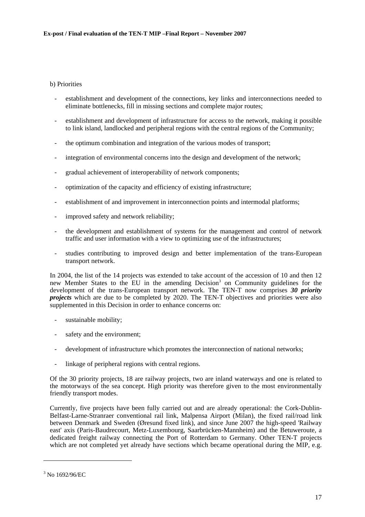## b) Priorities

- establishment and development of the connections, key links and interconnections needed to eliminate bottlenecks, fill in missing sections and complete major routes;
- establishment and development of infrastructure for access to the network, making it possible to link island, landlocked and peripheral regions with the central regions of the Community;
- the optimum combination and integration of the various modes of transport;
- integration of environmental concerns into the design and development of the network;
- gradual achievement of interoperability of network components;
- optimization of the capacity and efficiency of existing infrastructure;
- establishment of and improvement in interconnection points and intermodal platforms;
- improved safety and network reliability;
- the development and establishment of systems for the management and control of network traffic and user information with a view to optimizing use of the infrastructures;
- studies contributing to improved design and better implementation of the trans-European transport network.

In 2004, the list of the 14 projects was extended to take account of the accession of 10 and then 12 new Member States to the EU in the amending Decision<sup>3</sup> on Community guidelines for the development of the trans-European transport network. The TEN-T now comprises *30 priority projects* which are due to be completed by 2020. The TEN-T objectives and priorities were also supplemented in this Decision in order to enhance concerns on:

- sustainable mobility;
- safety and the environment;
- development of infrastructure which promotes the interconnection of national networks;
- linkage of peripheral regions with central regions.

Of the 30 priority projects, 18 are railway projects, two are inland waterways and one is related to the motorways of the sea concept. High priority was therefore given to the most environmentally friendly transport modes.

Currently, five projects have been fully carried out and are already operational: the Cork-Dublin-Belfast-Larne-Stranraer conventional rail link, Malpensa Airport (Milan), the fixed rail/road link between Denmark and Sweden (Øresund fixed link), and since June 2007 the high-speed 'Railway east' axis (Paris-Baudrecourt, Metz-Luxembourg, Saarbrücken-Mannheim) and the Betuweroute, a dedicated freight railway connecting the Port of Rotterdam to Germany. Other TEN-T projects which are not completed yet already have sections which became operational during the MIP, e.g.

<sup>3</sup> No 1692/96/EC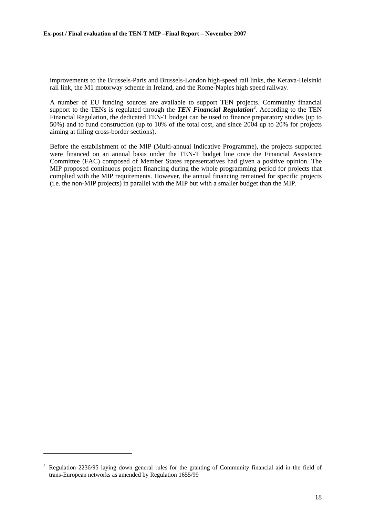improvements to the Brussels-Paris and Brussels-London high-speed rail links, the Kerava-Helsinki rail link, the M1 motorway scheme in Ireland, and the Rome-Naples high speed railway.

A number of EU funding sources are available to support TEN projects. Community financial support to the TENs is regulated through the *TEN Financial Regulation<sup>4</sup>*. According to the TEN Financial Regulation, the dedicated TEN-T budget can be used to finance preparatory studies (up to 50%) and to fund construction (up to 10% of the total cost, and since 2004 up to 20% for projects aiming at filling cross-border sections).

Before the establishment of the MIP (Multi-annual Indicative Programme), the projects supported were financed on an annual basis under the TEN-T budget line once the Financial Assistance Committee (FAC) composed of Member States representatives had given a positive opinion. The MIP proposed continuous project financing during the whole programming period for projects that complied with the MIP requirements. However, the annual financing remained for specific projects (i.e. the non-MIP projects) in parallel with the MIP but with a smaller budget than the MIP.

<sup>4</sup> Regulation 2236/95 laying down general rules for the granting of Community financial aid in the field of trans-European networks as amended by Regulation 1655/99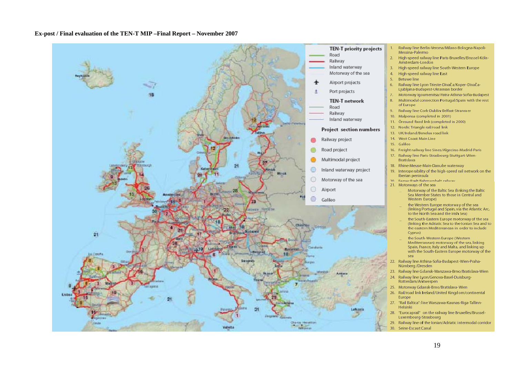

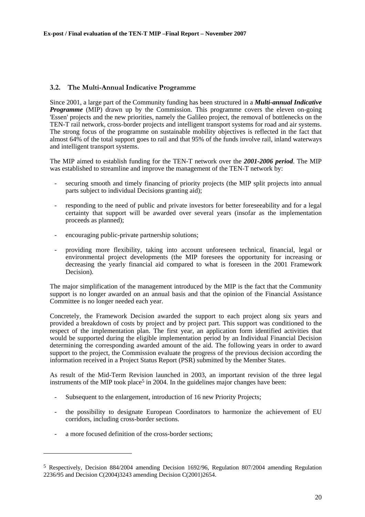# <span id="page-19-0"></span>**3.2. The Multi-Annual Indicative Programme**

Since 2001, a large part of the Community funding has been structured in a *Multi-annual Indicative Programme* (MIP) drawn up by the Commission. This programme covers the eleven on-going 'Essen' projects and the new priorities, namely the Galileo project, the removal of bottlenecks on the TEN-T rail network, cross-border projects and intelligent transport systems for road and air systems. The strong focus of the programme on sustainable mobility objectives is reflected in the fact that almost 64% of the total support goes to rail and that 95% of the funds involve rail, inland waterways and intelligent transport systems.

The MIP aimed to establish funding for the TEN-T network over the *2001-2006 period*. The MIP was established to streamline and improve the management of the TEN-T network by:

- securing smooth and timely financing of priority projects (the MIP split projects into annual parts subject to individual Decisions granting aid);
- responding to the need of public and private investors for better foreseeability and for a legal certainty that support will be awarded over several years (insofar as the implementation proceeds as planned);
- encouraging public-private partnership solutions;
- providing more flexibility, taking into account unforeseen technical, financial, legal or environmental project developments (the MIP foresees the opportunity for increasing or decreasing the yearly financial aid compared to what is foreseen in the 2001 Framework Decision).

The major simplification of the management introduced by the MIP is the fact that the Community support is no longer awarded on an annual basis and that the opinion of the Financial Assistance Committee is no longer needed each year.

Concretely, the Framework Decision awarded the support to each project along six years and provided a breakdown of costs by project and by project part. This support was conditioned to the respect of the implementation plan. The first year, an application form identified activities that would be supported during the eligible implementation period by an Individual Financial Decision determining the corresponding awarded amount of the aid. The following years in order to award support to the project, the Commission evaluate the progress of the previous decision according the information received in a Project Status Report (PSR) submitted by the Member States.

As result of the Mid-Term Revision launched in 2003, an important revision of the three legal instruments of the MIP took place<sup>5</sup> in 2004. In the guidelines major changes have been:

- Subsequent to the enlargement, introduction of 16 new Priority Projects;
- the possibility to designate European Coordinators to harmonize the achievement of EU corridors, including cross-border sections.
- a more focused definition of the cross-border sections:

<sup>5</sup> Respectively, Decision 884/2004 amending Decision 1692/96, Regulation 807/2004 amending Regulation 2236/95 and Decision C(2004)3243 amending Decision C(2001)2654.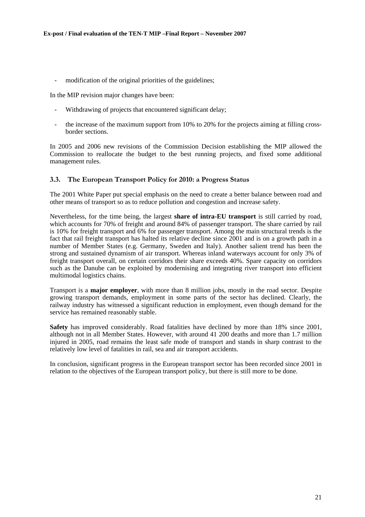- modification of the original priorities of the guidelines;

In the MIP revision major changes have been:

- Withdrawing of projects that encountered significant delay;
- the increase of the maximum support from 10% to 20% for the projects aiming at filling crossborder sections.

In 2005 and 2006 new revisions of the Commission Decision establishing the MIP allowed the Commission to reallocate the budget to the best running projects, and fixed some additional management rules.

#### <span id="page-20-0"></span>**3.3. The European Transport Policy for 2010: a Progress Status**

The 2001 White Paper put special emphasis on the need to create a better balance between road and other means of transport so as to reduce pollution and congestion and increase safety.

Nevertheless, for the time being, the largest **share of intra-EU transport** is still carried by road, which accounts for 70% of freight and around 84% of passenger transport. The share carried by rail is 10% for freight transport and 6% for passenger transport. Among the main structural trends is the fact that rail freight transport has halted its relative decline since 2001 and is on a growth path in a number of Member States (e.g. Germany, Sweden and Italy). Another salient trend has been the strong and sustained dynamism of air transport. Whereas inland waterways account for only 3% of freight transport overall, on certain corridors their share exceeds 40%. Spare capacity on corridors such as the Danube can be exploited by modernising and integrating river transport into efficient multimodal logistics chains.

Transport is a **major employer**, with more than 8 million jobs, mostly in the road sector. Despite growing transport demands, employment in some parts of the sector has declined. Clearly, the railway industry has witnessed a significant reduction in employment, even though demand for the service has remained reasonably stable.

**Safety** has improved considerably. Road fatalities have declined by more than 18% since 2001, although not in all Member States. However, with around 41 200 deaths and more than 1.7 million injured in 2005, road remains the least safe mode of transport and stands in sharp contrast to the relatively low level of fatalities in rail, sea and air transport accidents.

In conclusion, significant progress in the European transport sector has been recorded since 2001 in relation to the objectives of the European transport policy, but there is still more to be done.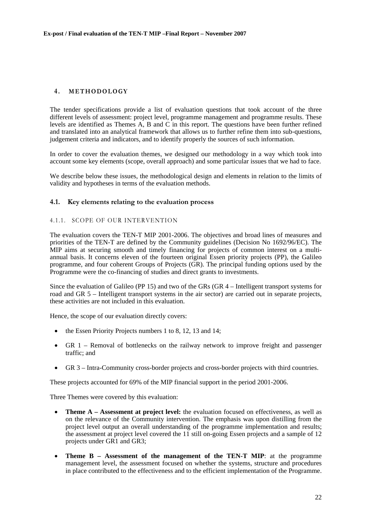## <span id="page-21-0"></span>**4 . METHODOLOGY**

The tender specifications provide a list of evaluation questions that took account of the three different levels of assessment: project level, programme management and programme results. These levels are identified as Themes A, B and C in this report. The questions have been further refined and translated into an analytical framework that allows us to further refine them into sub-questions, judgement criteria and indicators, and to identify properly the sources of such information.

In order to cover the evaluation themes, we designed our methodology in a way which took into account some key elements (scope, overall approach) and some particular issues that we had to face.

We describe below these issues, the methodological design and elements in relation to the limits of validity and hypotheses in terms of the evaluation methods.

#### <span id="page-21-1"></span>**4.1. Key elements relating to the evaluation process**

#### <span id="page-21-2"></span>4.1.1. SCOPE OF OUR INTERVENTION

The evaluation covers the TEN-T MIP 2001-2006. The objectives and broad lines of measures and priorities of the TEN-T are defined by the Community guidelines (Decision No 1692/96/EC). The MIP aims at securing smooth and timely financing for projects of common interest on a multiannual basis. It concerns eleven of the fourteen original Essen priority projects (PP), the Galileo programme, and four coherent Groups of Projects (GR). The principal funding options used by the Programme were the co-financing of studies and direct grants to investments.

Since the evaluation of Galileo (PP 15) and two of the GRs (GR 4 – Intelligent transport systems for road and GR 5 – Intelligent transport systems in the air sector) are carried out in separate projects, these activities are not included in this evaluation.

Hence, the scope of our evaluation directly covers:

- the Essen Priority Projects numbers 1 to 8, 12, 13 and 14;
- GR 1 Removal of bottlenecks on the railway network to improve freight and passenger traffic; and
- GR 3 Intra-Community cross-border projects and cross-border projects with third countries.

These projects accounted for 69% of the MIP financial support in the period 2001-2006.

Three Themes were covered by this evaluation:

- **Theme A Assessment at project level:** the evaluation focused on effectiveness, as well as on the relevance of the Community intervention. The emphasis was upon distilling from the project level output an overall understanding of the programme implementation and results; the assessment at project level covered the 11 still on-going Essen projects and a sample of 12 projects under GR1 and GR3;
- **Theme B Assessment of the management of the TEN-T MIP**: at the programme management level, the assessment focused on whether the systems, structure and procedures in place contributed to the effectiveness and to the efficient implementation of the Programme.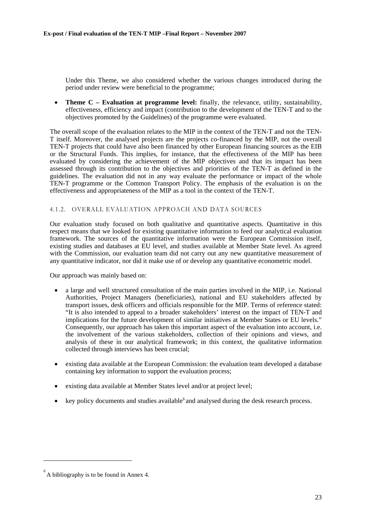Under this Theme, we also considered whether the various changes introduced during the period under review were beneficial to the programme;

• **Theme C – Evaluation at programme level:** finally, the relevance, utility, sustainability, effectiveness, efficiency and impact (contribution to the development of the TEN-T and to the objectives promoted by the Guidelines) of the programme were evaluated.

The overall scope of the evaluation relates to the MIP in the context of the TEN-T and not the TEN-T itself. Moreover, the analysed projects are the projects co-financed by the MIP, not the overall TEN-T projects that could have also been financed by other European financing sources as the EIB or the Structural Funds. This implies, for instance, that the effectiveness of the MIP has been evaluated by considering the achievement of the MIP objectives and that its impact has been assessed through its contribution to the objectives and priorities of the TEN-T as defined in the guidelines. The evaluation did not in any way evaluate the performance or impact of the whole TEN-T programme or the Common Transport Policy. The emphasis of the evaluation is on the effectiveness and appropriateness of the MIP as a tool in the context of the TEN-T.

#### <span id="page-22-0"></span>4.1.2. OVERALL EVALUATION APPROACH AND DATA SOURCES

Our evaluation study focused on both qualitative and quantitative aspects. Quantitative in this respect means that we looked for existing quantitative information to feed our analytical evaluation framework. The sources of the quantitative information were the European Commission itself, existing studies and databases at EU level, and studies available at Member State level. As agreed with the Commission, our evaluation team did not carry out any new quantitative measurement of any quantitative indicator, nor did it make use of or develop any quantitative econometric model.

Our approach was mainly based on:

- a large and well structured consultation of the main parties involved in the MIP, i.e. National Authorities, Project Managers (beneficiaries), national and EU stakeholders affected by transport issues, desk officers and officials responsible for the MIP. Terms of reference stated: "It is also intended to appeal to a broader stakeholders' interest on the impact of TEN-T and implications for the future development of similar initiatives at Member States or EU levels." Consequently, our approach has taken this important aspect of the evaluation into account, i.e. the involvement of the various stakeholders, collection of their opinions and views, and analysis of these in our analytical framework; in this context, the qualitative information collected through interviews has been crucial;
- existing data available at the European Commission: the evaluation team developed a database containing key information to support the evaluation process;
- existing data available at Member States level and/or at project level;
- key policy documents and studies available<sup>6</sup> and analysed during the desk research process.

 $6<sup>6</sup>$  A bibliography is to be found in Annex 4.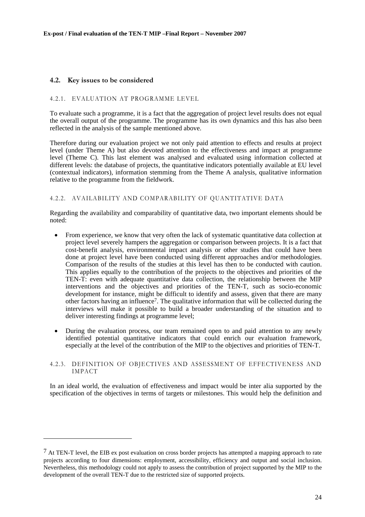### <span id="page-23-0"></span>**4.2. Key issues to be considered**

l

#### <span id="page-23-1"></span>4.2.1. EVALUATION AT PROGRAMME LEVEL

To evaluate such a programme, it is a fact that the aggregation of project level results does not equal the overall output of the programme. The programme has its own dynamics and this has also been reflected in the analysis of the sample mentioned above.

Therefore during our evaluation project we not only paid attention to effects and results at project level (under Theme A) but also devoted attention to the effectiveness and impact at programme level (Theme C). This last element was analysed and evaluated using information collected at different levels: the database of projects, the quantitative indicators potentially available at EU level (contextual indicators), information stemming from the Theme A analysis, qualitative information relative to the programme from the fieldwork.

#### <span id="page-23-2"></span>4.2.2. AVAILABILITY AND COMPARABILITY OF QUANTITATIVE DATA

Regarding the availability and comparability of quantitative data, two important elements should be noted:

- From experience, we know that very often the lack of systematic quantitative data collection at project level severely hampers the aggregation or comparison between projects. It is a fact that cost-benefit analysis, environmental impact analysis or other studies that could have been done at project level have been conducted using different approaches and/or methodologies. Comparison of the results of the studies at this level has then to be conducted with caution. This applies equally to the contribution of the projects to the objectives and priorities of the TEN-T: even with adequate quantitative data collection, the relationship between the MIP interventions and the objectives and priorities of the TEN-T, such as socio-economic development for instance, might be difficult to identify and assess, given that there are many other factors having an influence7. The qualitative information that will be collected during the interviews will make it possible to build a broader understanding of the situation and to deliver interesting findings at programme level;
- During the evaluation process, our team remained open to and paid attention to any newly identified potential quantitative indicators that could enrich our evaluation framework, especially at the level of the contribution of the MIP to the objectives and priorities of TEN-T.

#### <span id="page-23-3"></span>4.2.3. DEFINITION OF OBJECTIVES AND ASSESSMENT OF EFFECTIVENESS AND IMPACT

In an ideal world, the evaluation of effectiveness and impact would be inter alia supported by the specification of the objectives in terms of targets or milestones. This would help the definition and

 $7$  At TEN-T level, the EIB ex post evaluation on cross border projects has attempted a mapping approach to rate projects according to four dimensions: employment, accessibility, efficiency and output and social inclusion. Nevertheless, this methodology could not apply to assess the contribution of project supported by the MIP to the development of the overall TEN-T due to the restricted size of supported projects.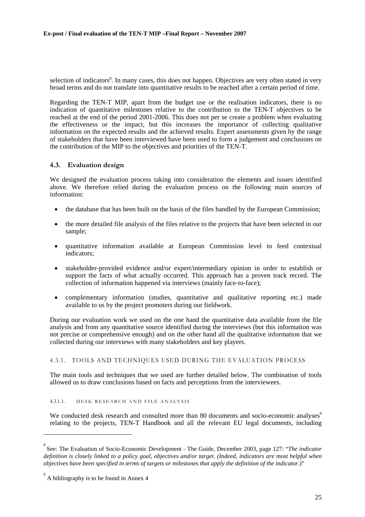selection of indicators<sup>8</sup>. In many cases, this does not happen. Objectives are very often stated in very broad terms and do not translate into quantitative results to be reached after a certain period of time.

Regarding the TEN-T MIP, apart from the budget use or the realisation indicators, there is no indication of quantitative milestones relative to the contribution to the TEN-T objectives to be reached at the end of the period 2001-2006. This does not per se create a problem when evaluating the effectiveness or the impact, but this increases the importance of collecting qualitative information on the expected results and the achieved results. Expert assessments given by the range of stakeholders that have been interviewed have been used to form a judgement and conclusions on the contribution of the MIP to the objectives and priorities of the TEN-T.

#### <span id="page-24-0"></span>**4.3. Evaluation design**

We designed the evaluation process taking into consideration the elements and issues identified above. We therefore relied during the evaluation process on the following main sources of information:

- the database that has been built on the basis of the files handled by the European Commission;
- the more detailed file analysis of the files relative to the projects that have been selected in our sample;
- quantitative information available at European Commission level to feed contextual indicators;
- stakeholder-provided evidence and/or expert/intermediary opinion in order to establish or support the facts of what actually occurred. This approach has a proven track record. The collection of information happened via interviews (mainly face-to-face);
- complementary information (studies, quantitative and qualitative reporting etc.) made available to us by the project promoters during our fieldwork.

During our evaluation work we used on the one hand the quantitative data available from the file analysis and from any quantitative source identified during the interviews (but this information was not precise or comprehensive enough) and on the other hand all the qualitative information that we collected during our interviews with many stakeholders and key players.

#### <span id="page-24-1"></span>4.3.1. TOOLS AND TECHNIQUES USED DURING THE EVALUATION PROCESS

The main tools and techniques that we used are further detailed below. The combination of tools allowed us to draw conclusions based on facts and perceptions from the interviewees.

#### 4.3.1.1. DESK RESEARCH AND FILE ANALYSIS

We conducted desk research and consulted more than 80 documents and socio-economic analyses<sup>9</sup> relating to the projects, TEN-T Handbook and all the relevant EU legal documents, including

<sup>8</sup> See: The Evaluation of Socio-Economic Development - The Guide, December 2003, page 127: "*The indicator definition is closely linked to a policy goal, objectives and/or target. (Indeed, indicators are most helpful when objectives have been specified in terms of targets or milestones that apply the definition of the indicator*.)"

 $^{9}$  A bibliography is to be found in Annex 4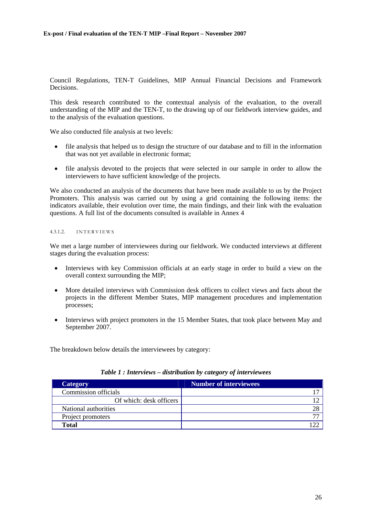Council Regulations, TEN-T Guidelines, MIP Annual Financial Decisions and Framework Decisions.

This desk research contributed to the contextual analysis of the evaluation, to the overall understanding of the MIP and the TEN-T, to the drawing up of our fieldwork interview guides, and to the analysis of the evaluation questions.

We also conducted file analysis at two levels:

- file analysis that helped us to design the structure of our database and to fill in the information that was not yet available in electronic format;
- file analysis devoted to the projects that were selected in our sample in order to allow the interviewers to have sufficient knowledge of the projects.

We also conducted an analysis of the documents that have been made available to us by the Project Promoters. This analysis was carried out by using a grid containing the following items: the indicators available, their evolution over time, the main findings, and their link with the evaluation questions. A full list of the documents consulted is available in Annex 4

### 4.3.1.2. INTERVIEWS

We met a large number of interviewees during our fieldwork. We conducted interviews at different stages during the evaluation process:

- Interviews with key Commission officials at an early stage in order to build a view on the overall context surrounding the MIP;
- More detailed interviews with Commission desk officers to collect views and facts about the projects in the different Member States, MIP management procedures and implementation processes;
- Interviews with project promoters in the 15 Member States, that took place between May and September 2007.

<span id="page-25-0"></span>The breakdown below details the interviewees by category:

| <b>Category</b>         | <b>Number of interviewees</b> |
|-------------------------|-------------------------------|
| Commission officials    |                               |
| Of which: desk officers |                               |
| National authorities    |                               |
| Project promoters       |                               |
| <b>Total</b>            |                               |

#### *Table 1 : Interviews – distribution by category of interviewees*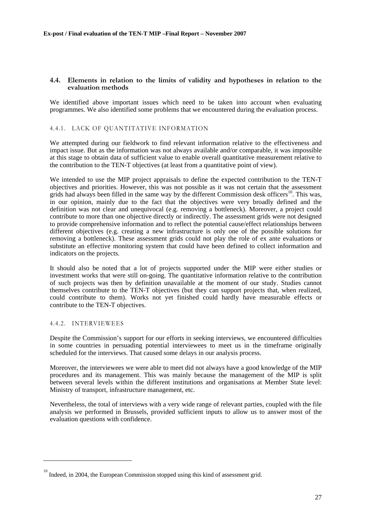#### <span id="page-26-0"></span>**4.4. Elements in relation to the limits of validity and hypotheses in relation to the evaluation methods**

We identified above important issues which need to be taken into account when evaluating programmes. We also identified some problems that we encountered during the evaluation process.

#### <span id="page-26-1"></span>4.4.1. LACK OF QUANTITATIVE INFORMATION

We attempted during our fieldwork to find relevant information relative to the effectiveness and impact issue. But as the information was not always available and/or comparable, it was impossible at this stage to obtain data of sufficient value to enable overall quantitative measurement relative to the contribution to the TEN-T objectives (at least from a quantitative point of view).

We intended to use the MIP project appraisals to define the expected contribution to the TEN-T objectives and priorities. However, this was not possible as it was not certain that the assessment grids had always been filled in the same way by the different Commission desk officers<sup>10</sup>. This was, in our opinion, mainly due to the fact that the objectives were very broadly defined and the definition was not clear and unequivocal (e.g. removing a bottleneck). Moreover, a project could contribute to more than one objective directly or indirectly. The assessment grids were not designed to provide comprehensive information and to reflect the potential cause/effect relationships between different objectives (e.g. creating a new infrastructure is only one of the possible solutions for removing a bottleneck). These assessment grids could not play the role of ex ante evaluations or substitute an effective monitoring system that could have been defined to collect information and indicators on the projects.

It should also be noted that a lot of projects supported under the MIP were either studies or investment works that were still on-going. The quantitative information relative to the contribution of such projects was then by definition unavailable at the moment of our study. Studies cannot themselves contribute to the TEN-T objectives (but they can support projects that, when realized, could contribute to them). Works not yet finished could hardly have measurable effects or contribute to the TEN-T objectives.

#### <span id="page-26-2"></span>4.4.2. INTERVIEWEES

l

Despite the Commission's support for our efforts in seeking interviews, we encountered difficulties in some countries in persuading potential interviewees to meet us in the timeframe originally scheduled for the interviews. That caused some delays in our analysis process.

Moreover, the interviewees we were able to meet did not always have a good knowledge of the MIP procedures and its management. This was mainly because the management of the MIP is split between several levels within the different institutions and organisations at Member State level: Ministry of transport, infrastructure management, etc.

Nevertheless, the total of interviews with a very wide range of relevant parties, coupled with the file analysis we performed in Brussels, provided sufficient inputs to allow us to answer most of the evaluation questions with confidence.

<sup>&</sup>lt;sup>10</sup> Indeed, in 2004, the European Commission stopped using this kind of assessment grid.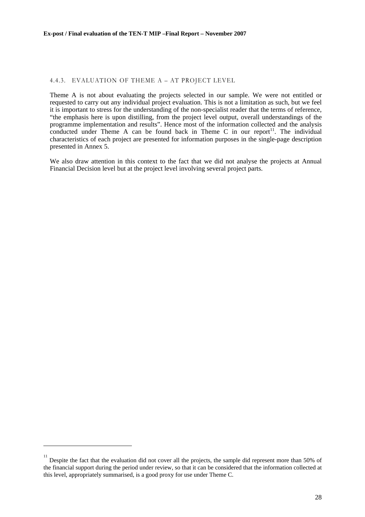#### <span id="page-27-0"></span>4.4.3. EVALUATION OF THEME A – AT PROJECT LEVEL

Theme A is not about evaluating the projects selected in our sample. We were not entitled or requested to carry out any individual project evaluation. This is not a limitation as such, but we feel it is important to stress for the understanding of the non-specialist reader that the terms of reference, "the emphasis here is upon distilling, from the project level output, overall understandings of the programme implementation and results". Hence most of the information collected and the analysis conducted under Theme A can be found back in Theme C in our report<sup>11</sup>. The individual characteristics of each project are presented for information purposes in the single-page description presented in Annex 5.

We also draw attention in this context to the fact that we did not analyse the projects at Annual Financial Decision level but at the project level involving several project parts.

<sup>11</sup> Despite the fact that the evaluation did not cover all the projects, the sample did represent more than 50% of the financial support during the period under review, so that it can be considered that the information collected at this level, appropriately summarised, is a good proxy for use under Theme C.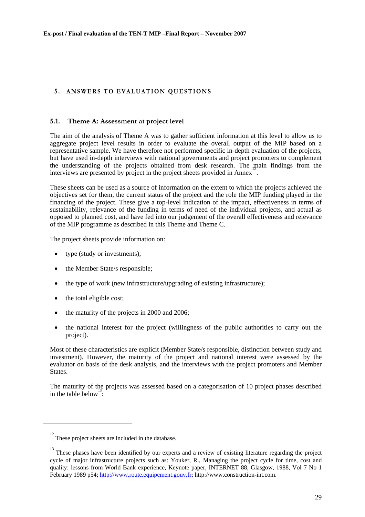# <span id="page-28-0"></span>**5 . ANSWERS TO EVALUATION QUESTIONS**

#### <span id="page-28-1"></span>**5.1. Theme A: Assessment at project level**

The aim of the analysis of Theme A was to gather sufficient information at this level to allow us to aggregate project level results in order to evaluate the overall output of the MIP based on a representative sample. We have therefore not performed specific in-depth evaluation of the projects, but have used in-depth interviews with national governments and project promoters to complement the understanding of the projects obtained from desk research. The main findings from the interviews are presented by projects volumed from desk research. The  $\frac{12}{12}$  interviews are presented by project in the project sheets provided in Annex.

These sheets can be used as a source of information on the extent to which the projects achieved the objectives set for them, the current status of the project and the role the MIP funding played in the financing of the project. These give a top-level indication of the impact, effectiveness in terms of sustainability, relevance of the funding in terms of need of the individual projects, and actual as opposed to planned cost, and have fed into our judgement of the overall effectiveness and relevance of the MIP programme as described in this Theme and Theme C.

The project sheets provide information on:

- type (study or investments);
- the Member State/s responsible;
- the type of work (new infrastructure/upgrading of existing infrastructure);
- the total eligible cost;

l

- the maturity of the projects in 2000 and 2006;
- the national interest for the project (willingness of the public authorities to carry out the project).

Most of these characteristics are explicit (Member State/s responsible, distinction between study and investment). However, the maturity of the project and national interest were assessed by the evaluator on basis of the desk analysis, and the interviews with the project promoters and Member States.

The maturity of the projects was assessed based on a categorisation of 10 project phases described in the table below<sup>13</sup>:

 $12$  These project sheets are included in the database.

<sup>&</sup>lt;sup>13</sup> These phases have been identified by our experts and a review of existing literature regarding the project cycle of major infrastructure projects such as: Youker, R., Managing the project cycle for time, cost and quality: lessons from World Bank experience, Keynote paper, INTERNET 88, Glasgow, 1988, Vol 7 No 1 [February 1989 p54; http://www.route.equipement.gouv.fr; http://www.construction-int.com.](http://www.route.equipement.gouv.fr/)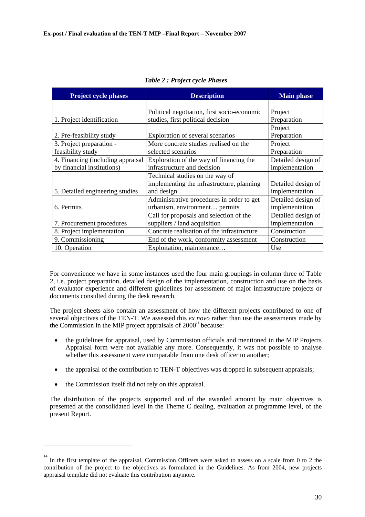<span id="page-29-0"></span>

| <b>Project cycle phases</b>        | <b>Description</b>                          | <b>Main phase</b>  |
|------------------------------------|---------------------------------------------|--------------------|
|                                    |                                             |                    |
|                                    | Political negotiation, first socio-economic | Project            |
| 1. Project identification          | studies, first political decision           | Preparation        |
|                                    |                                             | Project            |
| 2. Pre-feasibility study           | Exploration of several scenarios            | Preparation        |
| 3. Project preparation -           | More concrete studies realised on the       | Project            |
| feasibility study                  | selected scenarios                          | Preparation        |
| 4. Financing (including appraisal) | Exploration of the way of financing the     | Detailed design of |
| by financial institutions)         | infrastructure and decision                 | implementation     |
|                                    | Technical studies on the way of             |                    |
|                                    | implementing the infrastructure, planning   | Detailed design of |
| 5. Detailed engineering studies    | and design                                  | implementation     |
|                                    | Administrative procedures in order to get   | Detailed design of |
| 6. Permits                         | urbanism, environment permits               | implementation     |
|                                    | Call for proposals and selection of the     | Detailed design of |
| 7. Procurement procedures          | suppliers / land acquisition                | implementation     |
| 8. Project implementation          | Concrete realisation of the infrastructure  | Construction       |
| 9. Commissioning                   | End of the work, conformity assessment      | Construction       |
| 10. Operation                      | Exploitation, maintenance                   | Use                |

*Table 2 : Project cycle Phases* 

For convenience we have in some instances used the four main groupings in column three of Table 2, i.e. project preparation, detailed design of the implementation, construction and use on the basis of evaluator experience and different guidelines for assessment of major infrastructure projects or documents consulted during the desk research.

The project sheets also contain an assessment of how the different projects contributed to one of several objectives of the TEN-T. We assessed this *ex novo* rather than use the assessments made by the Commission in the MIP project appraisals of  $2000<sup>14</sup>$  because:

- the guidelines for appraisal, used by Commission officials and mentioned in the MIP Projects Appraisal form were not available any more. Consequently, it was not possible to analyse whether this assessment were comparable from one desk officer to another;
- the appraisal of the contribution to TEN-T objectives was dropped in subsequent appraisals;
- the Commission itself did not rely on this appraisal.

l

The distribution of the projects supported and of the awarded amount by main objectives is presented at the consolidated level in the Theme C dealing, evaluation at programme level, of the present Report.

<sup>&</sup>lt;sup>14</sup> In the first template of the appraisal, Commission Officers were asked to assess on a scale from 0 to 2 the contribution of the project to the objectives as formulated in the Guidelines. As from 2004, new projects appraisal template did not evaluate this contribution anymore.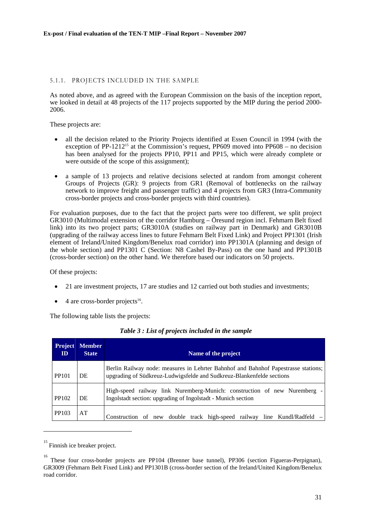#### <span id="page-30-0"></span>5.1.1. PROJECTS INCLUDED IN THE SAMPLE

As noted above, and as agreed with the European Commission on the basis of the inception report, we looked in detail at 48 projects of the 117 projects supported by the MIP during the period 2000-2006.

These projects are:

- all the decision related to the Priority Projects identified at Essen Council in 1994 (with the exception of PP-1212<sup>15</sup> at the Commission's request. PP609 moved into PP608 – no decision has been analysed for the projects PP10, PP11 and PP15, which were already complete or were outside of the scope of this assignment);
- a sample of 13 projects and relative decisions selected at random from amongst coherent Groups of Projects (GR): 9 projects from GR1 (Removal of bottlenecks on the railway network to improve freight and passenger traffic) and 4 projects from GR3 (Intra-Community cross-border projects and cross-border projects with third countries).

For evaluation purposes, due to the fact that the project parts were too different, we split project GR3010 (Multimodal extension of the corridor Hamburg – Öresund region incl. Fehmarn Belt fixed link) into its two project parts; GR3010A (studies on railway part in Denmark) and GR3010B (upgrading of the railway access lines to future Fehmarn Belt Fixed Link) and Project PP1301 (Irish element of Ireland/United Kingdom/Benelux road corridor) into PP1301A (planning and design of the whole section) and PP1301 C (Section: N8 Cashel By-Pass) on the one hand and PP1301B (cross-border section) on the other hand. We therefore based our indicators on 50 projects.

Of these projects:

- 21 are investment projects, 17 are studies and 12 carried out both studies and investments;
- 4 are cross-border projects<sup>16</sup>.

<span id="page-30-1"></span>The following table lists the projects:

| <b>Project</b><br>ID | <b>Member</b><br><b>State</b> | Name of the project                                                                                                                                         |
|----------------------|-------------------------------|-------------------------------------------------------------------------------------------------------------------------------------------------------------|
| PP101                | DE                            | Berlin Railway node: measures in Lehrter Bahnhof and Bahnhof Papestrasse stations;<br>upgrading of Südkreuz-Ludwigsfelde and Sudkreuz-Blankenfelde sections |
| PP102                | DE                            | High-speed railway link Nuremberg-Munich: construction of new Nuremberg -<br>Ingolstadt section: upgrading of Ingolstadt - Munich section                   |
| PP103                | AT                            | Construction of new double track high-speed railway<br>line Kundl/Radfeld                                                                                   |

#### *Table 3 : List of projects included in the sample*

<sup>15</sup> Finnish ice breaker project.

<sup>&</sup>lt;sup>16</sup> These four cross-border projects are PP104 (Brenner base tunnel), PP306 (section Figueras-Perpignan), GR3009 (Fehmarn Belt Fixed Link) and PP1301B (cross-border section of the Ireland/United Kingdom/Benelux road corridor.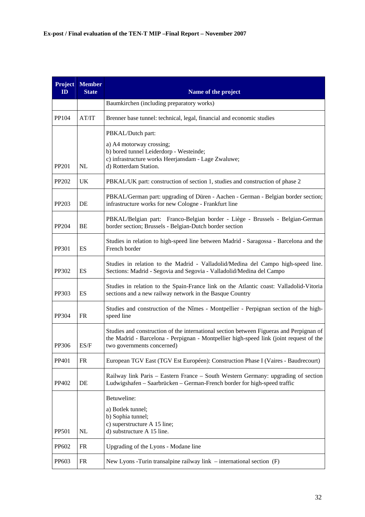| <b>Project</b><br>ID | <b>Member</b><br><b>State</b> | Name of the project                                                                                                                                                                                             |
|----------------------|-------------------------------|-----------------------------------------------------------------------------------------------------------------------------------------------------------------------------------------------------------------|
|                      |                               | Baumkirchen (including preparatory works)                                                                                                                                                                       |
| PP104                | AT/IT                         | Brenner base tunnel: technical, legal, financial and economic studies                                                                                                                                           |
| PP201                | NL                            | PBKAL/Dutch part:<br>a) A4 motorway crossing;<br>b) bored tunnel Leiderdorp - Westeinde;<br>c) infrastructure works Heerjansdam - Lage Zwaluwe;<br>d) Rotterdam Station.                                        |
| PP202                | UK                            | PBKAL/UK part: construction of section 1, studies and construction of phase 2                                                                                                                                   |
| PP203                | DE                            | PBKAL/German part: upgrading of Düren - Aachen - German - Belgian border section;<br>infrastructure works for new Cologne - Frankfurt line                                                                      |
| PP204                | BE                            | PBKAL/Belgian part: Franco-Belgian border - Liège - Brussels - Belgian-German<br>border section; Brussels - Belgian-Dutch border section                                                                        |
| PP301                | ES                            | Studies in relation to high-speed line between Madrid - Saragossa - Barcelona and the<br>French border                                                                                                          |
| PP302                | ES                            | Studies in relation to the Madrid - Valladolid/Medina del Campo high-speed line.<br>Sections: Madrid - Segovia and Segovia - Valladolid/Medina del Campo                                                        |
| PP303                | ES                            | Studies in relation to the Spain-France link on the Atlantic coast: Valladolid-Vitoria<br>sections and a new railway network in the Basque Country                                                              |
| PP304                | <b>FR</b>                     | Studies and construction of the Nîmes - Montpellier - Perpignan section of the high-<br>speed line                                                                                                              |
| PP306                | ES/F                          | Studies and construction of the international section between Figueras and Perpignan of<br>the Madrid - Barcelona - Perpignan - Montpellier high-speed link (joint request of the<br>two governments concerned) |
| PP401                | <b>FR</b>                     | European TGV East (TGV Est Européen): Construction Phase I (Vaires - Baudrecourt)                                                                                                                               |
| PP402                | DE                            | Railway link Paris – Eastern France – South Western Germany: upgrading of section<br>Ludwigshafen - Saarbrücken - German-French border for high-speed traffic                                                   |
| PP501                | NL                            | Betuweline:<br>a) Botlek tunnel;<br>b) Sophia tunnel;<br>c) superstructure A 15 line;<br>d) substructure A 15 line.                                                                                             |
| <b>PP602</b>         | <b>FR</b>                     | Upgrading of the Lyons - Modane line                                                                                                                                                                            |
| PP603                | FR                            | New Lyons - Turin transalpine railway link $-$ international section $(F)$                                                                                                                                      |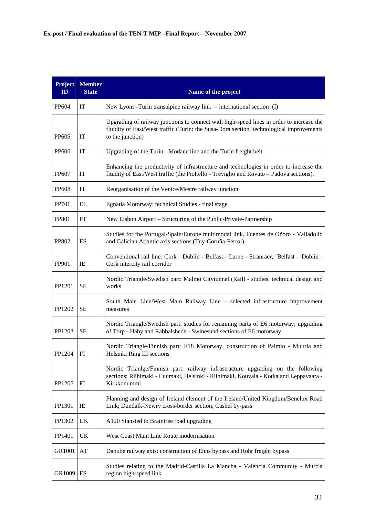| ID           | <b>Project Member</b><br><b>State</b> | Name of the project                                                                                                                                                                                     |
|--------------|---------------------------------------|---------------------------------------------------------------------------------------------------------------------------------------------------------------------------------------------------------|
| PP604        | IT                                    | New Lyons -Turin transalpine railway link $-$ international section (I)                                                                                                                                 |
| <b>PP605</b> | IT                                    | Upgrading of railway junctions to connect with high-speed lines in order to increase the<br>fluidity of East/West traffic (Turin: the Susa-Dora section, technological improvements<br>to the junction) |
| PP606        | IT                                    | Upgrading of the Turin - Modane line and the Turin freight belt                                                                                                                                         |
| <b>PP607</b> | IT                                    | Enhancing the productivity of infrastructure and technologies in order to increase the<br>fluidity of East/West traffic (the Pioltello - Treviglio and Rovato - Padova sections).                       |
| <b>PP608</b> | IT                                    | Reorganisation of the Venice/Mestre railway junction                                                                                                                                                    |
| PP701        | EL                                    | Egnatia Motorway: technical Studies - final stage                                                                                                                                                       |
| <b>PP801</b> | PT                                    | New Lisbon Airport – Structuring of the Public-Private-Partnership                                                                                                                                      |
| <b>PP802</b> | ES                                    | Studies for the Portugal-Spain/Europe multimodal link. Fuentes de Oñoro - Valladolid<br>and Galician Atlantic axis sections (Tuy-Coruña-Ferrol)                                                         |
| <b>PP901</b> | IE                                    | Conventional rail line: Cork - Dublin - Belfast - Larne - Stranraer, Belfast - Dublin -<br>Cork intercity rail corridor                                                                                 |
| PP1201       | <b>SE</b>                             | Nordic Triangle/Swedish part: Malmö Citytunnel (Rail) - studies, technical design and<br>works                                                                                                          |
| PP1202       | <b>SE</b>                             | South Main Line/West Main Railway Line - selected infrastructure improvement<br>measures                                                                                                                |
| PP1203       | <b>SE</b>                             | Nordic Triangle/Swedish part: studies for remaining parts of E6 motorway; upgrading<br>of Torp - Håby and Rabbalshede - Swinesund sections of E6 motorway                                               |
| PP1204       | FI                                    | Nordic Triangle/Finnish part: E18 Motorway, construction of Paimio - Muurla and<br>Helsinki Ring III sections                                                                                           |
| PP1205       | FI                                    | Nordic Trianlge/Finnish part: railway infrastructure upgrading on the following<br>sections: Riihimaki - Luumaki, Helsinki - Riihimaki, Kouvala - Kotka and Leppavaara -<br>Kirkkonummi                 |
| PP1301       | IE                                    | Planning and design of Ireland element of the Ireland/United Kingdom/Benelux Road<br>Link; Dundalk-Newry cross-border section; Cashel by-pass                                                           |
| PP1302       | UK                                    | A120 Stansted to Braintree road upgrading                                                                                                                                                               |
| PP1401       | UK                                    | West Coast Main Line Route modernisation                                                                                                                                                                |
| GR1001       | AT                                    | Danube railway axis: construction of Enns bypass and Rohr freight bypass                                                                                                                                |
| GR1009       | ES                                    | Studies relating to the Madrid-Castilla La Mancha - Valencia Community - Murcia<br>region high-speed link                                                                                               |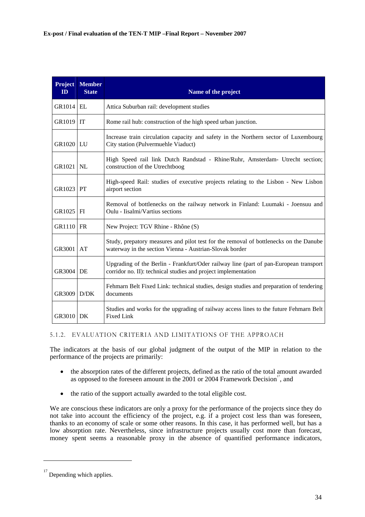| <b>Project</b><br>ID | <b>Member</b><br><b>State</b> | Name of the project                                                                                                                                     |
|----------------------|-------------------------------|---------------------------------------------------------------------------------------------------------------------------------------------------------|
| <b>GR1014 EL</b>     |                               | Attica Suburban rail: development studies                                                                                                               |
| GR1019               | IT                            | Rome rail hub: construction of the high speed urban junction.                                                                                           |
| GR1020   LU          |                               | Increase train circulation capacity and safety in the Northern sector of Luxembourg<br>City station (Pulvermuehle Viaduct)                              |
| GR1021               | <b>NL</b>                     | High Speed rail link Dutch Randstad - Rhine/Ruhr, Amsterdam- Utrecht section;<br>construction of the Utrechtboog                                        |
| <b>GR1023 PT</b>     |                               | High-speed Rail: studies of executive projects relating to the Lisbon - New Lisbon<br>airport section                                                   |
| GR1025 FI            |                               | Removal of bottlenecks on the railway network in Finland: Luumaki - Joensuu and<br>Oulu - Iisalmi/Vartius sections                                      |
| GR1110               | <b>FR</b>                     | New Project: TGV Rhine - Rhône (S)                                                                                                                      |
| GR3001               | AT                            | Study, prepatory measures and pilot test for the removal of bottlenecks on the Danube<br>waterway in the section Vienna - Austrian-Slovak border        |
| GR3004               | DE                            | Upgrading of the Berlin - Frankfurt/Oder railway line (part of pan-European transport<br>corridor no. II): technical studies and project implementation |
| GR3009               | D/DK                          | Fehmarn Belt Fixed Link: technical studies, design studies and preparation of tendering<br>documents                                                    |
| <b>GR3010   DK</b>   |                               | Studies and works for the upgrading of railway access lines to the future Fehmarn Belt<br><b>Fixed Link</b>                                             |

#### <span id="page-33-0"></span>5.1.2. EVALUATION CRITERIA AND LIMITATIONS OF THE APPROACH

The indicators at the basis of our global judgment of the output of the MIP in relation to the performance of the projects are primarily:

- the absorption rates of the different projects, defined as the ratio of the total amount awarded as opposed to the foreseen amount in the 2001 or 2004 Framework Decision<sup>17</sup>, and
- the ratio of the support actually awarded to the total eligible cost.

We are conscious these indicators are only a proxy for the performance of the projects since they do not take into account the efficiency of the project, e.g. if a project cost less than was foreseen, thanks to an economy of scale or some other reasons. In this case, it has performed well, but has a low absorption rate. Nevertheless, since infrastructure projects usually cost more than forecast, money spent seems a reasonable proxy in the absence of quantified performance indicators,

 $17$  Depending which applies.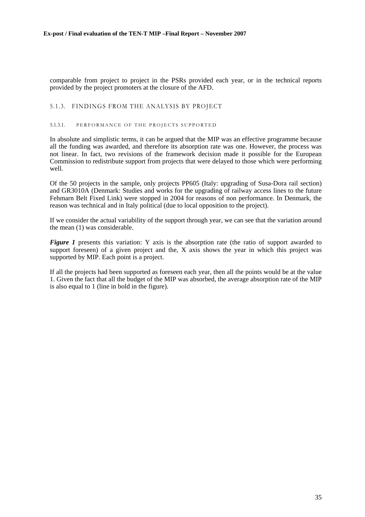comparable from project to project in the PSRs provided each year, or in the technical reports provided by the project promoters at the closure of the AFD.

#### <span id="page-34-0"></span>5.1.3. FINDINGS FROM THE ANALYSIS BY PROJECT

#### 5.1.3.1. PERFORMANCE OF THE PROJECTS SUPPORTED

In absolute and simplistic terms, it can be argued that the MIP was an effective programme because all the funding was awarded, and therefore its absorption rate was one. However, the process was not linear. In fact, two revisions of the framework decision made it possible for the European Commission to redistribute support from projects that were delayed to those which were performing well.

Of the 50 projects in the sample, only projects PP605 (Italy: upgrading of Susa-Dora rail section) and GR3010A (Denmark: Studies and works for the upgrading of railway access lines to the future Fehmarn Belt Fixed Link) were stopped in 2004 for reasons of non performance. In Denmark, the reason was technical and in Italy political (due to local opposition to the project).

If we consider the actual variability of the support through year, we can see that the variation around the mean (1) was considerable.

*[Figure 1](#page-35-0)* presents this variation: Y axis is the absorption rate (the ratio of support awarded to support foreseen) of a given project and the, X axis shows the year in which this project was supported by MIP. Each point is a project.

If all the projects had been supported as foreseen each year, then all the points would be at the value 1. Given the fact that all the budget of the MIP was absorbed, the average absorption rate of the MIP is also equal to 1 (line in bold in the figure).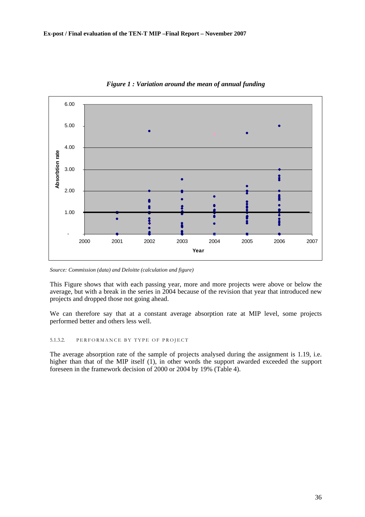<span id="page-35-0"></span>

*Figure 1 : Variation around the mean of annual funding* 

*Source: Commission (data) and Deloitte (calculation and figure)* 

This Figure shows that with each passing year, more and more projects were above or below the average, but with a break in the series in 2004 because of the revision that year that introduced new projects and dropped those not going ahead.

We can therefore say that at a constant average absorption rate at MIP level, some projects performed better and others less well.

#### 5.1.3.2. PERFORMANCE BY TYPE OF PROJECT

The average absorption rate of the sample of projects analysed during the assignment is 1.19, i.e. higher than that of the MIP itself (1), in other words the support awarded exceeded the support foreseen in the framework decision of 2000 or 2004 by 19% (Table 4).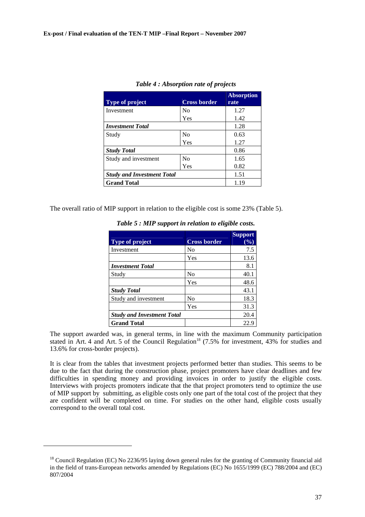| <b>Type of project</b>            | <b>Cross border</b> | <b>Absorption</b><br>rate |
|-----------------------------------|---------------------|---------------------------|
| Investment                        | N <sub>0</sub>      | 1.27                      |
|                                   | Yes                 | 1.42                      |
| <b>Investment Total</b>           |                     | 1.28                      |
| Study                             | $\rm No$            | 0.63                      |
|                                   | Yes                 | 1.27                      |
| <b>Study Total</b>                |                     | 0.86                      |
| Study and investment              | N <sub>0</sub>      | 1.65                      |
|                                   | Yes                 | 0.82                      |
| <b>Study and Investment Total</b> |                     | 1.51                      |
| <b>Grand Total</b>                |                     | 1.19                      |

|  | Table 4 : Absorption rate of projects |  |
|--|---------------------------------------|--|
|--|---------------------------------------|--|

The overall ratio of MIP support in relation to the eligible cost is some 23% (Table 5).

| <b>Type of project</b>            | <b>Cross border</b> | <b>Support</b><br>$(\%)$ |
|-----------------------------------|---------------------|--------------------------|
| Investment                        | No                  | 7.5                      |
|                                   | Yes                 | 13.6                     |
| <b>Investment Total</b>           |                     | 8.1                      |
| Study                             | No                  | 40.1                     |
|                                   | Yes                 | 48.6                     |
| <b>Study Total</b>                |                     | 43.1                     |
| Study and investment              | No                  | 18.3                     |
|                                   | Yes                 | 31.3                     |
| <b>Study and Investment Total</b> |                     | 20.4                     |
| <b>Grand Total</b>                |                     | 22.9                     |

*Table 5 : MIP support in relation to eligible costs.* 

The support awarded was, in general terms, in line with the maximum Community participation stated in Art. 4 and Art. 5 of the Council Regulation<sup>18</sup> (7.5% for investment, 43% for studies and 13.6% for cross-border projects).

It is clear from the tables that investment projects performed better than studies. This seems to be due to the fact that during the construction phase, project promoters have clear deadlines and few difficulties in spending money and providing invoices in order to justify the eligible costs. Interviews with projects promoters indicate that the that project promoters tend to optimize the use of MIP support by submitting, as eligible costs only one part of the total cost of the project that they are confident will be completed on time. For studies on the other hand, eligible costs usually correspond to the overall total cost.

<sup>&</sup>lt;sup>18</sup> Council Regulation (EC) No 2236/95 laying down general rules for the granting of Community financial aid in the field of trans-European networks amended by Regulations (EC) No 1655/1999 (EC) 788/2004 and (EC) 807/2004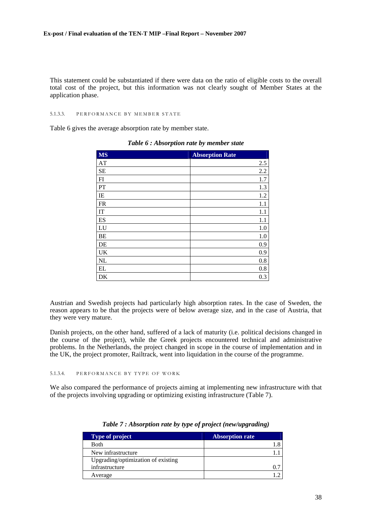This statement could be substantiated if there were data on the ratio of eligible costs to the overall total cost of the project, but this information was not clearly sought of Member States at the application phase.

#### 5.1.3.3. PERFORMANCE BY MEMBER STATE

Table 6 gives the average absorption rate by member state.

| <b>MS</b> | <b>Absorption Rate</b> |
|-----------|------------------------|
| AT        | 2.5                    |
| SE        | 2.2                    |
| FI        | 1.7                    |
| PT        | 1.3                    |
| IE        | 1.2                    |
| <b>FR</b> | 1.1                    |
| IT        | 1.1                    |
| ES        | 1.1                    |
| LU        | 1.0                    |
| BE        | 1.0                    |
| DE        | 0.9                    |
| UK        | 0.9                    |
| NL        | 0.8                    |
| EL        | 0.8                    |
| DK        | 0.3                    |

*Table 6 : Absorption rate by member state* 

Austrian and Swedish projects had particularly high absorption rates. In the case of Sweden, the reason appears to be that the projects were of below average size, and in the case of Austria, that they were very mature.

Danish projects, on the other hand, suffered of a lack of maturity (i.e. political decisions changed in the course of the project), while the Greek projects encountered technical and administrative problems. In the Netherlands, the project changed in scope in the course of implementation and in the UK, the project promoter, Railtrack, went into liquidation in the course of the programme.

### 5.1.3.4. PERFORMANCE BY TYPE OF WORK

We also compared the performance of projects aiming at implementing new infrastructure with that of the projects involving upgrading or optimizing existing infrastructure (Table 7).

| <b>Type of project</b>             | <b>Absorption rate</b> |
|------------------------------------|------------------------|
| <b>Both</b>                        | 1.8                    |
| New infrastructure                 |                        |
| Upgrading/optimization of existing |                        |
| infrastructure                     |                        |
| Average                            |                        |

*Table 7 : Absorption rate by type of project (new/upgrading)*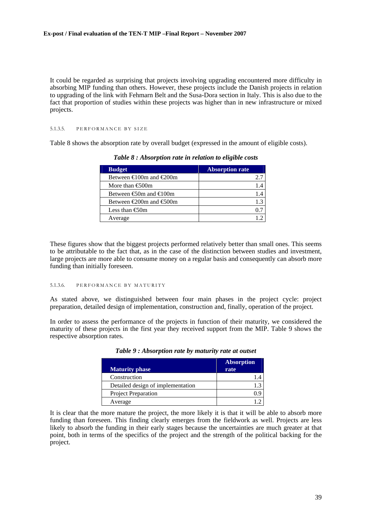It could be regarded as surprising that projects involving upgrading encountered more difficulty in absorbing MIP funding than others. However, these projects include the Danish projects in relation to upgrading of the link with Fehmarn Belt and the Susa-Dora section in Italy. This is also due to the fact that proportion of studies within these projects was higher than in new infrastructure or mixed projects.

#### 5.1.3.5. PERFORMANCE BY SIZE

Table 8 shows the absorption rate by overall budget (expressed in the amount of eligible costs).

| <b>Budget</b>                               | <b>Absorption rate</b> |
|---------------------------------------------|------------------------|
| Between $\bigoplus$ 00m and $\bigoplus$ 00m |                        |
| More than $\bigoplus$ 00m                   |                        |
| Between $\bigoplus$ 0m and $\bigoplus$ 00m  | 1.4                    |
| Between $\infty$ 00m and $\infty$ 00m       |                        |
| Less than $\bigoplus$ Om                    |                        |
| Average                                     |                        |

*Table 8 : Absorption rate in relation to eligible costs* 

These figures show that the biggest projects performed relatively better than small ones. This seems to be attributable to the fact that, as in the case of the distinction between studies and investment, large projects are more able to consume money on a regular basis and consequently can absorb more funding than initially foreseen.

## 5.1.3.6. PERFORMANCE BY MATURITY

As stated above, we distinguished between four main phases in the project cycle: project preparation, detailed design of implementation, construction and, finally, operation of the project.

In order to assess the performance of the projects in function of their maturity, we considered the maturity of these projects in the first year they received support from the MIP. Table 9 shows the respective absorption rates.

| <b>Maturity phase</b>             | <b>Absorption</b><br>rate |
|-----------------------------------|---------------------------|
| Construction                      |                           |
| Detailed design of implementation |                           |
| Project Preparation               |                           |
| Average                           |                           |

*Table 9 : Absorption rate by maturity rate at outset* 

It is clear that the more mature the project, the more likely it is that it will be able to absorb more funding than foreseen. This finding clearly emerges from the fieldwork as well. Projects are less likely to absorb the funding in their early stages because the uncertainties are much greater at that point, both in terms of the specifics of the project and the strength of the political backing for the project.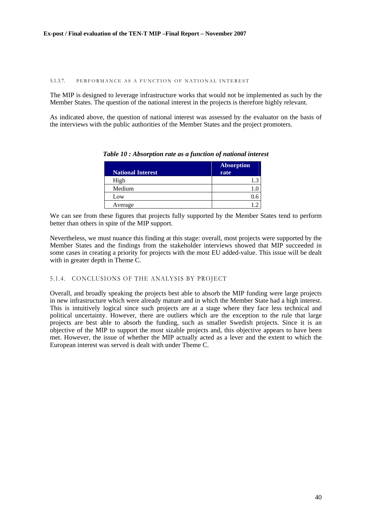#### 5.1.3.7. PERFORMANCE AS A FUNCTION OF NATIONAL INTEREST

The MIP is designed to leverage infrastructure works that would not be implemented as such by the Member States. The question of the national interest in the projects is therefore highly relevant.

As indicated above, the question of national interest was assessed by the evaluator on the basis of the interviews with the public authorities of the Member States and the project promoters.

| <b>National Interest</b> | <b>Absorption</b><br>rate |
|--------------------------|---------------------------|
| High                     | р<br>1.3                  |
| Medium                   |                           |
| Low                      | 0.6                       |
| Average                  |                           |

*Table 10 : Absorption rate as a function of national interest* 

We can see from these figures that projects fully supported by the Member States tend to perform better than others in spite of the MIP support.

Nevertheless, we must nuance this finding at this stage: overall, most projects were supported by the Member States and the findings from the stakeholder interviews showed that MIP succeeded in some cases in creating a priority for projects with the most EU added-value. This issue will be dealt with in greater depth in Theme C.

# 5.1.4. CONCLUSIONS OF THE ANALYSIS BY PROJECT

Overall, and broadly speaking the projects best able to absorb the MIP funding were large projects in new infrastructure which were already mature and in which the Member State had a high interest. This is intuitively logical since such projects are at a stage where they face less technical and political uncertainty. However, there are outliers which are the exception to the rule that large projects are best able to absorb the funding, such as smaller Swedish projects. Since it is an objective of the MIP to support the most sizable projects and, this objective appears to have been met. However, the issue of whether the MIP actually acted as a lever and the extent to which the European interest was served is dealt with under Theme C.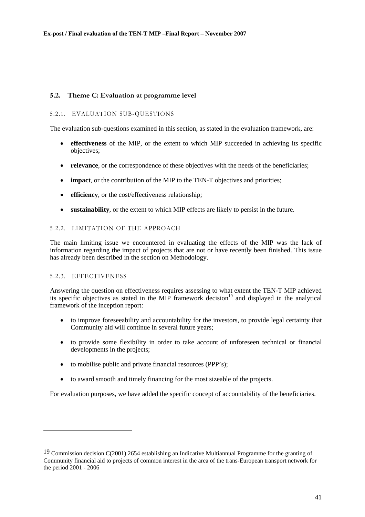# **5.2. Theme C: Evaluation at programme level**

# 5.2.1. EVALUATION SUB-QUESTIONS

The evaluation sub-questions examined in this section, as stated in the evaluation framework, are:

- **effectiveness** of the MIP, or the extent to which MIP succeeded in achieving its specific objectives;
- **relevance**, or the correspondence of these objectives with the needs of the beneficiaries;
- **impact**, or the contribution of the MIP to the TEN-T objectives and priorities;
- **efficiency**, or the cost/effectiveness relationship;
- **sustainability**, or the extent to which MIP effects are likely to persist in the future.

# 5.2.2. LIMITATION OF THE APPROACH

The main limiting issue we encountered in evaluating the effects of the MIP was the lack of information regarding the impact of projects that are not or have recently been finished. This issue has already been described in the section on Methodology.

## 5.2.3. EFFECTIVENESS

l

Answering the question on effectiveness requires assessing to what extent the TEN-T MIP achieved its specific objectives as stated in the MIP framework decision<sup>19</sup> and displayed in the analytical framework of the inception report:

- to improve foreseeability and accountability for the investors, to provide legal certainty that Community aid will continue in several future years;
- to provide some flexibility in order to take account of unforeseen technical or financial developments in the projects;
- to mobilise public and private financial resources (PPP's);
- to award smooth and timely financing for the most sizeable of the projects.

For evaluation purposes, we have added the specific concept of accountability of the beneficiaries.

<sup>19</sup> Commission decision C(2001) 2654 establishing an Indicative Multiannual Programme for the granting of Community financial aid to projects of common interest in the area of the trans-European transport network for the period 2001 - 2006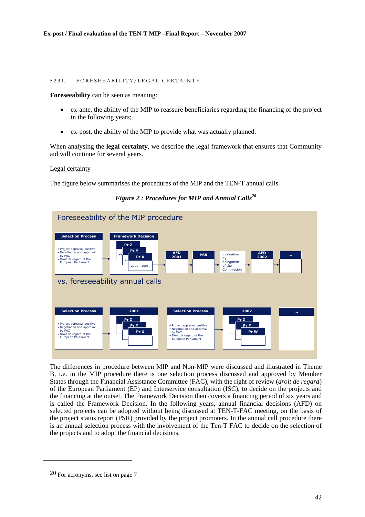## 5.2.3.1. FORESEEABILITY/LEGAL CERTAINTY

**Foreseeability** can be seen as meaning:

- ex-ante, the ability of the MIP to reassure beneficiaries regarding the financing of the project in the following years;
- ex-post, the ability of the MIP to provide what was actually planned.

When analysing the **legal certainty**, we describe the legal framework that ensures that Community aid will continue for several years.

Legal certainty

The figure below summarises the procedures of the MIP and the TEN-T annual calls.



*Figure 2 : Procedures for MIP and Annual Calls20* 

The differences in procedure between MIP and Non-MIP were discussed and illustrated in Theme B, i.e. in the MIP procedure there is one selection process discussed and approved by Member States through the Financial Assistance Committee (FAC), with the right of review (*droit de regard*) of the European Parliament (EP) and Interservice consultation (ISC), to decide on the projects and the financing at the outset. The Framework Decision then covers a financing period of six years and is called the Framework Decision. In the following years, annual financial decisions (AFD) on selected projects can be adopted without being discussed at TEN-T-FAC meeting, on the basis of the project status report (PSR) provided by the project promoters. In the annual call procedure there is an annual selection process with the involvement of the Ten-T FAC to decide on the selection of the projects and to adopt the financial decisions.

<sup>20</sup> For acronyms, see list on page 7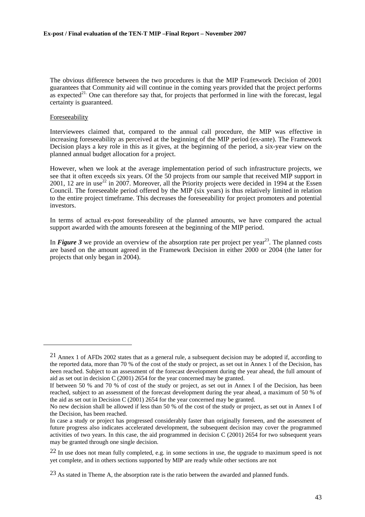The obvious difference between the two procedures is that the MIP Framework Decision of 2001 guarantees that Community aid will continue in the coming years provided that the project performs as expected<sup>21.</sup> One can therefore say that, for projects that performed in line with the forecast, legal certainty is guaranteed.

# **Foreseeability**

l

Interviewees claimed that, compared to the annual call procedure, the MIP was effective in increasing foreseeability as perceived at the beginning of the MIP period (ex-ante). The Framework Decision plays a key role in this as it gives, at the beginning of the period, a six-year view on the planned annual budget allocation for a project.

However, when we look at the average implementation period of such infrastructure projects, we see that it often exceeds six years. Of the 50 projects from our sample that received MIP support in 2001, 12 are in use<sup>22</sup> in 2007. Moreover, all the Priority projects were decided in 1994 at the Essen Council. The foreseeable period offered by the MIP (six years) is thus relatively limited in relation to the entire project timeframe. This decreases the foreseeability for project promoters and potential investors.

In terms of actual ex-post foreseeability of the planned amounts, we have compared the actual support awarded with the amounts foreseen at the beginning of the MIP period.

In **[Figure 3](#page-43-0)** we provide an overview of the absorption rate per project per year<sup>23</sup>. The planned costs are based on the amount agreed in the Framework Decision in either 2000 or 2004 (the latter for projects that only began in 2004).

<sup>21</sup> Annex 1 of AFDs 2002 states that as a general rule, a subsequent decision may be adopted if, according to the reported data, more than 70 % of the cost of the study or project, as set out in Annex 1 of the Decision, has been reached. Subject to an assessment of the forecast development during the year ahead, the full amount of aid as set out in decision C (2001) 2654 for the year concerned may be granted.

If between 50 % and 70 % of cost of the study or project, as set out in Annex I of the Decision, has been reached, subject to an assessment of the forecast development during the year ahead, a maximum of 50 % of the aid as set out in Decision C (2001) 2654 for the year concerned may be granted.

No new decision shall be allowed if less than 50 % of the cost of the study or project, as set out in Annex I of the Decision, has been reached.

In case a study or project has progressed considerably faster than originally foreseen, and the assessment of future progress also indicates accelerated development, the subsequent decision may cover the programmed activities of two years. In this case, the aid programmed in decision C (2001) 2654 for two subsequent years may be granted through one single decision.

 $22$  In use does not mean fully completed, e.g. in some sections in use, the upgrade to maximum speed is not yet complete, and in others sections supported by MIP are ready while other sections are not

<sup>&</sup>lt;sup>23</sup> As stated in Theme A, the absorption rate is the ratio between the awarded and planned funds.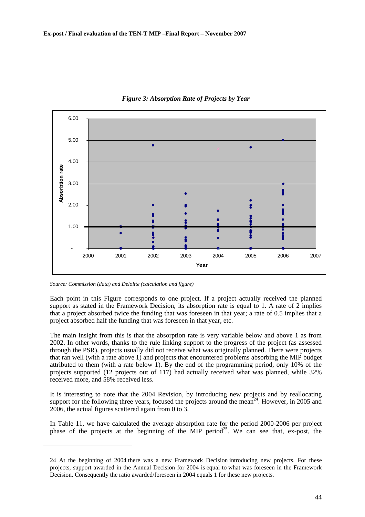<span id="page-43-0"></span>

*Figure 3: Absorption Rate of Projects by Year* 

*Source: Commission (data) and Deloitte (calculation and figure)* 

l

Each point in this Figure corresponds to one project. If a project actually received the planned support as stated in the Framework Decision, its absorption rate is equal to 1. A rate of 2 implies that a project absorbed twice the funding that was foreseen in that year; a rate of 0.5 implies that a project absorbed half the funding that was foreseen in that year, etc.

The main insight from this is that the absorption rate is very variable below and above 1 as from 2002. In other words, thanks to the rule linking support to the progress of the project (as assessed through the PSR), projects usually did not receive what was originally planned. There were projects that ran well (with a rate above 1) and projects that encountered problems absorbing the MIP budget attributed to them (with a rate below 1). By the end of the programming period, only 10% of the projects supported (12 projects out of 117) had actually received what was planned, while 32% received more, and 58% received less.

It is interesting to note that the 2004 Revision, by introducing new projects and by reallocating support for the following three years, focused the projects around the mean<sup>24</sup>. However, in 2005 and 2006, the actual figures scattered again from 0 to 3.

In [Table 11,](#page-44-0) we have calculated the average absorption rate for the period 2000-2006 per project phase of the projects at the beginning of the MIP period<sup>25</sup>. We can see that, ex-post, the

<sup>24</sup> At the beginning of 2004 there was a new Framework Decision introducing new projects. For these projects, support awarded in the Annual Decision for 2004 is equal to what was foreseen in the Framework Decision. Consequently the ratio awarded/foreseen in 2004 equals 1 for these new projects.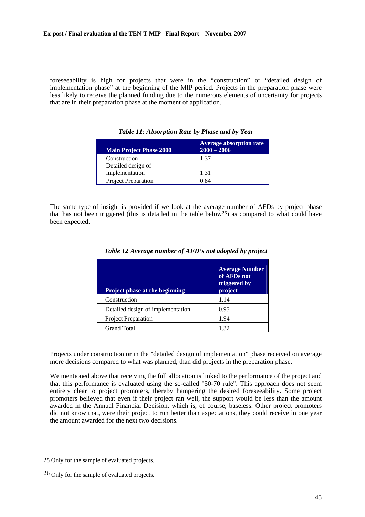<span id="page-44-0"></span>foreseeability is high for projects that were in the "construction" or "detailed design of implementation phase" at the beginning of the MIP period. Projects in the preparation phase were less likely to receive the planned funding due to the numerous elements of uncertainty for projects that are in their preparation phase at the moment of application.

| <b>Main Project Phase 2000</b> | <b>Average absorption rate</b><br>$2000 - 2006$ |
|--------------------------------|-------------------------------------------------|
| Construction                   | 1.37                                            |
| Detailed design of             |                                                 |
| implementation                 | 1.31                                            |
| <b>Project Preparation</b>     | 0.84                                            |

*Table 11: Absorption Rate by Phase and by Year* 

The same type of insight is provided if we look at the average number of AFDs by project phase that has not been triggered (this is detailed in the table below26) as compared to what could have been expected.

| <b>Project phase at the beginning</b> | <b>Average Number</b><br>of AFDs not<br>triggered by<br>project |
|---------------------------------------|-----------------------------------------------------------------|
| Construction                          | 1.14                                                            |
| Detailed design of implementation     | 0.95                                                            |
| Project Preparation                   | 1.94                                                            |
| <b>Grand Total</b>                    | 1.32                                                            |

|  |  | Table 12 Average number of AFD's not adopted by project |  |  |  |
|--|--|---------------------------------------------------------|--|--|--|
|--|--|---------------------------------------------------------|--|--|--|

Projects under construction or in the "detailed design of implementation" phase received on average more decisions compared to what was planned, than did projects in the preparation phase.

We mentioned above that receiving the full allocation is linked to the performance of the project and that this performance is evaluated using the so-called "50-70 rule". This approach does not seem entirely clear to project promoters, thereby hampering the desired foreseeability. Some project promoters believed that even if their project ran well, the support would be less than the amount awarded in the Annual Financial Decision, which is, of course, baseless. Other project promoters did not know that, were their project to run better than expectations, they could receive in one year the amount awarded for the next two decisions.

<sup>25</sup> Only for the sample of evaluated projects.

<sup>26</sup> Only for the sample of evaluated projects.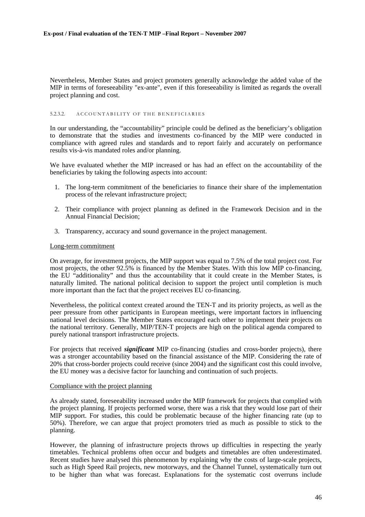Nevertheless, Member States and project promoters generally acknowledge the added value of the MIP in terms of foreseeability "ex-ante", even if this foreseeability is limited as regards the overall project planning and cost.

#### 5.2.3.2. ACCOUNTABILITY OF THE BENEFICIARIES

In our understanding, the "accountability" principle could be defined as the beneficiary's obligation to demonstrate that the studies and investments co-financed by the MIP were conducted in compliance with agreed rules and standards and to report fairly and accurately on performance results vis-à-vis mandated roles and/or planning.

We have evaluated whether the MIP increased or has had an effect on the accountability of the beneficiaries by taking the following aspects into account:

- 1. The long-term commitment of the beneficiaries to finance their share of the implementation process of the relevant infrastructure project;
- 2. Their compliance with project planning as defined in the Framework Decision and in the Annual Financial Decision;
- 3. Transparency, accuracy and sound governance in the project management.

## Long-term commitment

On average, for investment projects, the MIP support was equal to 7.5% of the total project cost. For most projects, the other 92.5% is financed by the Member States. With this low MIP co-financing, the EU "additionality" and thus the accountability that it could create in the Member States, is naturally limited. The national political decision to support the project until completion is much more important than the fact that the project receives EU co-financing.

Nevertheless, the political context created around the TEN-T and its priority projects, as well as the peer pressure from other participants in European meetings, were important factors in influencing national level decisions. The Member States encouraged each other to implement their projects on the national territory. Generally, MIP/TEN-T projects are high on the political agenda compared to purely national transport infrastructure projects.

For projects that received *significant* MIP co-financing (studies and cross-border projects), there was a stronger accountability based on the financial assistance of the MIP. Considering the rate of 20% that cross-border projects could receive (since 2004) and the significant cost this could involve, the EU money was a decisive factor for launching and continuation of such projects.

## Compliance with the project planning

As already stated, foreseeability increased under the MIP framework for projects that complied with the project planning. If projects performed worse, there was a risk that they would lose part of their MIP support. For studies, this could be problematic because of the higher financing rate (up to 50%). Therefore, we can argue that project promoters tried as much as possible to stick to the planning.

However, the planning of infrastructure projects throws up difficulties in respecting the yearly timetables. Technical problems often occur and budgets and timetables are often underestimated. Recent studies have analysed this phenomenon by explaining why the costs of large-scale projects, such as High Speed Rail projects, new motorways, and the Channel Tunnel, systematically turn out to be higher than what was forecast. Explanations for the systematic cost overruns include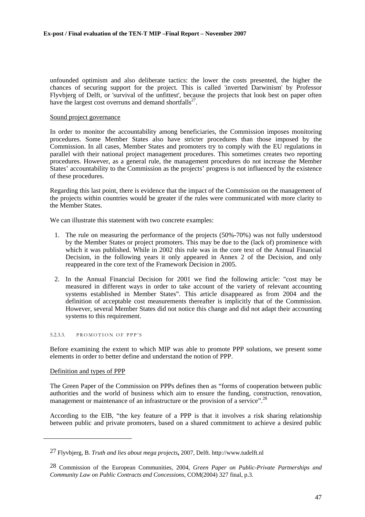unfounded optimism and also deliberate tactics: the lower the costs presented, the higher the chances of securing support for the project. This is called 'inverted Darwinism' by Professor Flyvbjerg of Delft, or 'survival of the unfittest', because the projects that look best on paper often have the largest cost overruns and demand shortfalls<sup>27</sup>.

# Sound project governance

In order to monitor the accountability among beneficiaries, the Commission imposes monitoring procedures. Some Member States also have stricter procedures than those imposed by the Commission. In all cases, Member States and promoters try to comply with the EU regulations in parallel with their national project management procedures. This sometimes creates two reporting procedures. However, as a general rule, the management procedures do not increase the Member States' accountability to the Commission as the projects' progress is not influenced by the existence of these procedures.

Regarding this last point, there is evidence that the impact of the Commission on the management of the projects within countries would be greater if the rules were communicated with more clarity to the Member States.

We can illustrate this statement with two concrete examples:

- 1. The rule on measuring the performance of the projects (50%-70%) was not fully understood by the Member States or project promoters. This may be due to the (lack of) prominence with which it was published. While in 2002 this rule was in the core text of the Annual Financial Decision, in the following years it only appeared in Annex 2 of the Decision, and only reappeared in the core text of the Framework Decision in 2005.
- 2. In the Annual Financial Decision for 2001 we find the following article: "cost may be measured in different ways in order to take account of the variety of relevant accounting systems established in Member States". This article disappeared as from 2004 and the definition of acceptable cost measurements thereafter is implicitly that of the Commission. However, several Member States did not notice this change and did not adapt their accounting systems to this requirement.

#### 5.2.3.3. PROMOTION OF PPP'S

Before examining the extent to which MIP was able to promote PPP solutions, we present some elements in order to better define and understand the notion of PPP.

## Definition and types of PPP

l

The Green Paper of the Commission on PPPs defines then as "forms of cooperation between public authorities and the world of business which aim to ensure the funding, construction, renovation, management or maintenance of an infrastructure or the provision of a service".<sup>28</sup>

According to the EIB, "the key feature of a PPP is that it involves a risk sharing relationship between public and private promoters, based on a shared commitment to achieve a desired public

<sup>27</sup> Flyvbjerg, B. *Truth and lies about mega projects***,** 2007, Delft. http://www.tudelft.nl

<sup>28</sup> Commission of the European Communities, 2004, *Green Paper on Public-Private Partnerships and Community Law on Public Contracts and Concessions*, COM(2004) 327 final, p.3.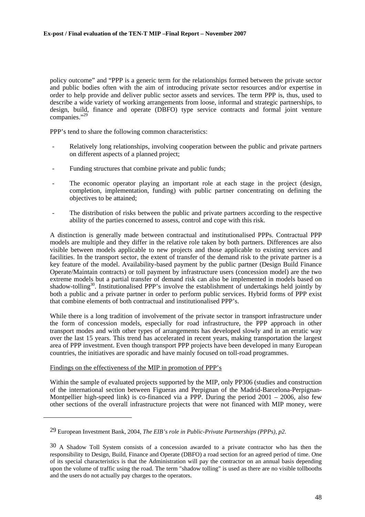policy outcome" and "PPP is a generic term for the relationships formed between the private sector and public bodies often with the aim of introducing private sector resources and/or expertise in order to help provide and deliver public sector assets and services. The term PPP is, thus, used to describe a wide variety of working arrangements from loose, informal and strategic partnerships, to design, build, finance and operate (DBFO) type service contracts and formal joint venture companies."<sup>29</sup>

PPP's tend to share the following common characteristics:

- Relatively long relationships, involving cooperation between the public and private partners on different aspects of a planned project;
- Funding structures that combine private and public funds;
- The economic operator playing an important role at each stage in the project (design, completion, implementation, funding) with public partner concentrating on defining the objectives to be attained;
- The distribution of risks between the public and private partners according to the respective ability of the parties concerned to assess, control and cope with this risk.

A distinction is generally made between contractual and institutionalised PPPs. Contractual PPP models are multiple and they differ in the relative role taken by both partners. Differences are also visible between models applicable to new projects and those applicable to existing services and facilities. In the transport sector, the extent of transfer of the demand risk to the private partner is a key feature of the model. Availability-based payment by the public partner (Design Build Finance Operate/Maintain contracts) or toll payment by infrastructure users (concession model) are the two extreme models but a partial transfer of demand risk can also be implemented in models based on shadow-tolling<sup>30</sup>. Institutionalised PPP's involve the establishment of undertakings held jointly by both a public and a private partner in order to perform public services. Hybrid forms of PPP exist that combine elements of both contractual and institutionalised PPP's.

While there is a long tradition of involvement of the private sector in transport infrastructure under the form of concession models, especially for road infrastructure, the PPP approach in other transport modes and with other types of arrangements has developed slowly and in an erratic way over the last 15 years. This trend has accelerated in recent years, making transportation the largest area of PPP investment. Even though transport PPP projects have been developed in many European countries, the initiatives are sporadic and have mainly focused on toll-road programmes.

# Findings on the effectiveness of the MIP in promotion of PPP's

l

Within the sample of evaluated projects supported by the MIP, only PP306 (studies and construction of the international section between Figueras and Perpignan of the Madrid-Barcelona-Perpignan-Montpellier high-speed link) is co-financed via a PPP. During the period  $2001 - 2006$ , also few other sections of the overall infrastructure projects that were not financed with MIP money, were

<sup>29</sup> European Investment Bank, 2004, *The EIB's role in Public-Private Partnerships (PPPs), p2*.

<sup>30</sup> A Shadow Toll System consists of a concession awarded to a private contractor who has then the responsibility to Design, Build, Finance and Operate (DBFO) a road section for an agreed period of time. One of its special characteristics is that the Administration will pay the contractor on an annual basis depending upon the volume of traffic using the road. The term "shadow tolling" is used as there are no visible tollbooths and the users do not actually pay charges to the operators.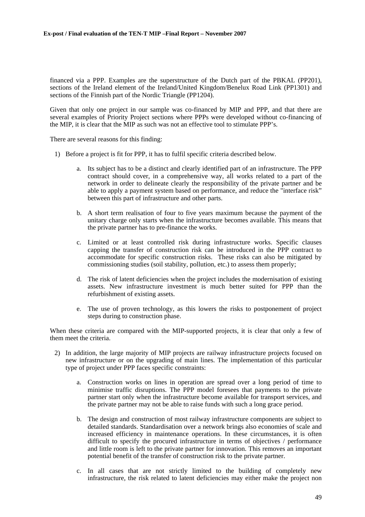financed via a PPP. Examples are the superstructure of the Dutch part of the PBKAL (PP201), sections of the Ireland element of the Ireland/United Kingdom/Benelux Road Link (PP1301) and sections of the Finnish part of the Nordic Triangle (PP1204).

Given that only one project in our sample was co-financed by MIP and PPP, and that there are several examples of Priority Project sections where PPPs were developed without co-financing of the MIP, it is clear that the MIP as such was not an effective tool to stimulate PPP's.

There are several reasons for this finding:

- 1) Before a project is fit for PPP, it has to fulfil specific criteria described below.
	- a. Its subject has to be a distinct and clearly identified part of an infrastructure. The PPP contract should cover, in a comprehensive way, all works related to a part of the network in order to delineate clearly the responsibility of the private partner and be able to apply a payment system based on performance, and reduce the "interface risk" between this part of infrastructure and other parts.
	- b. A short term realisation of four to five years maximum because the payment of the unitary charge only starts when the infrastructure becomes available. This means that the private partner has to pre-finance the works.
	- c. Limited or at least controlled risk during infrastructure works. Specific clauses capping the transfer of construction risk can be introduced in the PPP contract to accommodate for specific construction risks. These risks can also be mitigated by commissioning studies (soil stability, pollution, etc.) to assess them properly;
	- d. The risk of latent deficiencies when the project includes the modernisation of existing assets. New infrastructure investment is much better suited for PPP than the refurbishment of existing assets.
	- e. The use of proven technology, as this lowers the risks to postponement of project steps during to construction phase.

When these criteria are compared with the MIP-supported projects, it is clear that only a few of them meet the criteria.

- 2) In addition, the large majority of MIP projects are railway infrastructure projects focused on new infrastructure or on the upgrading of main lines. The implementation of this particular type of project under PPP faces specific constraints:
	- a. Construction works on lines in operation are spread over a long period of time to minimise traffic disruptions. The PPP model foresees that payments to the private partner start only when the infrastructure become available for transport services, and the private partner may not be able to raise funds with such a long grace period.
	- b. The design and construction of most railway infrastructure components are subject to detailed standards. Standardisation over a network brings also economies of scale and increased efficiency in maintenance operations. In these circumstances, it is often difficult to specify the procured infrastructure in terms of objectives / performance and little room is left to the private partner for innovation. This removes an important potential benefit of the transfer of construction risk to the private partner.
	- c. In all cases that are not strictly limited to the building of completely new infrastructure, the risk related to latent deficiencies may either make the project non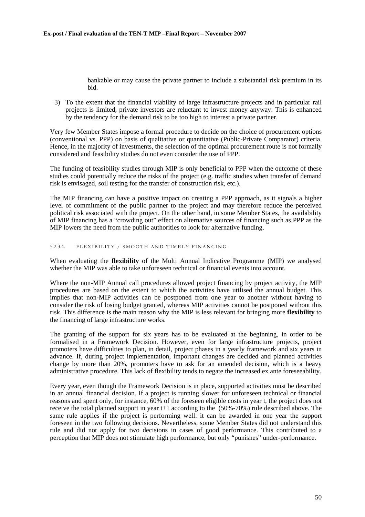bankable or may cause the private partner to include a substantial risk premium in its bid.

3) To the extent that the financial viability of large infrastructure projects and in particular rail projects is limited, private investors are reluctant to invest money anyway. This is enhanced by the tendency for the demand risk to be too high to interest a private partner.

Very few Member States impose a formal procedure to decide on the choice of procurement options (conventional vs. PPP) on basis of qualitative or quantitative (Public-Private Comparator) criteria. Hence, in the majority of investments, the selection of the optimal procurement route is not formally considered and feasibility studies do not even consider the use of PPP.

The funding of feasibility studies through MIP is only beneficial to PPP when the outcome of these studies could potentially reduce the risks of the project (e.g. traffic studies when transfer of demand risk is envisaged, soil testing for the transfer of construction risk, etc.).

The MIP financing can have a positive impact on creating a PPP approach, as it signals a higher level of commitment of the public partner to the project and may therefore reduce the perceived political risk associated with the project. On the other hand, in some Member States, the availability of MIP financing has a "crowding out" effect on alternative sources of financing such as PPP as the MIP lowers the need from the public authorities to look for alternative funding.

## 5.2.3.4. FLEXIBILITY / SMOOTH AND TIMELY FINANCING

When evaluating the **flexibility** of the Multi Annual Indicative Programme (MIP) we analysed whether the MIP was able to take unforeseen technical or financial events into account.

Where the non-MIP Annual call procedures allowed project financing by project activity, the MIP procedures are based on the extent to which the activities have utilised the annual budget. This implies that non-MIP activities can be postponed from one year to another without having to consider the risk of losing budget granted, whereas MIP activities cannot be postponed without this risk. This difference is the main reason why the MIP is less relevant for bringing more **flexibility** to the financing of large infrastructure works.

The granting of the support for six years has to be evaluated at the beginning, in order to be formalised in a Framework Decision. However, even for large infrastructure projects, project promoters have difficulties to plan, in detail, project phases in a yearly framework and six years in advance. If, during project implementation, important changes are decided and planned activities change by more than 20%, promoters have to ask for an amended decision, which is a heavy administrative procedure. This lack of flexibility tends to negate the increased ex ante foreseeability.

Every year, even though the Framework Decision is in place, supported activities must be described in an annual financial decision. If a project is running slower for unforeseen technical or financial reasons and spent only, for instance, 60% of the foreseen eligible costs in year t, the project does not receive the total planned support in year t+1 according to the (50%-70%) rule described above. The same rule applies if the project is performing well: it can be awarded in one year the support foreseen in the two following decisions. Nevertheless, some Member States did not understand this rule and did not apply for two decisions in cases of good performance. This contributed to a perception that MIP does not stimulate high performance, but only "punishes" under-performance.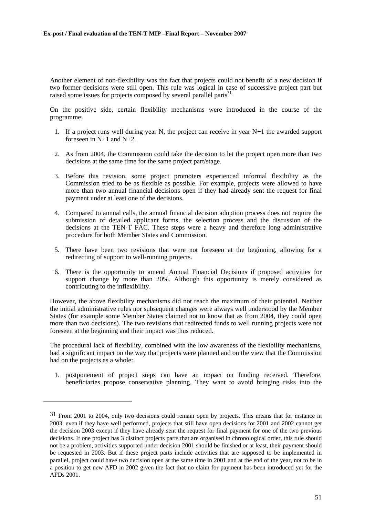Another element of non-flexibility was the fact that projects could not benefit of a new decision if two former decisions were still open. This rule was logical in case of successive project part but raised some issues for projects composed by several parallel parts<sup>31.</sup>

On the positive side, certain flexibility mechanisms were introduced in the course of the programme:

- 1. If a project runs well during year N, the project can receive in year N+1 the awarded support foreseen in  $N+1$  and  $N+2$ .
- 2. As from 2004, the Commission could take the decision to let the project open more than two decisions at the same time for the same project part/stage.
- 3. Before this revision, some project promoters experienced informal flexibility as the Commission tried to be as flexible as possible. For example, projects were allowed to have more than two annual financial decisions open if they had already sent the request for final payment under at least one of the decisions.
- 4. Compared to annual calls, the annual financial decision adoption process does not require the submission of detailed applicant forms, the selection process and the discussion of the decisions at the TEN-T FAC. These steps were a heavy and therefore long administrative procedure for both Member States and Commission.
- 5. There have been two revisions that were not foreseen at the beginning, allowing for a redirecting of support to well-running projects.
- 6. There is the opportunity to amend Annual Financial Decisions if proposed activities for support change by more than 20%. Although this opportunity is merely considered as contributing to the inflexibility.

However, the above flexibility mechanisms did not reach the maximum of their potential. Neither the initial administrative rules nor subsequent changes were always well understood by the Member States (for example some Member States claimed not to know that as from 2004, they could open more than two decisions). The two revisions that redirected funds to well running projects were not foreseen at the beginning and their impact was thus reduced.

The procedural lack of flexibility, combined with the low awareness of the flexibility mechanisms, had a significant impact on the way that projects were planned and on the view that the Commission had on the projects as a whole:

1. postponement of project steps can have an impact on funding received. Therefore, beneficiaries propose conservative planning. They want to avoid bringing risks into the

<sup>31</sup> From 2001 to 2004, only two decisions could remain open by projects. This means that for instance in 2003, even if they have well performed, projects that still have open decisions for 2001 and 2002 cannot get the decision 2003 except if they have already sent the request for final payment for one of the two previous decisions. If one project has 3 distinct projects parts that are organised in chronological order, this rule should not be a problem, activities supported under decision 2001 should be finished or at least, their payment should be requested in 2003. But if these project parts include activities that are supposed to be implemented in parallel, project could have two decision open at the same time in 2001 and at the end of the year, not to be in a position to get new AFD in 2002 given the fact that no claim for payment has been introduced yet for the AFDs 2001.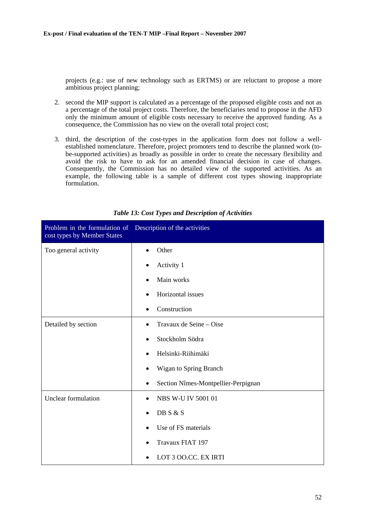projects (e.g.: use of new technology such as ERTMS) or are reluctant to propose a more ambitious project planning;

- 2. second the MIP support is calculated as a percentage of the proposed eligible costs and not as a percentage of the total project costs. Therefore, the beneficiaries tend to propose in the AFD only the minimum amount of eligible costs necessary to receive the approved funding. As a consequence, the Commission has no view on the overall total project cost;
- 3. third, the description of the cost-types in the application form does not follow a wellestablished nomenclature. Therefore, project promoters tend to describe the planned work (tobe-supported activities) as broadly as possible in order to create the necessary flexibility and avoid the risk to have to ask for an amended financial decision in case of changes. Consequently, the Commission has no detailed view of the supported activities. As an example, the following table is a sample of different cost types showing inappropriate formulation.

| Problem in the formulation of<br>cost types by Member States | Description of the activities                    |
|--------------------------------------------------------------|--------------------------------------------------|
| Too general activity                                         | Other                                            |
|                                                              | Activity 1                                       |
|                                                              | Main works                                       |
|                                                              | Horizontal issues                                |
|                                                              | Construction                                     |
| Detailed by section                                          | Travaux de Seine – Oise                          |
|                                                              | Stockholm Södra<br>٠                             |
|                                                              | Helsinki-Riihimäki<br>٠                          |
|                                                              | Wigan to Spring Branch                           |
|                                                              | Section Nîmes-Montpellier-Perpignan<br>$\bullet$ |
| Unclear formulation                                          | <b>NBS W-U IV 5001 01</b><br>٠                   |
|                                                              | DB S & S                                         |
|                                                              | Use of FS materials                              |
|                                                              | Travaux FIAT 197                                 |
|                                                              | LOT 3 OO.CC. EX IRTI                             |

*Table 13: Cost Types and Description of Activities*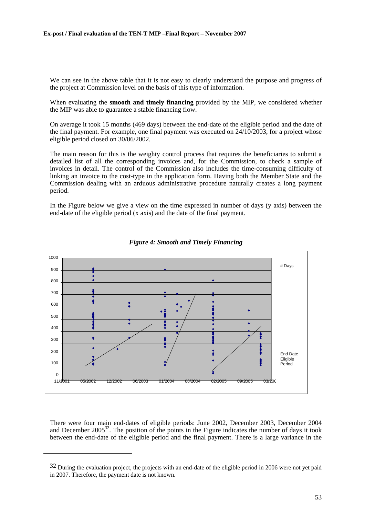We can see in the above table that it is not easy to clearly understand the purpose and progress of the project at Commission level on the basis of this type of information.

When evaluating the **smooth and timely financing** provided by the MIP, we considered whether the MIP was able to guarantee a stable financing flow.

On average it took 15 months (469 days) between the end-date of the eligible period and the date of the final payment. For example, one final payment was executed on 24/10/2003, for a project whose eligible period closed on 30/06/2002.

The main reason for this is the weighty control process that requires the beneficiaries to submit a detailed list of all the corresponding invoices and, for the Commission, to check a sample of invoices in detail. The control of the Commission also includes the time-consuming difficulty of linking an invoice to the cost-type in the application form. Having both the Member State and the Commission dealing with an arduous administrative procedure naturally creates a long payment period.

In the Figure below we give a view on the time expressed in number of days (y axis) between the end-date of the eligible period (x axis) and the date of the final payment.





There were four main end-dates of eligible periods: June 2002, December 2003, December 2004 and December  $2005^{32}$ . The position of the points in the Figure indicates the number of days it took between the end-date of the eligible period and the final payment. There is a large variance in the

<sup>&</sup>lt;sup>32</sup> During the evaluation project, the projects with an end-date of the eligible period in 2006 were not yet paid in 2007. Therefore, the payment date is not known.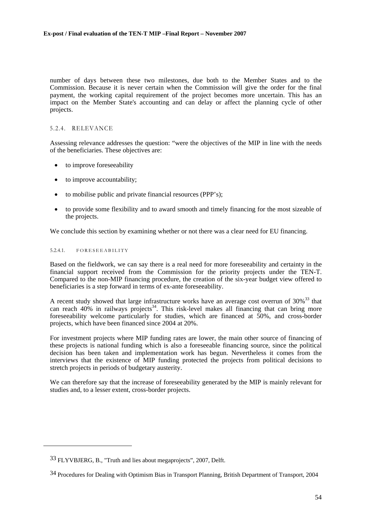number of days between these two milestones, due both to the Member States and to the Commission. Because it is never certain when the Commission will give the order for the final payment, the working capital requirement of the project becomes more uncertain. This has an impact on the Member State's accounting and can delay or affect the planning cycle of other projects.

# 5.2.4. RELEVANCE

Assessing relevance addresses the question: "were the objectives of the MIP in line with the needs of the beneficiaries. These objectives are:

- to improve foreseeability
- to improve accountability;
- to mobilise public and private financial resources (PPP's);
- to provide some flexibility and to award smooth and timely financing for the most sizeable of the projects.

We conclude this section by examining whether or not there was a clear need for EU financing.

#### 5.2.4.1. FORESEEABILITY

l

Based on the fieldwork, we can say there is a real need for more foreseeability and certainty in the financial support received from the Commission for the priority projects under the TEN-T. Compared to the non-MIP financing procedure, the creation of the six-year budget view offered to beneficiaries is a step forward in terms of ex-ante foreseeability.

A recent study showed that large infrastructure works have an average cost overrun of  $30\%$ <sup>33</sup> that can reach 40% in railways projects<sup>34</sup>. This risk-level makes all financing that can bring more foreseeability welcome particularly for studies, which are financed at 50%, and cross-border projects, which have been financed since 2004 at 20%.

For investment projects where MIP funding rates are lower, the main other source of financing of these projects is national funding which is also a foreseeable financing source, since the political decision has been taken and implementation work has begun. Nevertheless it comes from the interviews that the existence of MIP funding protected the projects from political decisions to stretch projects in periods of budgetary austerity.

We can therefore say that the increase of foreseeability generated by the MIP is mainly relevant for studies and, to a lesser extent, cross-border projects.

<sup>33</sup> FLYVBJERG, B., "Truth and lies about megaprojects", 2007, Delft.

<sup>34</sup> Procedures for Dealing with Optimism Bias in Transport Planning, British Department of Transport, 2004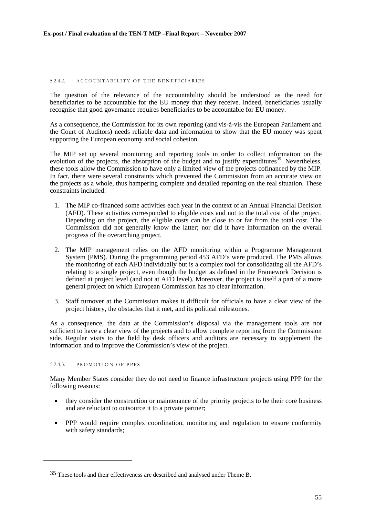#### 5.2.4.2. ACCOUNTABILITY OF THE BENEFICIARIES

The question of the relevance of the accountability should be understood as the need for beneficiaries to be accountable for the EU money that they receive. Indeed, beneficiaries usually recognise that good governance requires beneficiaries to be accountable for EU money.

As a consequence, the Commission for its own reporting (and vis-à-vis the European Parliament and the Court of Auditors) needs reliable data and information to show that the EU money was spent supporting the European economy and social cohesion.

The MIP set up several monitoring and reporting tools in order to collect information on the evolution of the projects, the absorption of the budget and to justify expenditures<sup>35</sup>. Nevertheless, these tools allow the Commission to have only a limited view of the projects cofinanced by the MIP. In fact, there were several constraints which prevented the Commission from an accurate view on the projects as a whole, thus hampering complete and detailed reporting on the real situation. These constraints included:

- 1. The MIP co-financed some activities each year in the context of an Annual Financial Decision (AFD). These activities corresponded to eligible costs and not to the total cost of the project. Depending on the project, the eligible costs can be close to or far from the total cost. The Commission did not generally know the latter; nor did it have information on the overall progress of the overarching project.
- 2. The MIP management relies on the AFD monitoring within a Programme Management System (PMS). During the programming period 453 AFD's were produced. The PMS allows the monitoring of each AFD individually but is a complex tool for consolidating all the AFD's relating to a single project, even though the budget as defined in the Framework Decision is defined at project level (and not at AFD level). Moreover, the project is itself a part of a more general project on which European Commission has no clear information.
- 3. Staff turnover at the Commission makes it difficult for officials to have a clear view of the project history, the obstacles that it met, and its political milestones.

As a consequence, the data at the Commission's disposal via the management tools are not sufficient to have a clear view of the projects and to allow complete reporting from the Commission side. Regular visits to the field by desk officers and auditors are necessary to supplement the information and to improve the Commission's view of the project.

#### 5.2.4.3. PROMOTION OF PPPS

l

Many Member States consider they do not need to finance infrastructure projects using PPP for the following reasons:

- they consider the construction or maintenance of the priority projects to be their core business and are reluctant to outsource it to a private partner;
- PPP would require complex coordination, monitoring and regulation to ensure conformity with safety standards;

<sup>35</sup> These tools and their effectiveness are described and analysed under Theme B.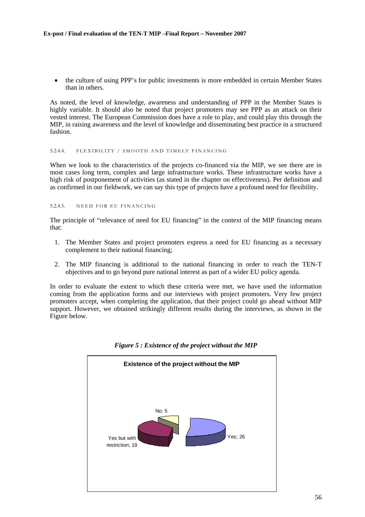• the culture of using PPP's for public investments is more embedded in certain Member States than in others.

As noted, the level of knowledge, awareness and understanding of PPP in the Member States is highly variable. It should also be noted that project promoters may see PPP as an attack on their vested interest. The European Commission does have a role to play, and could play this through the MIP, in raising awareness and the level of knowledge and disseminating best practice in a structured fashion.

#### 5.2.4.4. FLEXIBILITY / SMOOTH AND TIMELY FINANCING

When we look to the characteristics of the projects co-financed via the MIP, we see there are in most cases long term, complex and large infrastructure works. These infrastructure works have a high risk of postponement of activities (as stated in the chapter on effectiveness). Per definition and as confirmed in our fieldwork, we can say this type of projects have a profound need for flexibility.

### 5.2.4.5. NEED FOR EU FINANCING

The principle of "relevance of need for EU financing" in the context of the MIP financing means that:

- 1. The Member States and project promoters express a need for EU financing as a necessary complement to their national financing;
- 2. The MIP financing is additional to the national financing in order to reach the TEN-T objectives and to go beyond pure national interest as part of a wider EU policy agenda.

In order to evaluate the extent to which these criteria were met, we have used the information coming from the application forms and our interviews with project promoters. Very few project promoters accept, when completing the application, that their project could go ahead without MIP support. However, we obtained strikingly different results during the interviews, as shown in the Figure below.



*Figure 5 : Existence of the project without the MIP*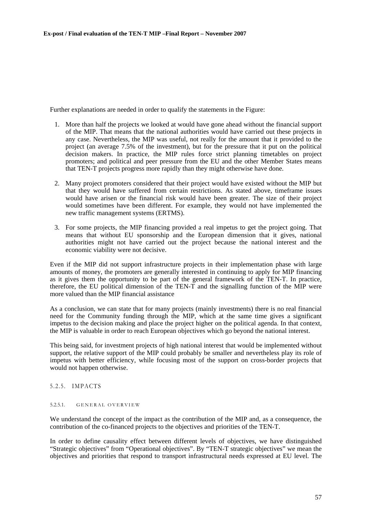Further explanations are needed in order to qualify the statements in the Figure:

- 1. More than half the projects we looked at would have gone ahead without the financial support of the MIP. That means that the national authorities would have carried out these projects in any case. Nevertheless, the MIP was useful, not really for the amount that it provided to the project (an average 7.5% of the investment), but for the pressure that it put on the political decision makers. In practice, the MIP rules force strict planning timetables on project promoters; and political and peer pressure from the EU and the other Member States means that TEN-T projects progress more rapidly than they might otherwise have done.
- 2. Many project promoters considered that their project would have existed without the MIP but that they would have suffered from certain restrictions. As stated above, timeframe issues would have arisen or the financial risk would have been greater. The size of their project would sometimes have been different. For example, they would not have implemented the new traffic management systems (ERTMS).
- 3. For some projects, the MIP financing provided a real impetus to get the project going. That means that without EU sponsorship and the European dimension that it gives, national authorities might not have carried out the project because the national interest and the economic viability were not decisive.

Even if the MIP did not support infrastructure projects in their implementation phase with large amounts of money, the promoters are generally interested in continuing to apply for MIP financing as it gives them the opportunity to be part of the general framework of the TEN-T. In practice, therefore, the EU political dimension of the TEN-T and the signalling function of the MIP were more valued than the MIP financial assistance

As a conclusion, we can state that for many projects (mainly investments) there is no real financial need for the Community funding through the MIP, which at the same time gives a significant impetus to the decision making and place the project higher on the political agenda. In that context, the MIP is valuable in order to reach European objectives which go beyond the national interest.

This being said, for investment projects of high national interest that would be implemented without support, the relative support of the MIP could probably be smaller and nevertheless play its role of impetus with better efficiency, while focusing most of the support on cross-border projects that would not happen otherwise.

# 5.2.5. IMPACTS

## 5.2.5.1. GENERAL OVERVIEW

We understand the concept of the impact as the contribution of the MIP and, as a consequence, the contribution of the co-financed projects to the objectives and priorities of the TEN-T.

In order to define causality effect between different levels of objectives, we have distinguished "Strategic objectives" from "Operational objectives". By "TEN-T strategic objectives" we mean the objectives and priorities that respond to transport infrastructural needs expressed at EU level. The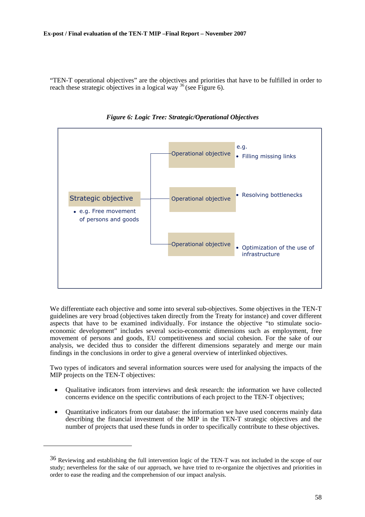"TEN-T operational objectives" are the objectives and priorities that have to be fulfilled in order to reach these strategic objectives in a logical way  $36$  (se[e Figure 6\)](#page-57-0).

<span id="page-57-0"></span>

*Figure 6: Logic Tree: Strategic/Operational Objectives* 

We differentiate each objective and some into several sub-objectives. Some objectives in the TEN-T guidelines are very broad (objectives taken directly from the Treaty for instance) and cover different aspects that have to be examined individually. For instance the objective "to stimulate socioeconomic development" includes several socio-economic dimensions such as employment, free movement of persons and goods, EU competitiveness and social cohesion. For the sake of our analysis, we decided thus to consider the different dimensions separately and merge our main findings in the conclusions in order to give a general overview of interlinked objectives.

Two types of indicators and several information sources were used for analysing the impacts of the MIP projects on the TEN-T objectives:

- Oualitative indicators from interviews and desk research: the information we have collected concerns evidence on the specific contributions of each project to the TEN-T objectives;
- Quantitative indicators from our database: the information we have used concerns mainly data describing the financial investment of the MIP in the TEN-T strategic objectives and the number of projects that used these funds in order to specifically contribute to these objectives.

<sup>36</sup> Reviewing and establishing the full intervention logic of the TEN-T was not included in the scope of our study; nevertheless for the sake of our approach, we have tried to re-organize the objectives and priorities in order to ease the reading and the comprehension of our impact analysis.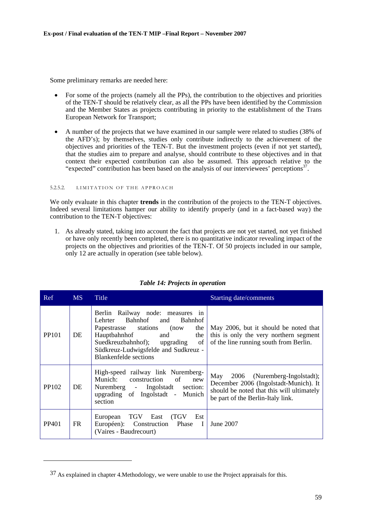Some preliminary remarks are needed here:

- For some of the projects (namely all the PPs), the contribution to the objectives and priorities of the TEN-T should be relatively clear, as all the PPs have been identified by the Commission and the Member States as projects contributing in priority to the establishment of the Trans European Network for Transport;
- A number of the projects that we have examined in our sample were related to studies (38% of the AFD's); by themselves, studies only contribute indirectly to the achievement of the objectives and priorities of the TEN-T. But the investment projects (even if not yet started), that the studies aim to prepare and analyse, should contribute to these objectives and in that context their expected contribution can also be assumed. This approach relative to the "expected" contribution has been based on the analysis of our interviewees' perceptions<sup>37</sup>.

## 5.2.5.2. LIMITATION OF THE APPROACH

l

We only evaluate in this chapter **trends** in the contribution of the projects to the TEN-T objectives. Indeed several limitations hamper our ability to identify properly (and in a fact-based way) the contribution to the TEN-T objectives:

1. As already stated, taking into account the fact that projects are not yet started, not yet finished or have only recently been completed, there is no quantitative indicator revealing impact of the projects on the objectives and priorities of the TEN-T. Of 50 projects included in our sample, only 12 are actually in operation (see table below).

| Ref               | MS  | Title                                                                                                                                                                                                                                                        | <b>Starting date/comments</b>                                                                                                                                  |
|-------------------|-----|--------------------------------------------------------------------------------------------------------------------------------------------------------------------------------------------------------------------------------------------------------------|----------------------------------------------------------------------------------------------------------------------------------------------------------------|
| PP <sub>101</sub> | DE  | Berlin Railway node: measures in<br>Bahnhof<br>Bahnhof<br>Lehrter<br>and<br>Papestrasse stations<br>the<br>(now)<br>Hauptbahnhof<br>and<br>the<br>Suedkreuzbahnhof); upgrading<br>of<br>Südkreuz-Ludwigsfelde and Sudkreuz -<br><b>Blankenfelde</b> sections | May 2006, but it should be noted that<br>this is only the very northern segment<br>of the line running south from Berlin.                                      |
| PP102             | DE  | High-speed railway link Nuremberg-<br>Munich:<br>construction<br>of<br>new<br>Nuremberg - Ingolstadt<br>section:<br>upgrading of Ingolstadt - Munich<br>section                                                                                              | May<br>2006 (Nuremberg-Ingolstadt);<br>December 2006 (Ingolstadt-Munich). It<br>should be noted that this will ultimately<br>be part of the Berlin-Italy link. |
| PP401             | FR. | European TGV East<br>(TGV Est<br>Européen):<br>Construction Phase<br>$\blacksquare$<br>(Vaires - Baudrecourt)                                                                                                                                                | June 2007                                                                                                                                                      |

# *Table 14: Projects in operation*

<sup>37</sup> As explained in chapter 4.Methodology, we were unable to use the Project appraisals for this.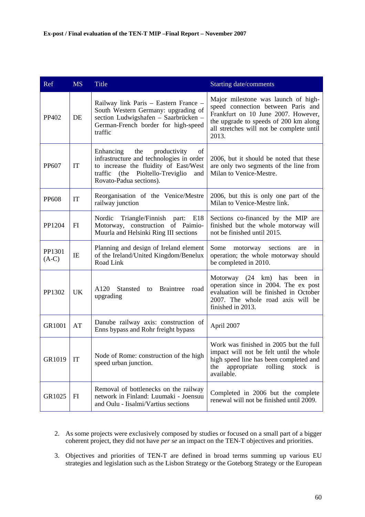| Ref               | <b>MS</b> | <b>Title</b>                                                                                                                                                                                         | <b>Starting date/comments</b>                                                                                                                                                                                  |
|-------------------|-----------|------------------------------------------------------------------------------------------------------------------------------------------------------------------------------------------------------|----------------------------------------------------------------------------------------------------------------------------------------------------------------------------------------------------------------|
| PP402             | DE        | Railway link Paris - Eastern France -<br>South Western Germany: upgrading of<br>section Ludwigshafen - Saarbrücken -<br>German-French border for high-speed<br>traffic                               | Major milestone was launch of high-<br>speed connection between Paris and<br>Frankfurt on 10 June 2007. However,<br>the upgrade to speeds of 200 km along<br>all stretches will not be complete until<br>2013. |
| PP607             | IT        | the<br>productivity<br>Enhancing<br>of<br>infrastructure and technologies in order<br>to increase the fluidity of East/West<br>traffic<br>(the Pioltello-Treviglio<br>and<br>Rovato-Padua sections). | 2006, but it should be noted that these<br>are only two segments of the line from<br>Milan to Venice-Mestre.                                                                                                   |
| <b>PP608</b>      | IT        | Reorganisation of the Venice/Mestre<br>railway junction                                                                                                                                              | 2006, but this is only one part of the<br>Milan to Venice-Mestre link.                                                                                                                                         |
| PP1204            | FI        | Nordic Triangle/Finnish part: E18<br>Motorway, construction of Paimio-<br>Muurla and Helsinki Ring III sections                                                                                      | Sections co-financed by the MIP are<br>finished but the whole motorway will<br>not be finished until 2015.                                                                                                     |
| PP1301<br>$(A-C)$ | IE        | Planning and design of Ireland element<br>of the Ireland/United Kingdom/Benelux<br>Road Link                                                                                                         | Some<br>sections<br>motorway<br>are<br>in<br>operation; the whole motorway should<br>be completed in 2010.                                                                                                     |
| PP1302            | <b>UK</b> | A120<br>Stansted<br>to Braintree<br>road<br>upgrading                                                                                                                                                | Motorway (24 km) has been in<br>operation since in 2004. The ex post<br>evaluation will be finished in October<br>2007. The whole road axis will be<br>finished in 2013.                                       |
| GR1001            | AT        | Danube railway axis: construction of<br>Enns bypass and Rohr freight bypass                                                                                                                          | April 2007                                                                                                                                                                                                     |
| GR1019            | IT        | Node of Rome: construction of the high<br>speed urban junction.                                                                                                                                      | Work was finished in 2005 but the full<br>impact will not be felt until the whole<br>high speed line has been completed and<br>appropriate<br>rolling<br>the<br>stock<br><b>1S</b><br>available.               |
| GR1025            | FI        | Removal of bottlenecks on the railway<br>network in Finland: Luumaki - Joensuu<br>and Oulu - Iisalmi/Vartius sections                                                                                | Completed in 2006 but the complete<br>renewal will not be finished until 2009.                                                                                                                                 |

- 2. As some projects were exclusively composed by studies or focused on a small part of a bigger coherent project, they did not have *per se* an impact on the TEN-T objectives and priorities.
- 3. Objectives and priorities of TEN-T are defined in broad terms summing up various EU strategies and legislation such as the Lisbon Strategy or the Goteborg Strategy or the European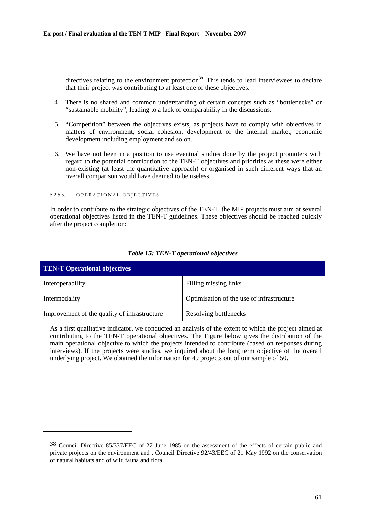directives relating to the environment protection<sup>38.</sup> This tends to lead interviewees to declare that their project was contributing to at least one of these objectives.

- 4. There is no shared and common understanding of certain concepts such as "bottlenecks" or "sustainable mobility", leading to a lack of comparability in the discussions.
- 5. "Competition" between the objectives exists, as projects have to comply with objectives in matters of environment, social cohesion, development of the internal market, economic development including employment and so on.
- 6. We have not been in a position to use eventual studies done by the project promoters with regard to the potential contribution to the TEN-T objectives and priorities as these were either non-existing (at least the quantitative approach) or organised in such different ways that an overall comparison would have deemed to be useless.

#### 5.2.5.3. OPERATIONAL OBJECTIVES

l

In order to contribute to the strategic objectives of the TEN-T, the MIP projects must aim at several operational objectives listed in the TEN-T guidelines. These objectives should be reached quickly after the project completion:

| <b>TEN-T Operational objectives</b>          |                                           |  |  |
|----------------------------------------------|-------------------------------------------|--|--|
| Interoperability                             | Filling missing links                     |  |  |
| Intermodality                                | Optimisation of the use of infrastructure |  |  |
| Improvement of the quality of infrastructure | Resolving bottlenecks                     |  |  |

# *Table 15: TEN-T operational objectives*

As a first qualitative indicator, we conducted an analysis of the extent to which the project aimed at contributing to the TEN-T operational objectives. The Figure below gives the distribution of the main operational objective to which the projects intended to contribute (based on responses during interviews). If the projects were studies, we inquired about the long term objective of the overall underlying project. We obtained the information for 49 projects out of our sample of 50.

<sup>38</sup> Council Directive 85/337/EEC of 27 June 1985 on the assessment of the effects of certain public and private projects on the environment and , Council Directive 92/43/EEC of 21 May 1992 on the conservation of natural habitats and of wild fauna and flora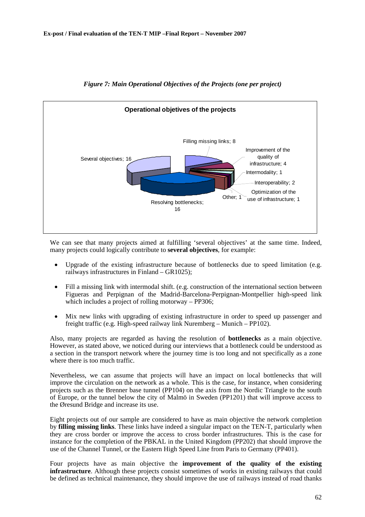

# *Figure 7: Main Operational Objectives of the Projects (one per project)*

We can see that many projects aimed at fulfilling 'several objectives' at the same time. Indeed, many projects could logically contribute to **several objectives**, for example:

- Upgrade of the existing infrastructure because of bottlenecks due to speed limitation (e.g. railways infrastructures in Finland – GR1025);
- Fill a missing link with intermodal shift. (e.g. construction of the international section between Figueras and Perpignan of the Madrid-Barcelona-Perpignan-Montpellier high-speed link which includes a project of rolling motorway – PP306;
- Mix new links with upgrading of existing infrastructure in order to speed up passenger and freight traffic (e.g. High-speed railway link Nuremberg – Munich – PP102).

Also, many projects are regarded as having the resolution of **bottlenecks** as a main objective. However, as stated above, we noticed during our interviews that a bottleneck could be understood as a section in the transport network where the journey time is too long and not specifically as a zone where there is too much traffic.

Nevertheless, we can assume that projects will have an impact on local bottlenecks that will improve the circulation on the network as a whole. This is the case, for instance, when considering projects such as the Brenner base tunnel (PP104) on the axis from the Nordic Triangle to the south of Europe, or the tunnel below the city of Malmö in Sweden (PP1201) that will improve access to the Øresund Bridge and increase its use.

Eight projects out of our sample are considered to have as main objective the network completion by **filling missing links**. These links have indeed a singular impact on the TEN-T, particularly when they are cross border or improve the access to cross border infrastructures. This is the case for instance for the completion of the PBKAL in the United Kingdom (PP202) that should improve the use of the Channel Tunnel, or the Eastern High Speed Line from Paris to Germany (PP401).

Four projects have as main objective the **improvement of the quality of the existing infrastructure**. Although these projects consist sometimes of works in existing railways that could be defined as technical maintenance, they should improve the use of railways instead of road thanks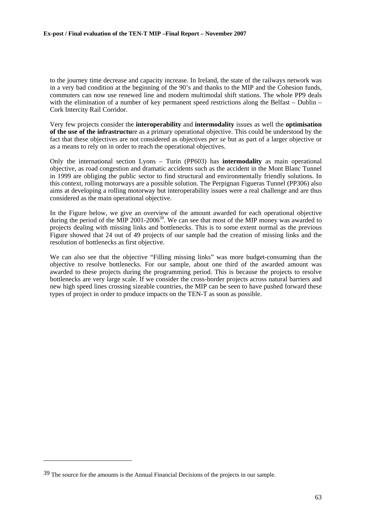to the journey time decrease and capacity increase. In Ireland, the state of the railways network was in a very bad condition at the beginning of the 90's and thanks to the MIP and the Cohesion funds, commuters can now use renewed line and modern multimodal shift stations. The whole PP9 deals with the elimination of a number of key permanent speed restrictions along the Belfast – Dublin – Cork Intercity Rail Corridor.

Very few projects consider the **interoperability** and **intermodality** issues as well the **optimisation of the use of the infrastructu**re as a primary operational objective. This could be understood by the fact that these objectives are not considered as objectives *per se* but as part of a larger objective or as a means to rely on in order to reach the operational objectives.

Only the international section Lyons – Turin (PP603) has **intermodality** as main operational objective, as road congestion and dramatic accidents such as the accident in the Mont Blanc Tunnel in 1999 are obliging the public sector to find structural and environmentally friendly solutions. In this context, rolling motorways are a possible solution. The Perpignan Figueras Tunnel (PP306) also aims at developing a rolling motorway but interoperability issues were a real challenge and are thus considered as the main operational objective.

In the Figure below, we give an overview of the amount awarded for each operational objective during the period of the MIP 2001-2006<sup>39</sup>. We can see that most of the MIP money was awarded to projects dealing with missing links and bottlenecks. This is to some extent normal as the previous Figure showed that 24 out of 49 projects of our sample had the creation of missing links and the resolution of bottlenecks as first objective.

We can also see that the objective "Filling missing links" was more budget-consuming than the objective to resolve bottlenecks. For our sample, about one third of the awarded amount was awarded to these projects during the programming period. This is because the projects to resolve bottlenecks are very large scale. If we consider the cross-border projects across natural barriers and new high speed lines crossing sizeable countries, the MIP can be seen to have pushed forward these types of project in order to produce impacts on the TEN-T as soon as possible.

 $39$  The source for the amounts is the Annual Financial Decisions of the projects in our sample.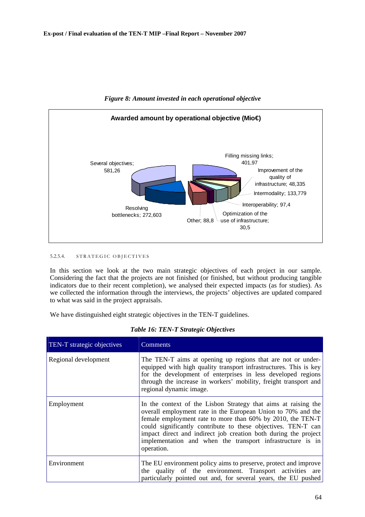

*Figure 8: Amount invested in each operational objective* 

## 5.2.5.4. STRATEGIC OBJECTIVES

In this section we look at the two main strategic objectives of each project in our sample. Considering the fact that the projects are not finished (or finished, but without producing tangible indicators due to their recent completion), we analysed their expected impacts (as for studies). As we collected the information through the interviews, the projects' objectives are updated compared to what was said in the project appraisals.

We have distinguished eight strategic objectives in the TEN-T guidelines.

| TEN-T strategic objectives | Comments                                                                                                                                                                                                                                                                                                                                                                                                     |
|----------------------------|--------------------------------------------------------------------------------------------------------------------------------------------------------------------------------------------------------------------------------------------------------------------------------------------------------------------------------------------------------------------------------------------------------------|
| Regional development       | The TEN-T aims at opening up regions that are not or under-<br>equipped with high quality transport infrastructures. This is key<br>for the development of enterprises in less developed regions<br>through the increase in workers' mobility, freight transport and<br>regional dynamic image.                                                                                                              |
| Employment                 | In the context of the Lisbon Strategy that aims at raising the<br>overall employment rate in the European Union to 70% and the<br>female employment rate to more than 60% by 2010, the TEN-T<br>could significantly contribute to these objectives. TEN-T can<br>impact direct and indirect job creation both during the project<br>implementation and when the transport infrastructure is in<br>operation. |
| Environment                | The EU environment policy aims to preserve, protect and improve<br>the quality of the environment. Transport activities are<br>particularly pointed out and, for several years, the EU pushed                                                                                                                                                                                                                |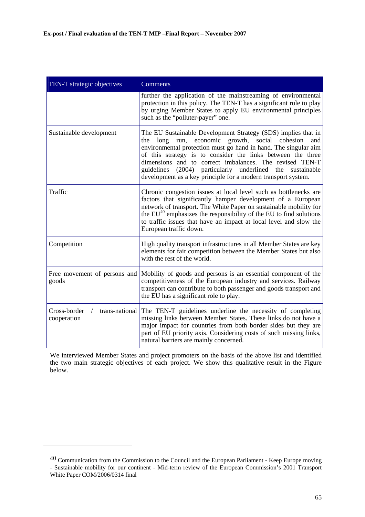| TEN-T strategic objectives                                      | <b>Comments</b>                                                                                                                                                                                                                                                                                                                                                                                                                                   |
|-----------------------------------------------------------------|---------------------------------------------------------------------------------------------------------------------------------------------------------------------------------------------------------------------------------------------------------------------------------------------------------------------------------------------------------------------------------------------------------------------------------------------------|
|                                                                 | further the application of the mainstreaming of environmental<br>protection in this policy. The TEN-T has a significant role to play<br>by urging Member States to apply EU environmental principles<br>such as the "polluter-payer" one.                                                                                                                                                                                                         |
| Sustainable development                                         | The EU Sustainable Development Strategy (SDS) implies that in<br>the long run, economic growth, social cohesion<br>and<br>environmental protection must go hand in hand. The singular aim<br>of this strategy is to consider the links between the three<br>dimensions and to correct imbalances. The revised TEN-T<br>guidelines (2004) particularly underlined the sustainable<br>development as a key principle for a modern transport system. |
| Traffic                                                         | Chronic congestion issues at local level such as bottlenecks are<br>factors that significantly hamper development of a European<br>network of transport. The White Paper on sustainable mobility for<br>the EU <sup>40</sup> emphasizes the responsibility of the EU to find solutions<br>to traffic issues that have an impact at local level and slow the<br>European traffic down.                                                             |
| Competition                                                     | High quality transport infrastructures in all Member States are key<br>elements for fair competition between the Member States but also<br>with the rest of the world.                                                                                                                                                                                                                                                                            |
| Free movement of persons and<br>goods                           | Mobility of goods and persons is an essential component of the<br>competitiveness of the European industry and services. Railway<br>transport can contribute to both passenger and goods transport and<br>the EU has a significant role to play.                                                                                                                                                                                                  |
| Cross-border<br>trans-national<br>$\overline{ }$<br>cooperation | The TEN-T guidelines underline the necessity of completing<br>missing links between Member States. These links do not have a<br>major impact for countries from both border sides but they are<br>part of EU priority axis. Considering costs of such missing links,<br>natural barriers are mainly concerned.                                                                                                                                    |

We interviewed Member States and project promoters on the basis of the above list and identified the two main strategic objectives of each project. We show this qualitative result in the Figure below.

<sup>40</sup> Communication from the Commission to the Council and the European Parliament - Keep Europe moving - Sustainable mobility for our continent - Mid-term review of the European Commission's 2001 Transport White Paper COM/2006/0314 final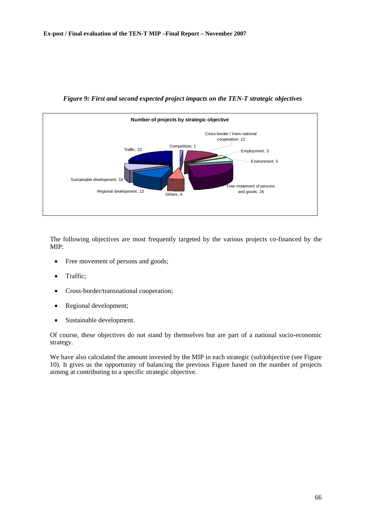

*Figure 9: First and second expected project impacts on the TEN-T strategic objectives* 

The following objectives are most frequently targeted by the various projects co-financed by the MIP:

- Free movement of persons and goods;
- Traffic;
- Cross-border/transnational cooperation;
- Regional development;
- Sustainable development.

Of course, these objectives do not stand by themselves but are part of a national socio-economic strategy.

We have also calculated the amount invested by the MIP in each strategic (sub)objective (se[e Figure](#page-66-0)  [10\)](#page-66-0). It gives us the opportunity of balancing the previous Figure based on the number of projects aiming at contributing to a specific strategic objective.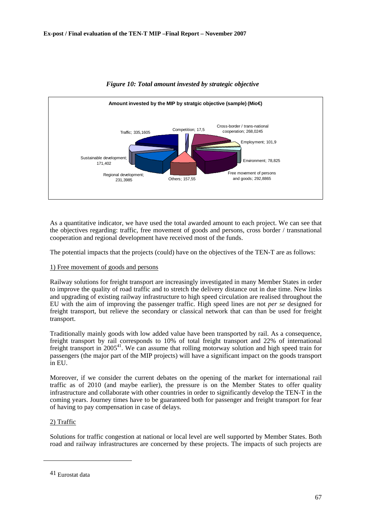<span id="page-66-0"></span>

# *Figure 10: Total amount invested by strategic objective*

As a quantitative indicator, we have used the total awarded amount to each project. We can see that the objectives regarding: traffic, free movement of goods and persons, cross border / transnational cooperation and regional development have received most of the funds.

The potential impacts that the projects (could) have on the objectives of the TEN-T are as follows:

# 1) Free movement of goods and persons

Railway solutions for freight transport are increasingly investigated in many Member States in order to improve the quality of road traffic and to stretch the delivery distance out in due time. New links and upgrading of existing railway infrastructure to high speed circulation are realised throughout the EU with the aim of improving the passenger traffic. High speed lines are not *per se* designed for freight transport, but relieve the secondary or classical network that can than be used for freight transport.

Traditionally mainly goods with low added value have been transported by rail. As a consequence, freight transport by rail corresponds to 10% of total freight transport and 22% of international freight transport in  $2005^{41}$ . We can assume that rolling motorway solution and high speed train for passengers (the major part of the MIP projects) will have a significant impact on the goods transport in EU.

Moreover, if we consider the current debates on the opening of the market for international rail traffic as of 2010 (and maybe earlier), the pressure is on the Member States to offer quality infrastructure and collaborate with other countries in order to significantly develop the TEN-T in the coming years. Journey times have to be guaranteed both for passenger and freight transport for fear of having to pay compensation in case of delays.

# 2) Traffic

l

Solutions for traffic congestion at national or local level are well supported by Member States. Both road and railway infrastructures are concerned by these projects. The impacts of such projects are

<sup>41</sup> Eurostat data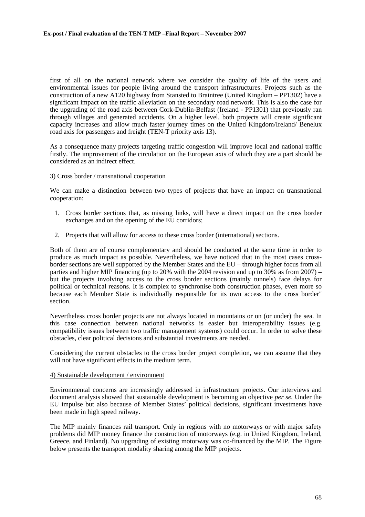first of all on the national network where we consider the quality of life of the users and environmental issues for people living around the transport infrastructures. Projects such as the construction of a new A120 highway from Stansted to Braintree (United Kingdom – PP1302) have a significant impact on the traffic alleviation on the secondary road network. This is also the case for the upgrading of the road axis between Cork-Dublin-Belfast (Ireland - PP1301) that previously ran through villages and generated accidents. On a higher level, both projects will create significant capacity increases and allow much faster journey times on the United Kingdom/Ireland/ Benelux road axis for passengers and freight (TEN-T priority axis 13).

As a consequence many projects targeting traffic congestion will improve local and national traffic firstly. The improvement of the circulation on the European axis of which they are a part should be considered as an indirect effect.

## 3) Cross border / transnational cooperation

We can make a distinction between two types of projects that have an impact on transnational cooperation:

- 1. Cross border sections that, as missing links, will have a direct impact on the cross border exchanges and on the opening of the EU corridors;
- 2. Projects that will allow for access to these cross border (international) sections.

Both of them are of course complementary and should be conducted at the same time in order to produce as much impact as possible. Nevertheless, we have noticed that in the most cases crossborder sections are well supported by the Member States and the EU – through higher focus from all parties and higher MIP financing (up to 20% with the 2004 revision and up to 30% as from 2007) – but the projects involving access to the cross border sections (mainly tunnels) face delays for political or technical reasons. It is complex to synchronise both construction phases, even more so because each Member State is individually responsible for its own access to the cross border" section.

Nevertheless cross border projects are not always located in mountains or on (or under) the sea. In this case connection between national networks is easier but interoperability issues (e.g. compatibility issues between two traffic management systems) could occur. In order to solve these obstacles, clear political decisions and substantial investments are needed.

Considering the current obstacles to the cross border project completion, we can assume that they will not have significant effects in the medium term.

## 4) Sustainable development / environment

Environmental concerns are increasingly addressed in infrastructure projects. Our interviews and document analysis showed that sustainable development is becoming an objective *per se.* Under the EU impulse but also because of Member States' political decisions, significant investments have been made in high speed railway.

The MIP mainly finances rail transport. Only in regions with no motorways or with major safety problems did MIP money finance the construction of motorways (e.g. in United Kingdom, Ireland, Greece, and Finland). No upgrading of existing motorway was co-financed by the MIP. The Figure below presents the transport modality sharing among the MIP projects.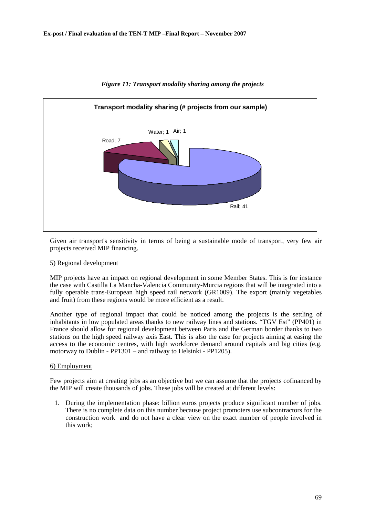

# *Figure 11: Transport modality sharing among the projects*

Given air transport's sensitivity in terms of being a sustainable mode of transport, very few air projects received MIP financing.

# 5) Regional development

MIP projects have an impact on regional development in some Member States. This is for instance the case with Castilla La Mancha-Valencia Community-Murcia regions that will be integrated into a fully operable trans-European high speed rail network (GR1009). The export (mainly vegetables and fruit) from these regions would be more efficient as a result.

Another type of regional impact that could be noticed among the projects is the settling of inhabitants in low populated areas thanks to new railway lines and stations. "TGV Est" (PP401) in France should allow for regional development between Paris and the German border thanks to two stations on the high speed railway axis East. This is also the case for projects aiming at easing the access to the economic centres, with high workforce demand around capitals and big cities (e.g. motorway to Dublin - PP1301 – and railway to Helsinki - PP1205).

## 6) Employment

Few projects aim at creating jobs as an objective but we can assume that the projects cofinanced by the MIP will create thousands of jobs. These jobs will be created at different levels:

1. During the implementation phase: billion euros projects produce significant number of jobs. There is no complete data on this number because project promoters use subcontractors for the construction work and do not have a clear view on the exact number of people involved in this work;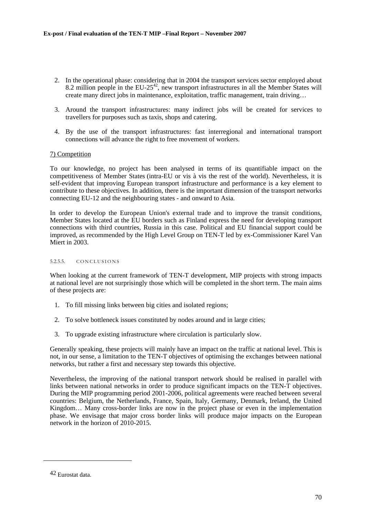- 2. In the operational phase: considering that in 2004 the transport services sector employed about 8.2 million people in the EU-25<sup>42</sup>, new transport infrastructures in all the Member States will create many direct jobs in maintenance, exploitation, traffic management, train driving…
- 3. Around the transport infrastructures: many indirect jobs will be created for services to travellers for purposes such as taxis, shops and catering.
- 4. By the use of the transport infrastructures: fast interregional and international transport connections will advance the right to free movement of workers.

# 7) Competition

To our knowledge, no project has been analysed in terms of its quantifiable impact on the competitiveness of Member States (intra-EU or vis à vis the rest of the world). Nevertheless, it is self-evident that improving European transport infrastructure and performance is a key element to contribute to these objectives. In addition, there is the important dimension of the transport networks connecting EU-12 and the neighbouring states - and onward to Asia.

In order to develop the European Union's external trade and to improve the transit conditions, Member States located at the EU borders such as Finland express the need for developing transport connections with third countries, Russia in this case. Political and EU financial support could be improved, as recommended by the High Level Group on TEN-T led by ex-Commissioner Karel Van Miert in 2003.

## 5.2.5.5. CONCLUSIONS

When looking at the current framework of TEN-T development, MIP projects with strong impacts at national level are not surprisingly those which will be completed in the short term. The main aims of these projects are:

- 1. To fill missing links between big cities and isolated regions;
- 2. To solve bottleneck issues constituted by nodes around and in large cities;
- 3. To upgrade existing infrastructure where circulation is particularly slow.

Generally speaking, these projects will mainly have an impact on the traffic at national level. This is not, in our sense, a limitation to the TEN-T objectives of optimising the exchanges between national networks, but rather a first and necessary step towards this objective.

Nevertheless, the improving of the national transport network should be realised in parallel with links between national networks in order to produce significant impacts on the TEN-T objectives. During the MIP programming period 2001-2006, political agreements were reached between several countries: Belgium, the Netherlands, France, Spain, Italy, Germany, Denmark, Ireland, the United Kingdom… Many cross-border links are now in the project phase or even in the implementation phase. We envisage that major cross border links will produce major impacts on the European network in the horizon of 2010-2015.

<sup>42</sup> Eurostat data.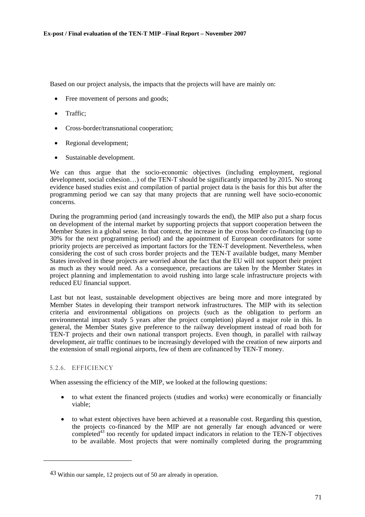Based on our project analysis, the impacts that the projects will have are mainly on:

- Free movement of persons and goods;
- Traffic:
- Cross-border/transnational cooperation;
- Regional development;
- Sustainable development.

We can thus argue that the socio-economic objectives (including employment, regional development, social cohesion…) of the TEN-T should be significantly impacted by 2015. No strong evidence based studies exist and compilation of partial project data is the basis for this but after the programming period we can say that many projects that are running well have socio-economic concerns.

During the programming period (and increasingly towards the end), the MIP also put a sharp focus on development of the internal market by supporting projects that support cooperation between the Member States in a global sense. In that context, the increase in the cross border co-financing (up to 30% for the next programming period) and the appointment of European coordinators for some priority projects are perceived as important factors for the TEN-T development. Nevertheless, when considering the cost of such cross border projects and the TEN-T available budget, many Member States involved in these projects are worried about the fact that the EU will not support their project as much as they would need. As a consequence, precautions are taken by the Member States in project planning and implementation to avoid rushing into large scale infrastructure projects with reduced EU financial support.

Last but not least, sustainable development objectives are being more and more integrated by Member States in developing their transport network infrastructures. The MIP with its selection criteria and environmental obligations on projects (such as the obligation to perform an environmental impact study 5 years after the project completion) played a major role in this. In general, the Member States give preference to the railway development instead of road both for TEN-T projects and their own national transport projects. Even though, in parallel with railway development, air traffic continues to be increasingly developed with the creation of new airports and the extension of small regional airports, few of them are cofinanced by TEN-T money.

# 5.2.6. EFFICIENCY

l

When assessing the efficiency of the MIP, we looked at the following questions:

- to what extent the financed projects (studies and works) were economically or financially viable;
- to what extent objectives have been achieved at a reasonable cost. Regarding this question, the projects co-financed by the MIP are not generally far enough advanced or were completed<sup>43</sup> too recently for updated impact indicators in relation to the TEN-T objectives to be available. Most projects that were nominally completed during the programming

<sup>43</sup> Within our sample, 12 projects out of 50 are already in operation.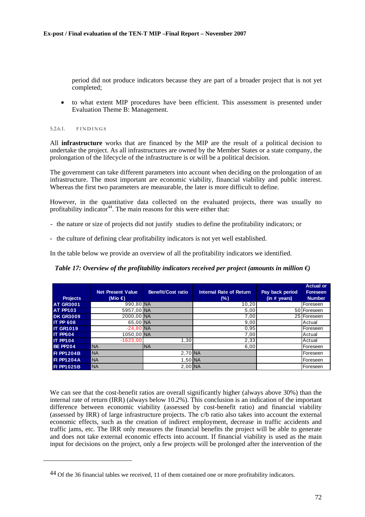period did not produce indicators because they are part of a broader project that is not yet completed;

• to what extent MIP procedures have been efficient. This assessment is presented under Evaluation Theme B: Management.

#### 5.2.6.1. FINDINGS

l

All **infrastructure** works that are financed by the MIP are the result of a political decision to undertake the project. As all infrastructures are owned by the Member States or a state company, the prolongation of the lifecycle of the infrastructure is or will be a political decision.

The government can take different parameters into account when deciding on the prolongation of an infrastructure. The most important are economic viability, financial viability and public interest. Whereas the first two parameters are measurable, the later is more difficult to define.

However, in the quantitative data collected on the evaluated projects, there was usually no profitability indicator<sup>44</sup>. The main reasons for this were either that:

- the nature or size of projects did not justify studies to define the profitability indicators; or

- the culture of defining clear profitability indicators is not yet well established.

In the table below we provide an overview of all the profitability indicators we identified.

*Table 17: Overview of the profitability indicators received per project (amounts in million €)* 

|                   |                          |                    |                                |                 | <b>Actual or</b> |
|-------------------|--------------------------|--------------------|--------------------------------|-----------------|------------------|
|                   | <b>Net Present Value</b> | Benefit/Cost ratio | <b>Internal Rate of Return</b> | Pay back period | <b>Foreseen</b>  |
| <b>Projects</b>   | (Mio $\in$ )             |                    | (%)                            | (in # years)    | <b>Number</b>    |
| <b>AT GR3001</b>  | 990,80 NA                |                    | 10,20                          |                 | Foreseen         |
| <b>AT PP103</b>   | 5957,00 NA               |                    | 5,00                           |                 | 50 Foreseen      |
| <b>DK GR3009</b>  | 2000,00 NA               |                    | 7,00                           |                 | 25 Foreseen      |
| <b>IT PP 608</b>  | 65,00 NA                 |                    | 9,00                           |                 | Actual           |
| <b>IT GR1019</b>  | $-24.80$ NA              |                    | 0.95                           |                 | Foreseen         |
| <b>IT PP604</b>   | 1050,00 NA               |                    | 7,00                           |                 | Actual           |
| <b>IT PP104</b>   | $-1623,00$               | 1,30               | 2,33                           |                 | Actual           |
| <b>BE PP204</b>   | <b>NA</b>                | <b>NA</b>          | 6,00                           |                 | <b>IForeseen</b> |
| <b>FI PP1204B</b> | <b>NA</b>                | 2,70 NA            |                                |                 | Foreseen         |
| <b>FI PP1204A</b> | <b>NA</b>                | 1,50 NA            |                                |                 | <b>IForeseen</b> |
| <b>FI PP1025B</b> | <b>NA</b>                | 2,00 NA            |                                |                 | <b>IForeseen</b> |

We can see that the cost-benefit ratios are overall significantly higher (always above 30%) than the internal rate of return (IRR) (always below 10.2%). This conclusion is an indication of the important difference between economic viability (assessed by cost-benefit ratio) and financial viability (assessed by IRR) of large infrastructure projects. The c/b ratio also takes into account the external economic effects, such as the creation of indirect employment, decrease in traffic accidents and traffic jams, etc. The IRR only measures the financial benefits the project will be able to generate and does not take external economic effects into account. If financial viability is used as the main input for decisions on the project, only a few projects will be prolonged after the intervention of the

<sup>44</sup> Of the 36 financial tables we received, 11 of them contained one or more profitability indicators.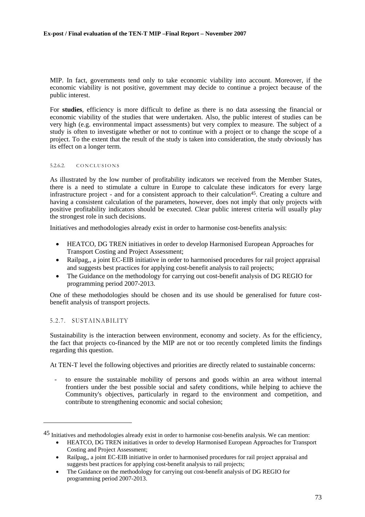MIP. In fact, governments tend only to take economic viability into account. Moreover, if the economic viability is not positive, government may decide to continue a project because of the public interest.

For **studies**, efficiency is more difficult to define as there is no data assessing the financial or economic viability of the studies that were undertaken. Also, the public interest of studies can be very high (e.g. environmental impact assessments) but very complex to measure. The subject of a study is often to investigate whether or not to continue with a project or to change the scope of a project. To the extent that the result of the study is taken into consideration, the study obviously has its effect on a longer term.

#### 5.2.6.2. CONCLUSIONS

As illustrated by the low number of profitability indicators we received from the Member States, there is a need to stimulate a culture in Europe to calculate these indicators for every large infrastructure project - and for a consistent approach to their calculation45. Creating a culture and having a consistent calculation of the parameters, however, does not imply that only projects with positive profitability indicators should be executed. Clear public interest criteria will usually play the strongest role in such decisions.

Initiatives and methodologies already exist in order to harmonise cost-benefits analysis:

- HEATCO, DG TREN initiatives in order to develop Harmonised European Approaches for Transport Costing and Project Assessment;
- Railpag,, a joint EC-EIB initiative in order to harmonised procedures for rail project appraisal and suggests best practices for applying cost-benefit analysis to rail projects;
- The Guidance on the methodology for carrying out cost-benefit analysis of DG REGIO for programming period 2007-2013.

One of these methodologies should be chosen and its use should be generalised for future costbenefit analysis of transport projects.

## 5.2.7. SUSTAINABILITY

l

Sustainability is the interaction between environment, economy and society. As for the efficiency, the fact that projects co-financed by the MIP are not or too recently completed limits the findings regarding this question.

At TEN-T level the following objectives and priorities are directly related to sustainable concerns:

to ensure the sustainable mobility of persons and goods within an area without internal frontiers under the best possible social and safety conditions, while helping to achieve the Community's objectives, particularly in regard to the environment and competition, and contribute to strengthening economic and social cohesion;

<sup>45</sup> Initiatives and methodologies already exist in order to harmonise cost-benefits analysis. We can mention:

<sup>•</sup> HEATCO, DG TREN initiatives in order to develop Harmonised European Approaches for Transport Costing and Project Assessment;

<sup>•</sup> Railpag,, a joint EC-EIB initiative in order to harmonised procedures for rail project appraisal and suggests best practices for applying cost-benefit analysis to rail projects;

<sup>•</sup> The Guidance on the methodology for carrying out cost-benefit analysis of DG REGIO for programming period 2007-2013.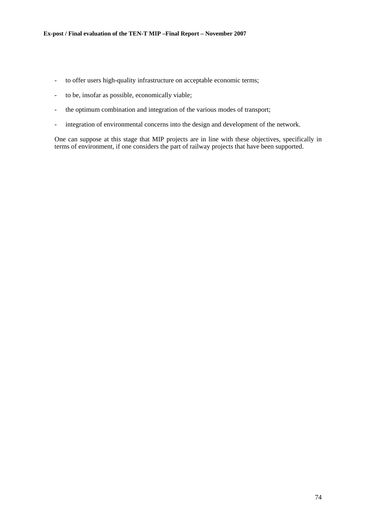- to offer users high-quality infrastructure on acceptable economic terms;
- to be, insofar as possible, economically viable;
- the optimum combination and integration of the various modes of transport;
- integration of environmental concerns into the design and development of the network.

One can suppose at this stage that MIP projects are in line with these objectives, specifically in terms of environment, if one considers the part of railway projects that have been supported.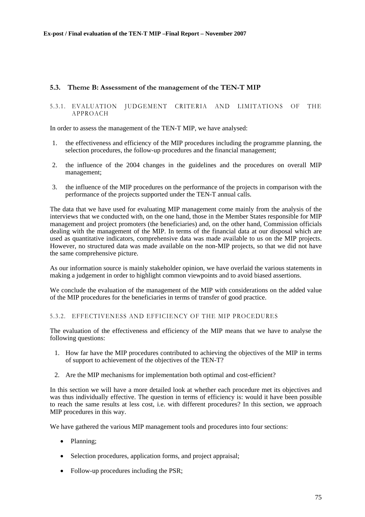## **5.3. Theme B: Assessment of the management of the TEN-T MIP**

## 5.3.1. EVALUATION JUDGEMENT CRITERIA AND LIMITATIONS OF THE APPROACH

In order to assess the management of the TEN-T MIP, we have analysed:

- 1. the effectiveness and efficiency of the MIP procedures including the programme planning, the selection procedures, the follow-up procedures and the financial management;
- 2. the influence of the 2004 changes in the guidelines and the procedures on overall MIP management;
- 3. the influence of the MIP procedures on the performance of the projects in comparison with the performance of the projects supported under the TEN-T annual calls.

The data that we have used for evaluating MIP management come mainly from the analysis of the interviews that we conducted with, on the one hand, those in the Member States responsible for MIP management and project promoters (the beneficiaries) and, on the other hand, Commission officials dealing with the management of the MIP. In terms of the financial data at our disposal which are used as quantitative indicators, comprehensive data was made available to us on the MIP projects. However, no structured data was made available on the non-MIP projects, so that we did not have the same comprehensive picture.

As our information source is mainly stakeholder opinion, we have overlaid the various statements in making a judgement in order to highlight common viewpoints and to avoid biased assertions.

We conclude the evaluation of the management of the MIP with considerations on the added value of the MIP procedures for the beneficiaries in terms of transfer of good practice.

## 5.3.2. EFFECTIVENESS AND EFFICIENCY OF THE MIP PROCEDURES

The evaluation of the effectiveness and efficiency of the MIP means that we have to analyse the following questions:

- 1. How far have the MIP procedures contributed to achieving the objectives of the MIP in terms of support to achievement of the objectives of the TEN-T?
- 2. Are the MIP mechanisms for implementation both optimal and cost-efficient?

In this section we will have a more detailed look at whether each procedure met its objectives and was thus individually effective. The question in terms of efficiency is: would it have been possible to reach the same results at less cost, i.e. with different procedures? In this section, we approach MIP procedures in this way.

We have gathered the various MIP management tools and procedures into four sections:

- Planning;
- Selection procedures, application forms, and project appraisal;
- Follow-up procedures including the PSR;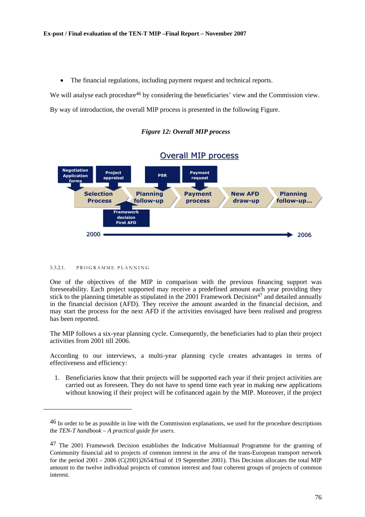• The financial regulations, including payment request and technical reports.

We will analyse each procedure<sup>46</sup> by considering the beneficiaries' view and the Commission view.

By way of introduction, the overall MIP process is presented in the following Figure.

## *Figure 12: Overall MIP process*



# **Overall MIP process**

#### 5.3.2.1. PROGRAMME PLANNING

l

One of the objectives of the MIP in comparison with the previous financing support was foreseeability. Each project supported may receive a predefined amount each year providing they stick to the planning timetable as stipulated in the  $2001$  Framework Decision<sup>47</sup> and detailed annually in the financial decision (AFD). They receive the amount awarded in the financial decision, and may start the process for the next AFD if the activities envisaged have been realised and progress has been reported.

The MIP follows a six-year planning cycle. Consequently, the beneficiaries had to plan their project activities from 2001 till 2006.

According to our interviews, a multi-year planning cycle creates advantages in terms of effectiveness and efficiency:

1. Beneficiaries know that their projects will be supported each year if their project activities are carried out as foreseen. They do not have to spend time each year in making new applications without knowing if their project will be cofinanced again by the MIP. Moreover, if the project

<sup>46</sup> In order to be as possible in line with the Commission explanations, we used for the procedure descriptions the *TEN-T handbook – A practical guide for users*.

<sup>47</sup> The 2001 Framework Decision establishes the Indicative Multiannual Programme for the granting of Community financial aid to projects of common interest in the area of the trans-European transport network for the period 2001 - 2006 (C(2001)2654/final of 19 September 2001). This Decision allocates the total MIP amount to the twelve individual projects of common interest and four coherent groups of projects of common interest.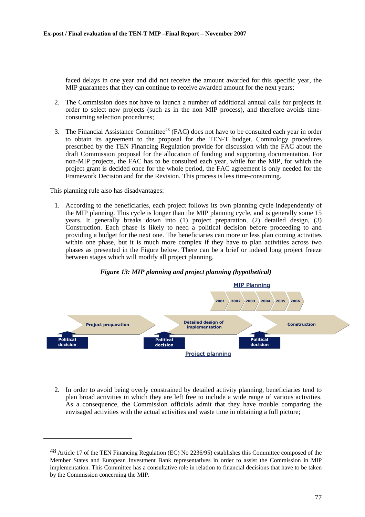faced delays in one year and did not receive the amount awarded for this specific year, the MIP guarantees that they can continue to receive awarded amount for the next years;

- 2. The Commission does not have to launch a number of additional annual calls for projects in order to select new projects (such as in the non MIP process), and therefore avoids timeconsuming selection procedures;
- 3. The Financial Assistance Committee<sup>48</sup> (FAC) does not have to be consulted each year in order to obtain its agreement to the proposal for the TEN-T budget. Comitology procedures prescribed by the TEN Financing Regulation provide for discussion with the FAC about the draft Commission proposal for the allocation of funding and supporting documentation. For non-MIP projects, the FAC has to be consulted each year, while for the MIP, for which the project grant is decided once for the whole period, the FAC agreement is only needed for the Framework Decision and for the Revision. This process is less time-consuming.

This planning rule also has disadvantages:

l

1. According to the beneficiaries, each project follows its own planning cycle independently of the MIP planning. This cycle is longer than the MIP planning cycle, and is generally some 15 years. It generally breaks down into (1) project preparation, (2) detailed design, (3) Construction. Each phase is likely to need a political decision before proceeding to and providing a budget for the next one. The beneficiaries can more or less plan coming activities within one phase, but it is much more complex if they have to plan activities across two phases as presented in the Figure below. There can be a brief or indeed long project freeze between stages which will modify all project planning.



## *Figure 13: MIP planning and project planning (hypothetical)*

2. In order to avoid being overly constrained by detailed activity planning, beneficiaries tend to plan broad activities in which they are left free to include a wide range of various activities. As a consequence, the Commission officials admit that they have trouble comparing the envisaged activities with the actual activities and waste time in obtaining a full picture;

<sup>48</sup> Article 17 of the TEN Financing Regulation (EC) No 2236/95) establishes this Committee composed of the Member States and European Investment Bank representatives in order to assist the Commission in MIP implementation. This Committee has a consultative role in relation to financial decisions that have to be taken by the Commission concerning the MIP.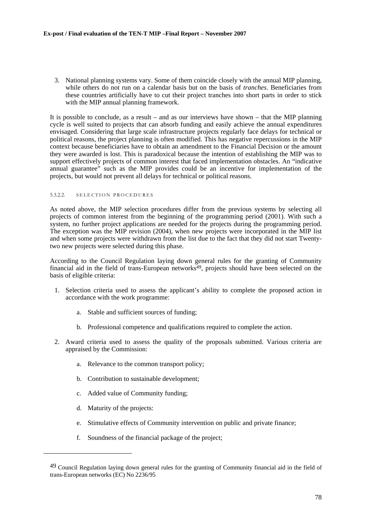3. National planning systems vary. Some of them coincide closely with the annual MIP planning, while others do not run on a calendar basis but on the basis of *tranches*. Beneficiaries from these countries artificially have to cut their project tranches into short parts in order to stick with the MIP annual planning framework.

It is possible to conclude, as a result – and as our interviews have shown – that the MIP planning cycle is well suited to projects that can absorb funding and easily achieve the annual expenditures envisaged. Considering that large scale infrastructure projects regularly face delays for technical or political reasons, the project planning is often modified. This has negative repercussions in the MIP context because beneficiaries have to obtain an amendment to the Financial Decision or the amount they were awarded is lost. This is paradoxical because the intention of establishing the MIP was to support effectively projects of common interest that faced implementation obstacles. An "indicative annual guarantee" such as the MIP provides could be an incentive for implementation of the projects, but would not prevent all delays for technical or political reasons.

#### 5.3.2.2. SELECTION PROCEDURES

As noted above, the MIP selection procedures differ from the previous systems by selecting all projects of common interest from the beginning of the programming period (2001). With such a system, no further project applications are needed for the projects during the programming period. The exception was the MIP revision (2004), when new projects were incorporated in the MIP list and when some projects were withdrawn from the list due to the fact that they did not start Twentytwo new projects were selected during this phase.

According to the Council Regulation laying down general rules for the granting of Community financial aid in the field of trans-European networks<sup>49</sup>, projects should have been selected on the basis of eligible criteria:

- 1. Selection criteria used to assess the applicant's ability to complete the proposed action in accordance with the work programme:
	- a. Stable and sufficient sources of funding;
	- b. Professional competence and qualifications required to complete the action.
- 2. Award criteria used to assess the quality of the proposals submitted. Various criteria are appraised by the Commission:
	- a. Relevance to the common transport policy;
	- b. Contribution to sustainable development;
	- c. Added value of Community funding;
	- d. Maturity of the projects:

- e. Stimulative effects of Community intervention on public and private finance;
- f. Soundness of the financial package of the project;

<sup>49</sup> Council Regulation laying down general rules for the granting of Community financial aid in the field of trans-European networks (EC) No 2236/95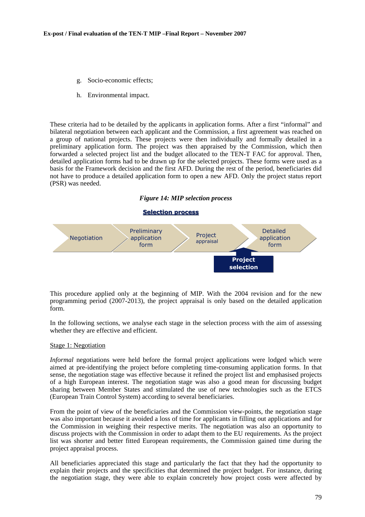- g. Socio-economic effects;
- h. Environmental impact.

These criteria had to be detailed by the applicants in application forms. After a first "informal" and bilateral negotiation between each applicant and the Commission, a first agreement was reached on a group of national projects. These projects were then individually and formally detailed in a preliminary application form. The project was then appraised by the Commission, which then forwarded a selected project list and the budget allocated to the TEN-T FAC for approval. Then, detailed application forms had to be drawn up for the selected projects. These forms were used as a basis for the Framework decision and the first AFD. During the rest of the period, beneficiaries did not have to produce a detailed application form to open a new AFD. Only the project status report (PSR) was needed.

*Figure 14: MIP selection process* 

#### **Selection process Selection process**



This procedure applied only at the beginning of MIP. With the 2004 revision and for the new programming period (2007-2013), the project appraisal is only based on the detailed application form.

In the following sections, we analyse each stage in the selection process with the aim of assessing whether they are effective and efficient.

#### Stage 1: Negotiation

*Informal* negotiations were held before the formal project applications were lodged which were aimed at pre-identifying the project before completing time-consuming application forms. In that sense, the negotiation stage was effective because it refined the project list and emphasised projects of a high European interest. The negotiation stage was also a good mean for discussing budget sharing between Member States and stimulated the use of new technologies such as the ETCS (European Train Control System) according to several beneficiaries.

From the point of view of the beneficiaries and the Commission view-points, the negotiation stage was also important because it avoided a loss of time for applicants in filling out applications and for the Commission in weighing their respective merits. The negotiation was also an opportunity to discuss projects with the Commission in order to adapt them to the EU requirements. As the project list was shorter and better fitted European requirements, the Commission gained time during the project appraisal process.

All beneficiaries appreciated this stage and particularly the fact that they had the opportunity to explain their projects and the specificities that determined the project budget. For instance, during the negotiation stage, they were able to explain concretely how project costs were affected by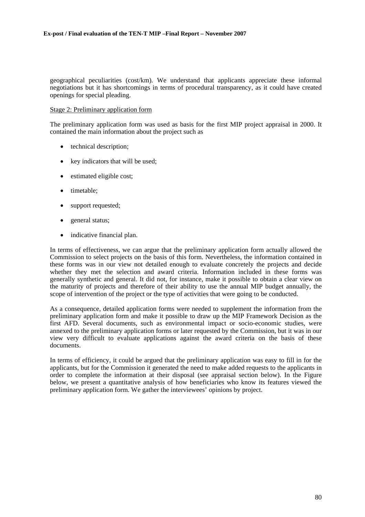geographical peculiarities (cost/km). We understand that applicants appreciate these informal negotiations but it has shortcomings in terms of procedural transparency, as it could have created openings for special pleading.

#### Stage 2: Preliminary application form

The preliminary application form was used as basis for the first MIP project appraisal in 2000. It contained the main information about the project such as

- technical description;
- key indicators that will be used;
- estimated eligible cost;
- timetable;
- support requested:
- general status;
- indicative financial plan.

In terms of effectiveness, we can argue that the preliminary application form actually allowed the Commission to select projects on the basis of this form. Nevertheless, the information contained in these forms was in our view not detailed enough to evaluate concretely the projects and decide whether they met the selection and award criteria. Information included in these forms was generally synthetic and general. It did not, for instance, make it possible to obtain a clear view on the maturity of projects and therefore of their ability to use the annual MIP budget annually, the scope of intervention of the project or the type of activities that were going to be conducted.

As a consequence, detailed application forms were needed to supplement the information from the preliminary application form and make it possible to draw up the MIP Framework Decision as the first AFD. Several documents, such as environmental impact or socio-economic studies, were annexed to the preliminary application forms or later requested by the Commission, but it was in our view very difficult to evaluate applications against the award criteria on the basis of these documents.

In terms of efficiency, it could be argued that the preliminary application was easy to fill in for the applicants, but for the Commission it generated the need to make added requests to the applicants in order to complete the information at their disposal (see appraisal section below). In the Figure below, we present a quantitative analysis of how beneficiaries who know its features viewed the preliminary application form. We gather the interviewees' opinions by project.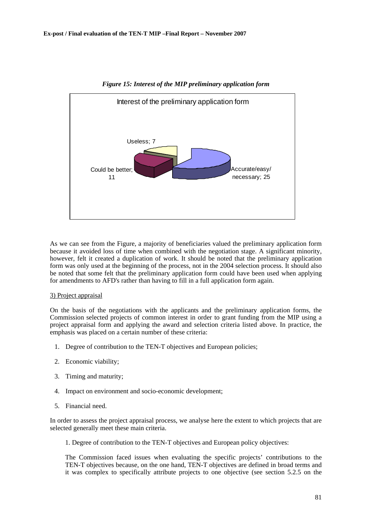

*Figure 15: Interest of the MIP preliminary application form* 

As we can see from the Figure, a majority of beneficiaries valued the preliminary application form because it avoided loss of time when combined with the negotiation stage. A significant minority, however, felt it created a duplication of work. It should be noted that the preliminary application form was only used at the beginning of the process, not in the 2004 selection process. It should also be noted that some felt that the preliminary application form could have been used when applying for amendments to AFD's rather than having to fill in a full application form again.

#### 3) Project appraisal

On the basis of the negotiations with the applicants and the preliminary application forms, the Commission selected projects of common interest in order to grant funding from the MIP using a project appraisal form and applying the award and selection criteria listed above. In practice, the emphasis was placed on a certain number of these criteria:

- 1. Degree of contribution to the TEN-T objectives and European policies;
- 2. Economic viability;
- 3. Timing and maturity;
- 4. Impact on environment and socio-economic development;
- 5. Financial need.

In order to assess the project appraisal process, we analyse here the extent to which projects that are selected generally meet these main criteria.

1. Degree of contribution to the TEN-T objectives and European policy objectives:

The Commission faced issues when evaluating the specific projects' contributions to the TEN-T objectives because, on the one hand, TEN-T objectives are defined in broad terms and it was complex to specifically attribute projects to one objective (see section 5.2.5 on the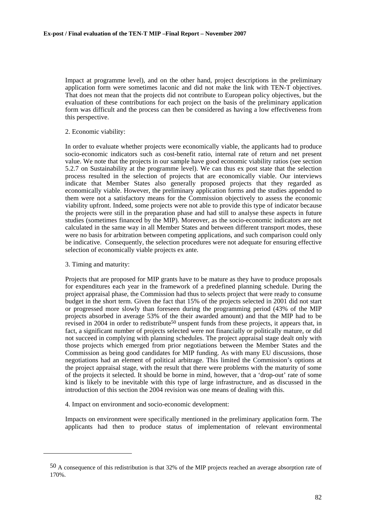Impact at programme level), and on the other hand, project descriptions in the preliminary application form were sometimes laconic and did not make the link with TEN-T objectives. That does not mean that the projects did not contribute to European policy objectives, but the evaluation of these contributions for each project on the basis of the preliminary application form was difficult and the process can then be considered as having a low effectiveness from this perspective.

#### 2. Economic viability:

In order to evaluate whether projects were economically viable, the applicants had to produce socio-economic indicators such as cost-benefit ratio, internal rate of return and net present value. We note that the projects in our sample have good economic viability ratios (see section 5.2.7 on Sustainability at the programme level). We can thus ex post state that the selection process resulted in the selection of projects that are economically viable. Our interviews indicate that Member States also generally proposed projects that they regarded as economically viable. However, the preliminary application forms and the studies appended to them were not a satisfactory means for the Commission objectively to assess the economic viability upfront. Indeed, some projects were not able to provide this type of indicator because the projects were still in the preparation phase and had still to analyse these aspects in future studies (sometimes financed by the MIP). Moreover, as the socio-economic indicators are not calculated in the same way in all Member States and between different transport modes, these were no basis for arbitration between competing applications, and such comparison could only be indicative. Consequently, the selection procedures were not adequate for ensuring effective selection of economically viable projects ex ante.

## 3. Timing and maturity:

l

Projects that are proposed for MIP grants have to be mature as they have to produce proposals for expenditures each year in the framework of a predefined planning schedule. During the project appraisal phase, the Commission had thus to selects project that were ready to consume budget in the short term. Given the fact that 15% of the projects selected in 2001 did not start or progressed more slowly than foreseen during the programming period (43% of the MIP projects absorbed in average 53% of the their awarded amount) and that the MIP had to be revised in 2004 in order to redistribute<sup>50</sup> unspent funds from these projects, it appears that, in fact, a significant number of projects selected were not financially or politically mature, or did not succeed in complying with planning schedules. The project appraisal stage dealt only with those projects which emerged from prior negotiations between the Member States and the Commission as being good candidates for MIP funding. As with many EU discussions, those negotiations had an element of political arbitrage. This limited the Commission's options at the project appraisal stage, with the result that there were problems with the maturity of some of the projects it selected. It should be borne in mind, however, that a 'drop-out' rate of some kind is likely to be inevitable with this type of large infrastructure, and as discussed in the introduction of this section the 2004 revision was one means of dealing with this.

4. Impact on environment and socio-economic development:

Impacts on environment were specifically mentioned in the preliminary application form. The applicants had then to produce status of implementation of relevant environmental

<sup>50</sup> A consequence of this redistribution is that 32% of the MIP projects reached an average absorption rate of 170%.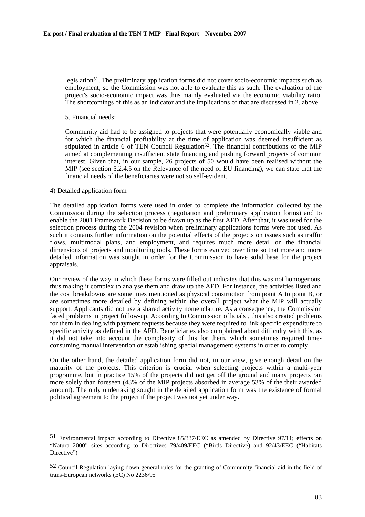legislation<sup>51</sup>. The preliminary application forms did not cover socio-economic impacts such as employment, so the Commission was not able to evaluate this as such. The evaluation of the project's socio-economic impact was thus mainly evaluated via the economic viability ratio. The shortcomings of this as an indicator and the implications of that are discussed in 2. above.

5. Financial needs:

Community aid had to be assigned to projects that were potentially economically viable and for which the financial profitability at the time of application was deemed insufficient as stipulated in article 6 of TEN Council Regulation<sup>52</sup>. The financial contributions of the MIP aimed at complementing insufficient state financing and pushing forward projects of common interest. Given that, in our sample, 26 projects of 50 would have been realised without the MIP (see section 5.2.4.5 on the Relevance of the need of EU financing), we can state that the financial needs of the beneficiaries were not so self-evident.

## 4) Detailed application form

l

The detailed application forms were used in order to complete the information collected by the Commission during the selection process (negotiation and preliminary application forms) and to enable the 2001 Framework Decision to be drawn up as the first AFD. After that, it was used for the selection process during the 2004 revision when preliminary applications forms were not used. As such it contains further information on the potential effects of the projects on issues such as traffic flows, multimodal plans, and employment, and requires much more detail on the financial dimensions of projects and monitoring tools. These forms evolved over time so that more and more detailed information was sought in order for the Commission to have solid base for the project appraisals.

Our review of the way in which these forms were filled out indicates that this was not homogenous, thus making it complex to analyse them and draw up the AFD. For instance, the activities listed and the cost breakdowns are sometimes mentioned as physical construction from point A to point B, or are sometimes more detailed by defining within the overall project what the MIP will actually support. Applicants did not use a shared activity nomenclature. As a consequence, the Commission faced problems in project follow-up. According to Commission officials', this also created problems for them in dealing with payment requests because they were required to link specific expenditure to specific activity as defined in the AFD. Beneficiaries also complained about difficulty with this, as it did not take into account the complexity of this for them, which sometimes required timeconsuming manual intervention or establishing special management systems in order to comply.

On the other hand, the detailed application form did not, in our view, give enough detail on the maturity of the projects. This criterion is crucial when selecting projects within a multi-year programme, but in practice 15% of the projects did not get off the ground and many projects ran more solely than foreseen (43% of the MIP projects absorbed in average 53% of the their awarded amount). The only undertaking sought in the detailed application form was the existence of formal political agreement to the project if the project was not yet under way.

<sup>51</sup> Environmental impact according to Directive 85/337/EEC as amended by Directive 97/11; effects on "Natura 2000" sites according to Directives 79/409/EEC ("Birds Directive) and 92/43/EEC ("Habitats Directive")

<sup>52</sup> Council Regulation laying down general rules for the granting of Community financial aid in the field of trans-European networks (EC) No 2236/95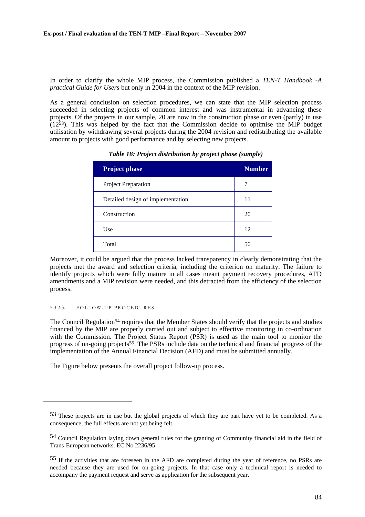In order to clarify the whole MIP process, the Commission published a *TEN-T Handbook -A practical Guide for Users* but only in 2004 in the context of the MIP revision.

As a general conclusion on selection procedures, we can state that the MIP selection process succeeded in selecting projects of common interest and was instrumental in advancing these projects. Of the projects in our sample, 20 are now in the construction phase or even (partly) in use  $(12<sup>53</sup>)$ . This was helped by the fact that the Commission decide to optimise the MIP budget utilisation by withdrawing several projects during the 2004 revision and redistributing the available amount to projects with good performance and by selecting new projects.

| <b>Project phase</b>              | <b>Number</b> |
|-----------------------------------|---------------|
| <b>Project Preparation</b>        | 7             |
| Detailed design of implementation | 11            |
| Construction                      | 20            |
| Use                               | 12            |
| Total                             | 50            |

*Table 18: Project distribution by project phase (sample)* 

Moreover, it could be argued that the process lacked transparency in clearly demonstrating that the projects met the award and selection criteria, including the criterion on maturity. The failure to identify projects which were fully mature in all cases meant payment recovery procedures, AFD amendments and a MIP revision were needed, and this detracted from the efficiency of the selection process.

#### 5.3.2.3. FOLLOW-UP PROCEDURES

l

The Council Regulation<sup>54</sup> requires that the Member States should verify that the projects and studies financed by the MIP are properly carried out and subject to effective monitoring in co-ordination with the Commission. The Project Status Report (PSR) is used as the main tool to monitor the progress of on-going projects<sup>55</sup>. The PSRs include data on the technical and financial progress of the implementation of the Annual Financial Decision (AFD) and must be submitted annually.

The Figure below presents the overall project follow-up process.

<sup>53</sup> These projects are in use but the global projects of which they are part have yet to be completed. As a consequence, the full effects are not yet being felt.

<sup>54</sup> Council Regulation laying down general rules for the granting of Community financial aid in the field of Trans-European networks. EC No 2236/95

<sup>55</sup> If the activities that are foreseen in the AFD are completed during the year of reference, no PSRs are needed because they are used for on-going projects. In that case only a technical report is needed to accompany the payment request and serve as application for the subsequent year.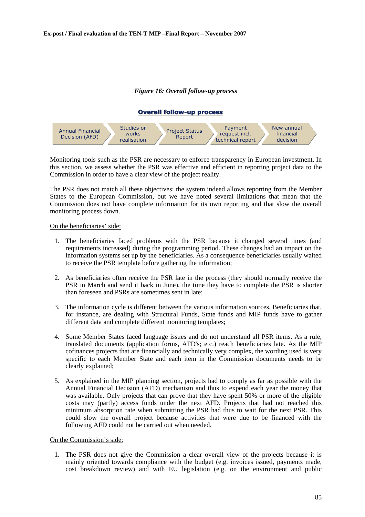## *Figure 16: Overall follow-up process*

## **Overall follow-up process Overall follow-up process**



Monitoring tools such as the PSR are necessary to enforce transparency in European investment. In this section, we assess whether the PSR was effective and efficient in reporting project data to the Commission in order to have a clear view of the project reality.

The PSR does not match all these objectives: the system indeed allows reporting from the Member States to the European Commission, but we have noted several limitations that mean that the Commission does not have complete information for its own reporting and that slow the overall monitoring process down.

## On the beneficiaries' side:

- 1. The beneficiaries faced problems with the PSR because it changed several times (and requirements increased) during the programming period. These changes had an impact on the information systems set up by the beneficiaries. As a consequence beneficiaries usually waited to receive the PSR template before gathering the information;
- 2. As beneficiaries often receive the PSR late in the process (they should normally receive the PSR in March and send it back in June), the time they have to complete the PSR is shorter than foreseen and PSRs are sometimes sent in late;
- 3. The information cycle is different between the various information sources. Beneficiaries that, for instance, are dealing with Structural Funds, State funds and MIP funds have to gather different data and complete different monitoring templates;
- 4. Some Member States faced language issues and do not understand all PSR items. As a rule, translated documents (application forms, AFD's; etc.) reach beneficiaries late. As the MIP cofinances projects that are financially and technically very complex, the wording used is very specific to each Member State and each item in the Commission documents needs to be clearly explained;
- 5. As explained in the MIP planning section, projects had to comply as far as possible with the Annual Financial Decision (AFD) mechanism and thus to expend each year the money that was available. Only projects that can prove that they have spent 50% or more of the eligible costs may (partly) access funds under the next AFD. Projects that had not reached this minimum absorption rate when submitting the PSR had thus to wait for the next PSR. This could slow the overall project because activities that were due to be financed with the following AFD could not be carried out when needed.

#### On the Commission's side:

1. The PSR does not give the Commission a clear overall view of the projects because it is mainly oriented towards compliance with the budget (e.g. invoices issued, payments made, cost breakdown review) and with EU legislation (e.g. on the environment and public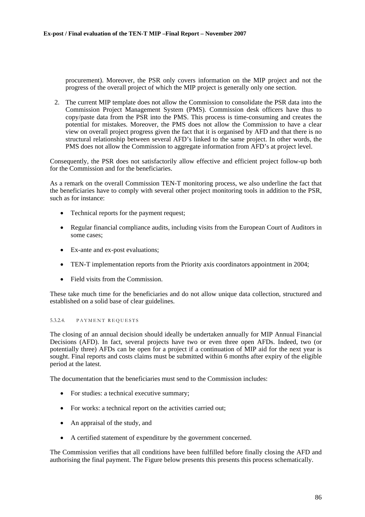procurement). Moreover, the PSR only covers information on the MIP project and not the progress of the overall project of which the MIP project is generally only one section.

2. The current MIP template does not allow the Commission to consolidate the PSR data into the Commission Project Management System (PMS). Commission desk officers have thus to copy/paste data from the PSR into the PMS. This process is time-consuming and creates the potential for mistakes. Moreover, the PMS does not allow the Commission to have a clear view on overall project progress given the fact that it is organised by AFD and that there is no structural relationship between several AFD's linked to the same project. In other words, the PMS does not allow the Commission to aggregate information from AFD's at project level.

Consequently, the PSR does not satisfactorily allow effective and efficient project follow-up both for the Commission and for the beneficiaries.

As a remark on the overall Commission TEN-T monitoring process, we also underline the fact that the beneficiaries have to comply with several other project monitoring tools in addition to the PSR, such as for instance:

- Technical reports for the payment request:
- Regular financial compliance audits, including visits from the European Court of Auditors in some cases;
- Ex-ante and ex-post evaluations;
- TEN-T implementation reports from the Priority axis coordinators appointment in 2004;
- Field visits from the Commission.

These take much time for the beneficiaries and do not allow unique data collection, structured and established on a solid base of clear guidelines.

## 5.3.2.4. PAYMENT REQUESTS

The closing of an annual decision should ideally be undertaken annually for MIP Annual Financial Decisions (AFD). In fact, several projects have two or even three open AFDs. Indeed, two (or potentially three) AFDs can be open for a project if a continuation of MIP aid for the next year is sought. Final reports and costs claims must be submitted within 6 months after expiry of the eligible period at the latest.

The documentation that the beneficiaries must send to the Commission includes:

- For studies: a technical executive summary:
- For works: a technical report on the activities carried out:
- An appraisal of the study, and
- A certified statement of expenditure by the government concerned.

The Commission verifies that all conditions have been fulfilled before finally closing the AFD and authorising the final payment. The Figure below presents this presents this process schematically.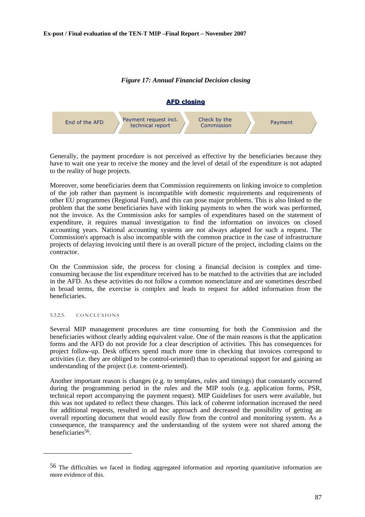## *Figure 17: Annual Financial Decision closing*



Generally, the payment procedure is not perceived as effective by the beneficiaries because they have to wait one year to receive the money and the level of detail of the expenditure is not adapted to the reality of huge projects.

Moreover, some beneficiaries deem that Commission requirements on linking invoice to completion of the job rather than payment is incompatible with domestic requirements and requirements of other EU programmes (Regional Fund), and this can pose major problems. This is also linked to the problem that the some beneficiaries have with linking payments to when the work was performed, not the invoice. As the Commission asks for samples of expenditures based on the statement of expenditure, it requires manual investigation to find the information on invoices on closed accounting years. National accounting systems are not always adapted for such a request. The Commission's approach is also incompatible with the common practice in the case of infrastructure projects of delaying invoicing until there is an overall picture of the project, including claims on the contractor.

On the Commission side, the process for closing a financial decision is complex and timeconsuming because the list expenditure received has to be matched to the activities that are included in the AFD. As these activities do not follow a common nomenclature and are sometimes described in broad terms, the exercise is complex and leads to request for added information from the beneficiaries.

#### 5.3.2.5. CONCLUSIONS

l

Several MIP management procedures are time consuming for both the Commission and the beneficiaries without clearly adding equivalent value. One of the main reasons is that the application forms and the AFD do not provide for a clear description of activities. This has consequences for project follow-up. Desk officers spend much more time in checking that invoices correspond to activities (i.e. they are obliged to be control-oriented) than to operational support for and gaining an understanding of the project (i.e. content-oriented).

Another important reason is changes (e.g. to templates, rules and timings) that constantly occurred during the programming period in the rules and the MIP tools (e.g. application forms, PSR, technical report accompanying the payment request). MIP Guidelines for users were available, but this was not updated to reflect these changes. This lack of coherent information increased the need for additional requests, resulted in ad hoc approach and decreased the possibility of getting an overall reporting document that would easily flow from the control and monitoring system. As a consequence, the transparency and the understanding of the system were not shared among the beneficiaries<sup>56</sup>.

<sup>56</sup> The difficulties we faced in finding aggregated information and reporting quantitative information are more evidence of this.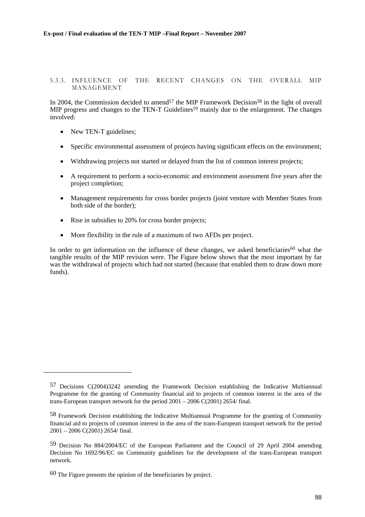## 5.3.3. INFLUENCE OF THE RECENT CHANGES ON THE OVERALL MIP MANAGEMENT

In 2004, the Commission decided to amend<sup>57</sup> the MIP Framework Decision<sup>58</sup> in the light of overall MIP progress and changes to the TEN-T Guidelines<sup>59</sup> mainly due to the enlargement. The changes involved:

• New TEN-T guidelines;

l

- Specific environmental assessment of projects having significant effects on the environment;
- Withdrawing projects not started or delayed from the list of common interest projects;
- A requirement to perform a socio-economic and environment assessment five years after the project completion;
- Management requirements for cross border projects (joint venture with Member States from both side of the border);
- Rise in subsidies to 20% for cross border projects:
- More flexibility in the rule of a maximum of two AFDs per project.

In order to get information on the influence of these changes, we asked beneficiaries<sup>60</sup> what the tangible results of the MIP revision were. The Figure below shows that the most important by far was the withdrawal of projects which had not started (because that enabled them to draw down more funds).

<sup>57</sup> Decisions C(2004)3242 amending the Framework Decision establishing the Indicative Multiannual Programme for the granting of Community financial aid to projects of common interest in the area of the trans-European transport network for the period  $2001 - 2006 \text{ C}(2001) 2654/ \text{final}$ .

<sup>58</sup> Framework Decision establishing the Indicative Multiannual Programme for the granting of Community financial aid to projects of common interest in the area of the trans-European transport network for the period 2001 – 2006 C(2001) 2654/ final.

<sup>59</sup> Decision No 884/2004/EC of the European Parliament and the Council of 29 April 2004 amending Decision No 1692/96/EC on Community guidelines for the development of the trans-European transport network.

<sup>60</sup> The Figure presents the opinion of the beneficiaries by project.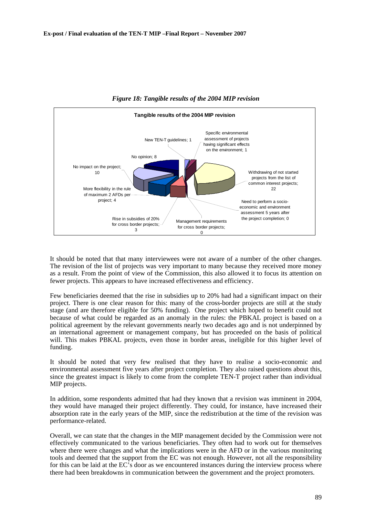

*Figure 18: Tangible results of the 2004 MIP revision* 

It should be noted that that many interviewees were not aware of a number of the other changes. The revision of the list of projects was very important to many because they received more money as a result. From the point of view of the Commission, this also allowed it to focus its attention on fewer projects. This appears to have increased effectiveness and efficiency.

Few beneficiaries deemed that the rise in subsidies up to 20% had had a significant impact on their project. There is one clear reason for this: many of the cross-border projects are still at the study stage (and are therefore eligible for 50% funding). One project which hoped to benefit could not because of what could be regarded as an anomaly in the rules: the PBKAL project is based on a political agreement by the relevant governments nearly two decades ago and is not underpinned by an international agreement or management company, but has proceeded on the basis of political will. This makes PBKAL projects, even those in border areas, ineligible for this higher level of funding.

It should be noted that very few realised that they have to realise a socio-economic and environmental assessment five years after project completion. They also raised questions about this, since the greatest impact is likely to come from the complete TEN-T project rather than individual MIP projects.

In addition, some respondents admitted that had they known that a revision was imminent in 2004, they would have managed their project differently. They could, for instance, have increased their absorption rate in the early years of the MIP, since the redistribution at the time of the revision was performance-related.

Overall, we can state that the changes in the MIP management decided by the Commission were not effectively communicated to the various beneficiaries. They often had to work out for themselves where there were changes and what the implications were in the AFD or in the various monitoring tools and deemed that the support from the EC was not enough. However, not all the responsibility for this can be laid at the EC's door as we encountered instances during the interview process where there had been breakdowns in communication between the government and the project promoters.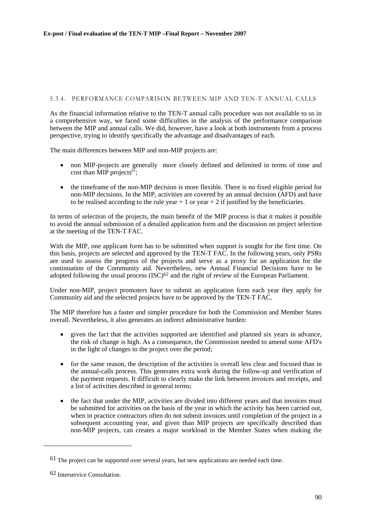## 5.3.4. PERFORMANCE COMPARISON BETWEEN MIP AND TEN-T ANNUAL CALLS

As the financial information relative to the TEN-T annual calls procedure was not available to us in a comprehensive way, we faced some difficulties in the analysis of the performance comparison between the MIP and annual calls. We did, however, have a look at both instruments from a process perspective, trying to identify specifically the advantage and disadvantages of each.

The main differences between MIP and non-MIP projects are:

- non MIP-projects are generally more closely defined and delimited in terms of time and cost than MIP projects<sup>61</sup>;
- the timeframe of the non-MIP decision is more flexible. There is no fixed eligible period for non-MIP decisions. In the MIP, activities are covered by an annual decision (AFD) and have to be realised according to the rule year  $+1$  or year  $+2$  if justified by the beneficiaries.

In terms of selection of the projects, the main benefit of the MIP process is that it makes it possible to avoid the annual submission of a detailed application form and the discussion on project selection at the meeting of the TEN-T FAC.

With the MIP, one applicant form has to be submitted when support is sought for the first time. On this basis, projects are selected and approved by the TEN-T FAC. In the following years, only PSRs are used to assess the progress of the projects and serve as a proxy for an application for the continuation of the Community aid. Nevertheless, new Annual Financial Decisions have to be adopted following the usual process (ISC)<sup>62</sup> and the right of review of the European Parliament.

Under non-MIP, project promoters have to submit an application form each year they apply for Community aid and the selected projects have to be approved by the TEN-T FAC.

The MIP therefore has a faster and simpler procedure for both the Commission and Member States overall. Nevertheless, it also generates an indirect administrative burden:

- given the fact that the activities supported are identified and planned six years in advance. the risk of change is high. As a consequence, the Commission needed to amend some AFD's in the light of changes to the project over the period;
- for the same reason, the description of the activities is overall less clear and focused than in the annual-calls process. This generates extra work during the follow-up and verification of the payment requests. It difficult to clearly make the link between invoices and receipts, and a list of activities described in general terms;
- the fact that under the MIP, activities are divided into different years and that invoices must be submitted for activities on the basis of the year in which the activity has been carried out, when in practice contractors often do not submit invoices until completion of the project in a subsequent accounting year, and given than MIP projects are specifically described than non-MIP projects, can creates a major workload in the Member States when making the

<sup>61</sup> The project can be supported over several years, but new applications are needed each time.

<sup>62</sup> Interservice Consultation.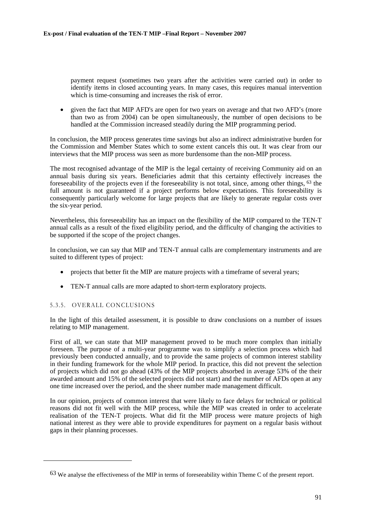payment request (sometimes two years after the activities were carried out) in order to identify items in closed accounting years. In many cases, this requires manual intervention which is time-consuming and increases the risk of error.

• given the fact that MIP AFD's are open for two years on average and that two AFD's (more than two as from 2004) can be open simultaneously, the number of open decisions to be handled at the Commission increased steadily during the MIP programming period.

In conclusion, the MIP process generates time savings but also an indirect administrative burden for the Commission and Member States which to some extent cancels this out. It was clear from our interviews that the MIP process was seen as more burdensome than the non-MIP process.

The most recognised advantage of the MIP is the legal certainty of receiving Community aid on an annual basis during six years. Beneficiaries admit that this certainty effectively increases the foreseeability of the projects even if the foreseeability is not total, since, among other things, 63 the full amount is not guaranteed if a project performs below expectations. This foreseeability is consequently particularly welcome for large projects that are likely to generate regular costs over the six-year period.

Nevertheless, this foreseeability has an impact on the flexibility of the MIP compared to the TEN-T annual calls as a result of the fixed eligibility period, and the difficulty of changing the activities to be supported if the scope of the project changes.

In conclusion, we can say that MIP and TEN-T annual calls are complementary instruments and are suited to different types of project:

- projects that better fit the MIP are mature projects with a timeframe of several years;
- TEN-T annual calls are more adapted to short-term exploratory projects.

## 5.3.5. OVERALL CONCLUSIONS

l

In the light of this detailed assessment, it is possible to draw conclusions on a number of issues relating to MIP management.

First of all, we can state that MIP management proved to be much more complex than initially foreseen. The purpose of a multi-year programme was to simplify a selection process which had previously been conducted annually, and to provide the same projects of common interest stability in their funding framework for the whole MIP period. In practice, this did not prevent the selection of projects which did not go ahead (43% of the MIP projects absorbed in average 53% of the their awarded amount and 15% of the selected projects did not start) and the number of AFDs open at any one time increased over the period, and the sheer number made management difficult.

In our opinion, projects of common interest that were likely to face delays for technical or political reasons did not fit well with the MIP process, while the MIP was created in order to accelerate realisation of the TEN-T projects. What did fit the MIP process were mature projects of high national interest as they were able to provide expenditures for payment on a regular basis without gaps in their planning processes.

<sup>63</sup> We analyse the effectiveness of the MIP in terms of foreseeability within Theme C of the present report.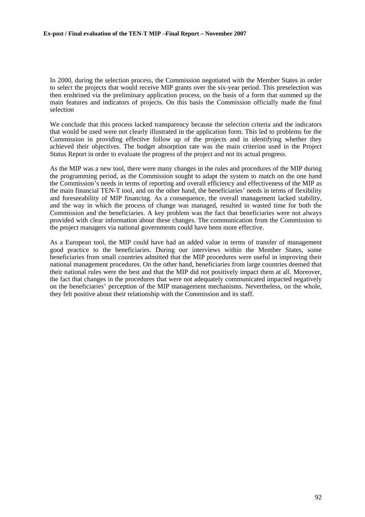In 2000, during the selection process, the Commission negotiated with the Member States in order to select the projects that would receive MIP grants over the six-year period. This preselection was then enshrined via the preliminary application process, on the basis of a form that summed up the main features and indicators of projects. On this basis the Commission officially made the final selection

We conclude that this process lacked transparency because the selection criteria and the indicators that would be used were not clearly illustrated in the application form. This led to problems for the Commission in providing effective follow up of the projects and in identifying whether they achieved their objectives. The budget absorption rate was the main criterion used in the Project Status Report in order to evaluate the progress of the project and not its actual progress.

As the MIP was a new tool, there were many changes in the rules and procedures of the MIP during the programming period, as the Commission sought to adapt the system to match on the one hand the Commission's needs in terms of reporting and overall efficiency and effectiveness of the MIP as the main financial TEN-T tool, and on the other hand, the beneficiaries' needs in terms of flexibility and foreseeability of MIP financing. As a consequence, the overall management lacked stability, and the way in which the process of change was managed, resulted in wasted time for both the Commission and the beneficiaries. A key problem was the fact that beneficiaries were not always provided with clear information about these changes. The communication from the Commission to the project managers via national governments could have been more effective.

As a European tool, the MIP could have had an added value in terms of transfer of management good practice to the beneficiaries. During our interviews within the Member States, some beneficiaries from small countries admitted that the MIP procedures were useful in improving their national management procedures. On the other hand, beneficiaries from large countries deemed that their national rules were the best and that the MIP did not positively impact them at all. Moreover, the fact that changes in the procedures that were not adequately communicated impacted negatively on the beneficiaries' perception of the MIP management mechanisms. Nevertheless, on the whole, they felt positive about their relationship with the Commission and its staff.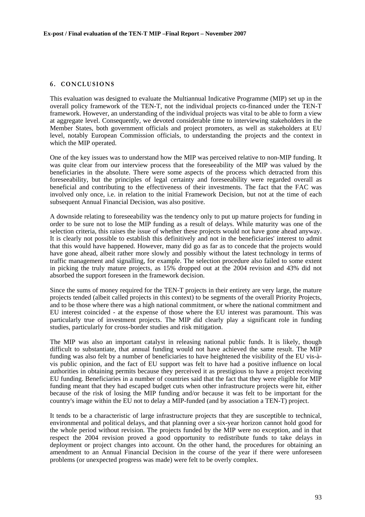## **6 . CONCLUSIONS**

This evaluation was designed to evaluate the Multiannual Indicative Programme (MIP) set up in the overall policy framework of the TEN-T, not the individual projects co-financed under the TEN-T framework. However, an understanding of the individual projects was vital to be able to form a view at aggregate level. Consequently, we devoted considerable time to interviewing stakeholders in the Member States, both government officials and project promoters, as well as stakeholders at EU level, notably European Commission officials, to understanding the projects and the context in which the MIP operated.

One of the key issues was to understand how the MIP was perceived relative to non-MIP funding. It was quite clear from our interview process that the foreseeability of the MIP was valued by the beneficiaries in the absolute. There were some aspects of the process which detracted from this foreseeability, but the principles of legal certainty and foreseeability were regarded overall as beneficial and contributing to the effectiveness of their investments. The fact that the FAC was involved only once, i.e. in relation to the initial Framework Decision, but not at the time of each subsequent Annual Financial Decision, was also positive.

A downside relating to foreseeability was the tendency only to put up mature projects for funding in order to be sure not to lose the MIP funding as a result of delays. While maturity was one of the selection criteria, this raises the issue of whether these projects would not have gone ahead anyway. It is clearly not possible to establish this definitively and not in the beneficiaries' interest to admit that this would have happened. However, many did go as far as to concede that the projects would have gone ahead, albeit rather more slowly and possibly without the latest technology in terms of traffic management and signalling, for example. The selection procedure also failed to some extent in picking the truly mature projects, as 15% dropped out at the 2004 revision and 43% did not absorbed the support foreseen in the framework decision.

Since the sums of money required for the TEN-T projects in their entirety are very large, the mature projects tended (albeit called projects in this context) to be segments of the overall Priority Projects, and to be those where there was a high national commitment, or where the national commitment and EU interest coincided - at the expense of those where the EU interest was paramount. This was particularly true of investment projects. The MIP did clearly play a significant role in funding studies, particularly for cross-border studies and risk mitigation.

The MIP was also an important catalyst in releasing national public funds. It is likely, though difficult to substantiate, that annual funding would not have achieved the same result. The MIP funding was also felt by a number of beneficiaries to have heightened the visibility of the EU vis-àvis public opinion, and the fact of EU support was felt to have had a positive influence on local authorities in obtaining permits because they perceived it as prestigious to have a project receiving EU funding. Beneficiaries in a number of countries said that the fact that they were eligible for MIP funding meant that they had escaped budget cuts when other infrastructure projects were hit, either because of the risk of losing the MIP funding and/or because it was felt to be important for the country's image within the EU not to delay a MIP-funded (and by association a TEN-T) project.

It tends to be a characteristic of large infrastructure projects that they are susceptible to technical, environmental and political delays, and that planning over a six-year horizon cannot hold good for the whole period without revision. The projects funded by the MIP were no exception, and in that respect the 2004 revision proved a good opportunity to redistribute funds to take delays in deployment or project changes into account. On the other hand, the procedures for obtaining an amendment to an Annual Financial Decision in the course of the year if there were unforeseen problems (or unexpected progress was made) were felt to be overly complex.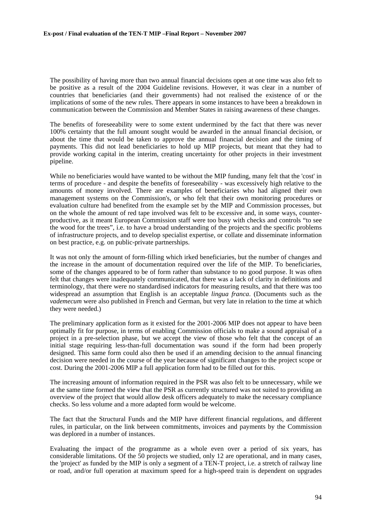The possibility of having more than two annual financial decisions open at one time was also felt to be positive as a result of the 2004 Guideline revisions. However, it was clear in a number of countries that beneficiaries (and their governments) had not realised the existence of or the implications of some of the new rules. There appears in some instances to have been a breakdown in communication between the Commission and Member States in raising awareness of these changes.

The benefits of foreseeability were to some extent undermined by the fact that there was never 100% certainty that the full amount sought would be awarded in the annual financial decision, or about the time that would be taken to approve the annual financial decision and the timing of payments. This did not lead beneficiaries to hold up MIP projects, but meant that they had to provide working capital in the interim, creating uncertainty for other projects in their investment pipeline.

While no beneficiaries would have wanted to be without the MIP funding, many felt that the 'cost' in terms of procedure - and despite the benefits of foreseeability - was excessively high relative to the amounts of money involved. There are examples of beneficiaries who had aligned their own management systems on the Commission's, or who felt that their own monitoring procedures or evaluation culture had benefited from the example set by the MIP and Commission processes, but on the whole the amount of red tape involved was felt to be excessive and, in some ways, counterproductive, as it meant European Commission staff were too busy with checks and controls "to see the wood for the trees", i.e. to have a broad understanding of the projects and the specific problems of infrastructure projects, and to develop specialist expertise, or collate and disseminate information on best practice, e.g. on public-private partnerships.

It was not only the amount of form-filling which irked beneficiaries, but the number of changes and the increase in the amount of documentation required over the life of the MIP. To beneficiaries, some of the changes appeared to be of form rather than substance to no good purpose. It was often felt that changes were inadequately communicated, that there was a lack of clarity in definitions and terminology, that there were no standardised indicators for measuring results, and that there was too widespread an assumption that English is an acceptable *lingua franca*. (Documents such as the *vademecum* were also published in French and German, but very late in relation to the time at which they were needed.)

The preliminary application form as it existed for the 2001-2006 MIP does not appear to have been optimally fit for purpose, in terms of enabling Commission officials to make a sound appraisal of a project in a pre-selection phase, but we accept the view of those who felt that the concept of an initial stage requiring less-than-full documentation was sound if the form had been properly designed. This same form could also then be used if an amending decision to the annual financing decision were needed in the course of the year because of significant changes to the project scope or cost. During the 2001-2006 MIP a full application form had to be filled out for this.

The increasing amount of information required in the PSR was also felt to be unnecessary, while we at the same time formed the view that the PSR as currently structured was not suited to providing an overview of the project that would allow desk officers adequately to make the necessary compliance checks. So less volume and a more adapted form would be welcome.

The fact that the Structural Funds and the MIP have different financial regulations, and different rules, in particular, on the link between commitments, invoices and payments by the Commission was deplored in a number of instances.

Evaluating the impact of the programme as a whole even over a period of six years, has considerable limitations. Of the 50 projects we studied, only 12 are operational, and in many cases, the 'project' as funded by the MIP is only a segment of a TEN-T project, i.e. a stretch of railway line or road, and/or full operation at maximum speed for a high-speed train is dependent on upgrades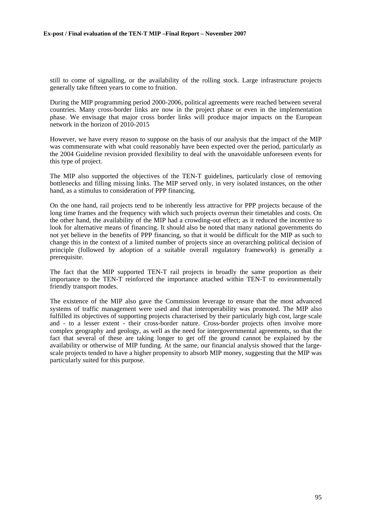still to come of signalling, or the availability of the rolling stock. Large infrastructure projects generally take fifteen years to come to fruition.

During the MIP programming period 2000-2006, political agreements were reached between several countries. Many cross-border links are now in the project phase or even in the implementation phase. We envisage that major cross border links will produce major impacts on the European network in the horizon of 2010-2015

However, we have every reason to suppose on the basis of our analysis that the impact of the MIP was commensurate with what could reasonably have been expected over the period, particularly as the 2004 Guideline revision provided flexibility to deal with the unavoidable unforeseen events for this type of project.

The MIP also supported the objectives of the TEN-T guidelines, particularly close of removing bottlenecks and filling missing links. The MIP served only, in very isolated instances, on the other hand, as a stimulus to consideration of PPP financing.

On the one hand, rail projects tend to be inherently less attractive for PPP projects because of the long time frames and the frequency with which such projects overrun their timetables and costs. On the other hand, the availability of the MIP had a crowding-out effect; as it reduced the incentive to look for alternative means of financing. It should also be noted that many national governments do not yet believe in the benefits of PPP financing, so that it would be difficult for the MIP as such to change this in the context of a limited number of projects since an overarching political decision of principle (followed by adoption of a suitable overall regulatory framework) is generally a prerequisite.

The fact that the MIP supported TEN-T rail projects in broadly the same proportion as their importance to the TEN-T reinforced the importance attached within TEN-T to environmentally friendly transport modes.

The existence of the MIP also gave the Commission leverage to ensure that the most advanced systems of traffic management were used and that interoperability was promoted. The MIP also fulfilled its objectives of supporting projects characterised by their particularly high cost, large scale and - to a lesser extent - their cross-border nature. Cross-border projects often involve more complex geography and geology, as well as the need for intergovernmental agreements, so that the fact that several of these are taking longer to get off the ground cannot be explained by the availability or otherwise of MIP funding. At the same, our financial analysis showed that the largescale projects tended to have a higher propensity to absorb MIP money, suggesting that the MIP was particularly suited for this purpose.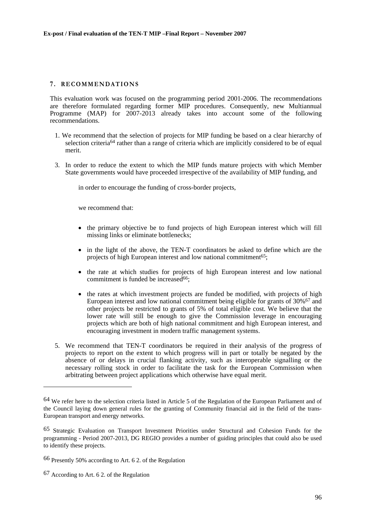## **7 . RECOMMENDATIONS**

This evaluation work was focused on the programming period 2001-2006. The recommendations are therefore formulated regarding former MIP procedures. Consequently, new Multiannual Programme (MAP) for  $2007-2013$  already takes into account some of the following recommendations.

- 1. We recommend that the selection of projects for MIP funding be based on a clear hierarchy of selection criteria<sup>64</sup> rather than a range of criteria which are implicitly considered to be of equal merit.
- 3. In order to reduce the extent to which the MIP funds mature projects with which Member State governments would have proceeded irrespective of the availability of MIP funding, and

in order to encourage the funding of cross-border projects,

we recommend that:

- the primary objective be to fund projects of high European interest which will fill missing links or eliminate bottlenecks;
- in the light of the above, the TEN-T coordinators be asked to define which are the projects of high European interest and low national commitment<sup>65</sup>;
- the rate at which studies for projects of high European interest and low national commitment is funded be increased $66$ :
- the rates at which investment projects are funded be modified, with projects of high European interest and low national commitment being eligible for grants of 30%<sup>67</sup> and other projects be restricted to grants of 5% of total eligible cost. We believe that the lower rate will still be enough to give the Commission leverage in encouraging projects which are both of high national commitment and high European interest, and encouraging investment in modern traffic management systems.
- 5. We recommend that TEN-T coordinators be required in their analysis of the progress of projects to report on the extent to which progress will in part or totally be negated by the absence of or delays in crucial flanking activity, such as interoperable signalling or the necessary rolling stock in order to facilitate the task for the European Commission when arbitrating between project applications which otherwise have equal merit.

<sup>64</sup> We refer here to the selection criteria listed in Article 5 of the Regulation of the European Parliament and of the Council laying down general rules for the granting of Community financial aid in the field of the trans-European transport and energy networks.

<sup>65</sup> Strategic Evaluation on Transport Investment Priorities under Structural and Cohesion Funds for the programming - Period 2007-2013, DG REGIO provides a number of guiding principles that could also be used to identify these projects.

<sup>66</sup> Presently 50% according to Art. 6 2. of the Regulation

<sup>67</sup> According to Art. 6 2. of the Regulation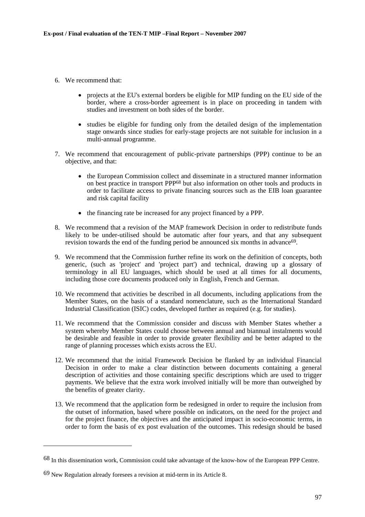- 6. We recommend that:
	- projects at the EU's external borders be eligible for MIP funding on the EU side of the border, where a cross-border agreement is in place on proceeding in tandem with studies and investment on both sides of the border.
	- studies be eligible for funding only from the detailed design of the implementation stage onwards since studies for early-stage projects are not suitable for inclusion in a multi-annual programme.
- 7. We recommend that encouragement of public-private partnerships (PPP) continue to be an objective, and that:
	- the European Commission collect and disseminate in a structured manner information on best practice in transport PPP68 but also information on other tools and products in order to facilitate access to private financing sources such as the EIB loan guarantee and risk capital facility
	- the financing rate be increased for any project financed by a PPP.
- 8. We recommend that a revision of the MAP framework Decision in order to redistribute funds likely to be under-utilised should be automatic after four years, and that any subsequent revision towards the end of the funding period be announced six months in advance<sup>69</sup>.
- 9. We recommend that the Commission further refine its work on the definition of concepts, both generic, (such as 'project' and 'project part') and technical, drawing up a glossary of terminology in all EU languages, which should be used at all times for all documents, including those core documents produced only in English, French and German.
- 10. We recommend that activities be described in all documents, including applications from the Member States, on the basis of a standard nomenclature, such as the International Standard Industrial Classification (ISIC) codes, developed further as required (e.g. for studies).
- 11. We recommend that the Commission consider and discuss with Member States whether a system whereby Member States could choose between annual and biannual instalments would be desirable and feasible in order to provide greater flexibility and be better adapted to the range of planning processes which exists across the EU.
- 12. We recommend that the initial Framework Decision be flanked by an individual Financial Decision in order to make a clear distinction between documents containing a general description of activities and those containing specific descriptions which are used to trigger payments. We believe that the extra work involved initially will be more than outweighed by the benefits of greater clarity.
- 13. We recommend that the application form be redesigned in order to require the inclusion from the outset of information, based where possible on indicators, on the need for the project and for the project finance, the objectives and the anticipated impact in socio-economic terms, in order to form the basis of ex post evaluation of the outcomes. This redesign should be based

<sup>68</sup> In this dissemination work, Commission could take advantage of the know-how of the European PPP Centre.

 $69$  New Regulation already foresees a revision at mid-term in its Article 8.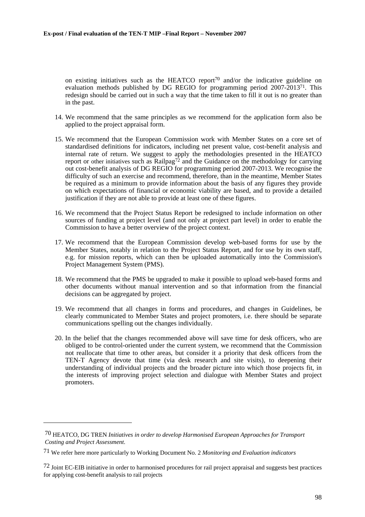on existing initiatives such as the HEATCO report<sup>70</sup> and/or the indicative guideline on evaluation methods published by DG REGIO for programming period 2007-201371. This redesign should be carried out in such a way that the time taken to fill it out is no greater than in the past.

- 14. We recommend that the same principles as we recommend for the application form also be applied to the project appraisal form.
- 15. We recommend that the European Commission work with Member States on a core set of standardised definitions for indicators, including net present value, cost-benefit analysis and internal rate of return. We suggest to apply the methodologies presented in the HEATCO report or other initiatives such as Railpag<sup>72</sup> and the Guidance on the methodology for carrying out cost-benefit analysis of DG REGIO for programming period 2007-2013. We recognise the difficulty of such an exercise and recommend, therefore, than in the meantime, Member States be required as a minimum to provide information about the basis of any figures they provide on which expectations of financial or economic viability are based, and to provide a detailed justification if they are not able to provide at least one of these figures.
- 16. We recommend that the Project Status Report be redesigned to include information on other sources of funding at project level (and not only at project part level) in order to enable the Commission to have a better overview of the project context.
- 17. We recommend that the European Commission develop web-based forms for use by the Member States, notably in relation to the Project Status Report, and for use by its own staff, e.g. for mission reports, which can then be uploaded automatically into the Commission's Project Management System (PMS).
- 18. We recommend that the PMS be upgraded to make it possible to upload web-based forms and other documents without manual intervention and so that information from the financial decisions can be aggregated by project.
- 19. We recommend that all changes in forms and procedures, and changes in Guidelines, be clearly communicated to Member States and project promoters, i.e. there should be separate communications spelling out the changes individually.
- 20. In the belief that the changes recommended above will save time for desk officers, who are obliged to be control-oriented under the current system, we recommend that the Commission not reallocate that time to other areas, but consider it a priority that desk officers from the TEN-T Agency devote that time (via desk research and site visits), to deepening their understanding of individual projects and the broader picture into which those projects fit, in the interests of improving project selection and dialogue with Member States and project promoters.

<sup>70</sup> HEATCO, DG TREN *Initiatives in order to develop Harmonised European Approaches for Transport Costing and Project Assessment*.

<sup>71</sup> We refer here more particularly to Working Document No. 2 *Monitoring and Evaluation indicators*

<sup>72</sup> Joint EC-EIB initiative in order to harmonised procedures for rail project appraisal and suggests best practices for applying cost-benefit analysis to rail projects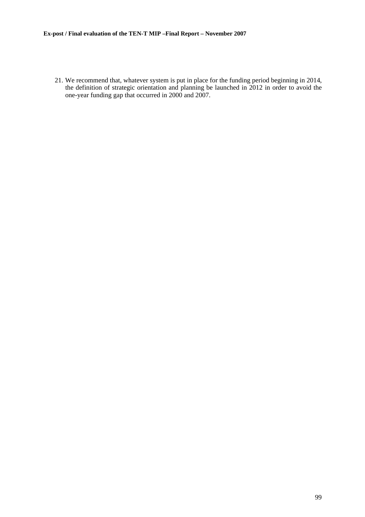21. We recommend that, whatever system is put in place for the funding period beginning in 2014, the definition of strategic orientation and planning be launched in 2012 in order to avoid the one-year funding gap that occurred in 2000 and 2007.